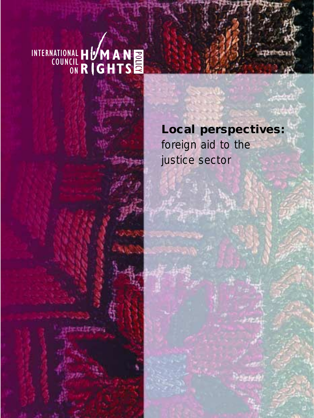# INTERNATIONAL HIM A NE

tratti had

**Local perspectives:**

foreign aid to the justice sector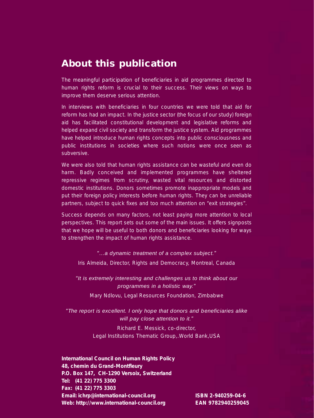# **About this publication**

The meaningful participation of beneficiaries in aid programmes directed to human rights reform is crucial to their success. Their views on ways to improve them deserve serious attention.

In interviews with beneficiaries in four countries we were told that aid for reform has had an impact. In the justice sector (the focus of our study) foreign aid has facilitated constitutional development and legislative reforms and helped expand civil society and transform the justice system. Aid programmes have helped introduce human rights concepts into public consciousness and public institutions in societies where such notions were once seen as subversive.

We were also told that human rights assistance can be wasteful and even do harm. Badly conceived and implemented programmes have sheltered repressive regimes from scrutiny, wasted vital resources and distorted domestic institutions. Donors sometimes promote inappropriate models and put their foreign policy interests before human rights. They can be unreliable partners, subject to quick fixes and too much attention on "exit strategies".

Success depends on many factors, not least paying more attention to local perspectives. This report sets out some of the main issues. It offers signposts that we hope will be useful to both donors and beneficiaries looking for ways to strengthen the impact of human rights assistance.

"*…a dynamic treatment of a complex subject.*"

Iris Almeida, Director, Rights and Democracy, Montreal, Canada

"*It is extremely interesting and challenges us to think about our programmes in a holistic way.*"

Mary Ndlovu, Legal Resources Foundation, Zimbabwe

"*The report is excellent. I only hope that donors and beneficiaries alike will pay close attention to it.*"

> Richard E. Messick, co-director, Legal Institutions Thematic Group,.World Bank,USA

**International Council on Human Rights Policy 48, chemin du Grand-Montfleury P.O. Box 147, CH-1290 Versoix, Switzerland Tel: (41 22) 775 3300 Fax: (41 22) 775 3303 Email: ichrp@international-council.org ISBN 2-940259-04-6 Web: http://www.international-council.org EAN 9782940259045**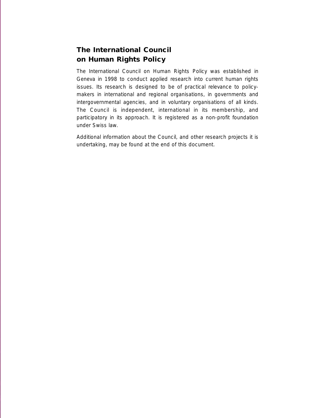# **The International Council on Human Rights Policy**

The International Council on Human Rights Policy was established in Geneva in 1998 to conduct applied research into current human rights issues. Its research is designed to be of practical relevance to policymakers in international and regional organisations, in governments and intergovernmental agencies, and in voluntary organisations of all kinds. The Council is independent, international in its membership, and participatory in its approach. It is registered as a non-profit foundation under Swiss law.

Additional information about the Council, and other research projects it is undertaking, may be found at the end of this document.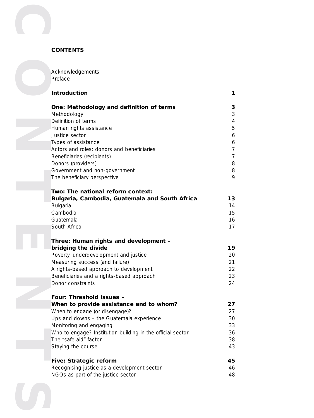# **CONTENTS**

| <b>CONTENTS</b>                                                                     |                |
|-------------------------------------------------------------------------------------|----------------|
| Acknowledgements                                                                    |                |
| Preface                                                                             |                |
| <b>Introduction</b>                                                                 | 1              |
| One: Methodology and definition of terms                                            | 3              |
| Methodology                                                                         | 3              |
| Definition of terms                                                                 | $\overline{4}$ |
| Human rights assistance<br>Justice sector                                           | 5<br>6         |
| Types of assistance                                                                 | 6              |
| Actors and roles: donors and beneficiaries                                          | 7              |
| Beneficiaries (recipients)                                                          | 7              |
| Donors (providers)                                                                  | 8              |
| Government and non-government                                                       | 8              |
| The beneficiary perspective                                                         | 9              |
| Two: The national reform context:                                                   |                |
| Bulgaria, Cambodia, Guatemala and South Africa<br>Bulgaria                          | 13<br>14       |
| Cambodia                                                                            | 15             |
| Guatemala                                                                           | 16             |
| South Africa                                                                        | 17             |
| Three: Human rights and development -                                               |                |
| bridging the divide                                                                 | 19             |
| Poverty, underdevelopment and justice                                               | 20             |
| Measuring success (and failure)                                                     | 21             |
| A rights-based approach to development<br>Beneficiaries and a rights-based approach | 22<br>23       |
| Donor constraints                                                                   | 24             |
| Four: Threshold issues -                                                            |                |
| When to provide assistance and to whom?                                             | 27             |
| When to engage (or disengage)?                                                      | 27             |
| Ups and downs - the Guatemala experience                                            | 30             |
| Monitoring and engaging                                                             | 33             |
| Who to engage? Institution building in the official sector                          | 36             |
| The "safe aid" factor<br>Staying the course                                         | 38<br>43       |
|                                                                                     |                |
| Five: Strategic reform                                                              | 45             |
| Recognising justice as a development sector<br>NGOs as part of the justice sector   | 46<br>48       |
|                                                                                     |                |
|                                                                                     |                |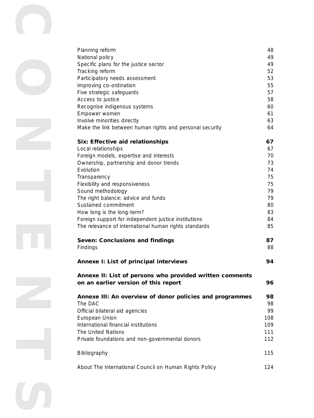|  | ۱ |  |
|--|---|--|

 $\bullet$ 

| Planning reform                                                                                  | 48  |
|--------------------------------------------------------------------------------------------------|-----|
| National policy                                                                                  | 49  |
| Specific plans for the justice sector                                                            | 49  |
| Tracking reform                                                                                  | 52  |
| Participatory needs assessment                                                                   | 53  |
| Improving co-ordination                                                                          | 55  |
| Five strategic safeguards                                                                        | 57  |
| Access to justice                                                                                | 58  |
| Recognise indigenous systems                                                                     | 60  |
| Empower women                                                                                    | 61  |
| Involve minorities directly                                                                      | 63  |
| Make the link between human rights and personal security                                         | 64  |
| Six: Effective aid relationships                                                                 | 67  |
| Local relationships                                                                              | 67  |
| Foreign models, expertise and interests                                                          | 70  |
| Ownership, partnership and donor trends                                                          | 73  |
| Evolution                                                                                        | 74  |
| Transparency                                                                                     | 75  |
| Flexibility and responsiveness                                                                   | 75  |
| Sound methodology                                                                                | 79  |
| The right balance: advice and funds                                                              | 79  |
| Sustained commitment                                                                             | 80  |
| How long is the long-term?                                                                       | 83  |
| Foreign support for independent justice institutions                                             | 84  |
| The relevance of international human rights standards                                            | 85  |
| Seven: Conclusions and findings                                                                  | 87  |
| Findings                                                                                         | 88  |
| Annexe I: List of principal interviews                                                           | 94  |
| Annexe II: List of persons who provided written comments<br>on an earlier version of this report | 96  |
| Annexe III: An overview of donor policies and programmes                                         | 98  |
| The DAC                                                                                          | 98  |
| Official bilateral aid agencies                                                                  | 99  |
| European Union                                                                                   | 108 |
| International financial institutions                                                             | 109 |
| The United Nations                                                                               | 111 |
| Private foundations and non-governmental donors                                                  | 112 |
| Bibliography                                                                                     | 115 |
| About The International Council on Human Rights Policy                                           | 124 |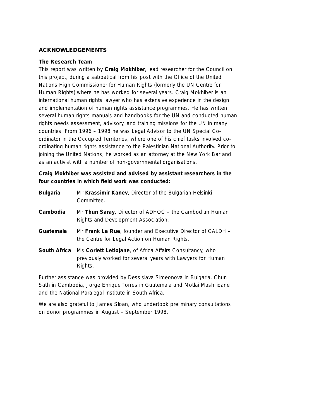#### **ACKNOWLEDGEMENTS**

#### **The Research Team**

This report was written by **Craig Mokhiber**, lead researcher for the Council on this project, during a sabbatical from his post with the Office of the United Nations High Commissioner for Human Rights (formerly the UN Centre for Human Rights) where he has worked for several years. Craig Mokhiber is an international human rights lawyer who has extensive experience in the design and implementation of human rights assistance programmes. He has written several human rights manuals and handbooks for the UN and conducted human rights needs assessment, advisory, and training missions for the UN in many countries. From 1996 – 1998 he was Legal Advisor to the UN Special Coordinator in the Occupied Territories, where one of his chief tasks involved coordinating human rights assistance to the Palestinian National Authority. Prior to joining the United Nations, he worked as an attorney at the New York Bar and as an activist with a number of non-governmental organisations.

### **Craig Mokhiber was assisted and advised by assistant researchers in the four countries in which field work was conducted:**

| Bulgaria     | Mr Krassimir Kanev, Director of the Bulgarian Helsinki<br>Committee.                                                   |
|--------------|------------------------------------------------------------------------------------------------------------------------|
| Cambodia     | Mr Thun Saray, Director of ADHOC – the Cambodian Human<br>Rights and Development Association.                          |
| Guatemala    | Mr Frank La Rue, founder and Executive Director of CALDH -<br>the Centre for Legal Action on Human Rights.             |
| South Africa | Ms Corlett Letlojane, of Africa Affairs Consultancy, who<br>previously worked for several years with Lawyers for Human |

Further assistance was provided by Dessislava Simeonova in Bulgaria, Chun Sath in Cambodia, Jorge Enrique Torres in Guatemala and Motlai Mashilioane and the National Paralegal Institute in South Africa.

Rights.

We are also grateful to James Sloan, who undertook preliminary consultations on donor programmes in August – September 1998.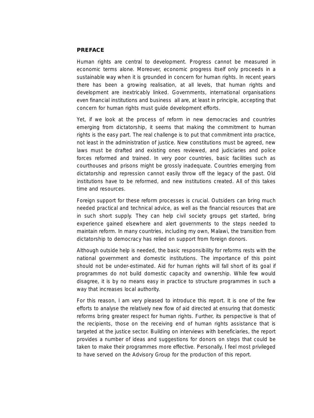#### **PREFACE**

Human rights are central to development. Progress cannot be measured in economic terms alone. Moreover, economic progress itself only proceeds in a sustainable way when it is grounded in concern for human rights. In recent years there has been a growing realisation, at all levels, that human rights and development are inextricably linked. Governments, international organisations even financial institutions and business all are, at least in principle, accepting that concern for human rights must guide development efforts.

Yet, if we look at the process of reform in new democracies and countries emerging from dictatorship, it seems that making the commitment to human rights is the easy part. The real challenge is to put that commitment into practice, not least in the administration of justice. New constitutions must be agreed, new laws must be drafted and existing ones reviewed, and judiciaries and police forces reformed and trained. In very poor countries, basic facilities such as courthouses and prisons might be grossly inadequate. Countries emerging from dictatorship and repression cannot easily throw off the legacy of the past. Old institutions have to be reformed, and new institutions created. All of this takes time and resources.

Foreign support for these reform processes is crucial. Outsiders can bring much needed practical and technical advice, as well as the financial resources that are in such short supply. They can help civil society groups get started, bring experience gained elsewhere and alert governments to the steps needed to maintain reform. In many countries, including my own, Malawi, the transition from dictatorship to democracy has relied on support from foreign donors.

Although outside help is needed, the basic responsibility for reforms rests with the national government and domestic institutions. The importance of this point should not be under-estimated. Aid for human rights will fall short of its goal if programmes do not build domestic capacity and ownership. While few would disagree, it is by no means easy in practice to structure programmes in such a way that increases local authority.

For this reason, I am very pleased to introduce this report. It is one of the few efforts to analyse the relatively new flow of aid directed at ensuring that domestic reforms bring greater respect for human rights. Further, its perspective is that of the recipients, those on the receiving end of human rights assistance that is targeted at the justice sector. Building on interviews with beneficiaries, the report provides a number of ideas and suggestions for donors on steps that could be taken to make their programmes more effective. Personally, I feel most privileged to have served on the Advisory Group for the production of this report.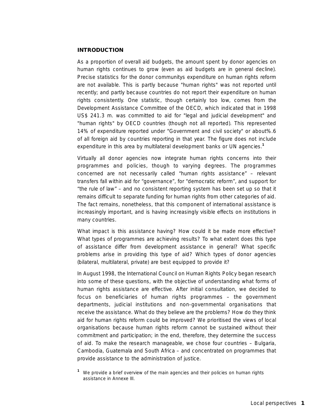#### **INTRODUCTION**

As a proportion of overall aid budgets, the amount spent by donor agencies on human rights continues to grow (even as aid budgets are in general decline). Precise statistics for the donor communitys expenditure on human rights reform are not available. This is partly because "human rights" was not reported until recently; and partly because countries do not report their expenditure on human rights consistently. One statistic, though certainly too low, comes from the Development Assistance Committee of the OECD, which indicated that in 1998 US\$ 241.3 m. was committed to aid for "legal and judicial development" and "human rights" by OECD countries (though not all reported). This represented 14% of expenditure reported under "Government and civil society" or about%.6 of all foreign aid by countries reporting in that year. The figure does not include expenditure in this area by multilateral development banks or UN agencies.**<sup>1</sup>**

Virtually all donor agencies now integrate human rights concerns into their programmes and policies, though to varying degrees. The programmes concerned are not necessarily called "human rights assistance" – relevant transfers fall within aid for "governance", for "democratic reform", and support for "the rule of law" – and no consistent reporting system has been set up so that it remains difficult to separate funding for human rights from other categories of aid. The fact remains, nonetheless, that this component of international assistance is increasingly important, and is having increasingly visible effects on institutions in many countries.

What impact is this assistance having? How could it be made more effective? What types of programmes are achieving results? To what extent does this type of assistance differ from development assistance in general? What specific problems arise in providing this type of aid? Which types of donor agencies (bilateral, multilateral, private) are best equipped to provide it?

In August 1998, the International Council on Human Rights Policy began research into some of these questions, with the objective of understanding what forms of human rights assistance are effective. After initial consultation, we decided to focus on beneficiaries of human rights programmes – the government departments, judicial institutions and non-governmental organisations that receive the assistance. What do they believe are the problems? How do they think aid for human rights reform could be improved? We prioritised the views of local organisations because human rights reform cannot be sustained without their commitment and participation; in the end, therefore, they determine the success of aid. To make the research manageable, we chose four countries – Bulgaria, Cambodia, Guatemala and South Africa – and concentrated on programmes that provide assistance to the administration of justice.

**<sup>1</sup>** We provide a brief overview of the main agencies and their policies on human rights assistance in Annexe III.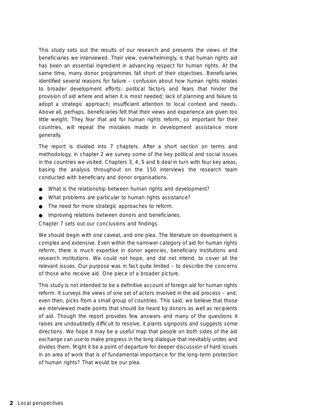This study sets out the results of our research and presents the views of the beneficiaries we interviewed. Their view, overwhelmingly, is that human rights aid has been an essential ingredient in advancing respect for human rights. At the same time, many donor programmes fall short of their objectives. Beneficiaries identified several reasons for failure – confusion about how human rights relates to broader development efforts; political factors and fears that hinder the provision of aid where and when it is most needed; lack of planning and failure to adopt a strategic approach; insufficient attention to local context and needs. Above all, perhaps, beneficiaries felt that their views and experience are given too little weight. They fear that aid for human rights reform, so important for their countries, will repeat the mistakes made in development assistance more generally.

The report is divided into 7 chapters. After a short section on terms and methodology, in chapter 2 we survey some of the key political and social issues in the countries we visited. Chapters 3, 4, 5 and 6 deal in turn with four key areas, basing the analysis throughout on the 150 interviews the research team conducted with beneficiary and donor organisations.

- What is the relationship between human rights and development?
- What problems are particular to human rights assistance?
- The need for more strategic approaches to reform.
- Improving relations between donors and beneficiaries.

Chapter 7 sets out our conclusions and findings.

We should begin with one caveat, and one plea. The literature on development is complex and extensive. Even within the narrower category of aid for human rights reform, there is much expertise in donor agencies, beneficiary institutions and research institutions. We could not hope, and did not intend, to cover all the relevant issues. Our purpose was in fact quite limited – to describe the concerns of those who receive aid. One piece of a broader picture.

This study is not intended to be a definitive account of foreign aid for human rights reform. It surveys the views of one set of actors involved in the aid process – and, even then, picks from a small group of countries. This said, we believe that those we interviewed made points that should be heard by donors as well as recipients of aid. Though the report provides few answers and many of the questions it raises are undoubtedly difficult to resolve, it plants signposts and suggests some directions. We hope it may be a useful map that people on both sides of the aid exchange can use to make progress in the long dialogue that inevitably unites and divides them. Might it be a point of departure for deeper discussion of hard issues in an area of work that is of fundamental importance for the long-term protection of human rights? That would be our plea.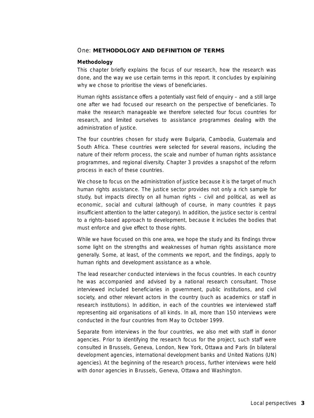#### One: **METHODOLOGY AND DEFINITION OF TERMS**

#### **Methodology**

This chapter briefly explains the focus of our research, how the research was done, and the way we use certain terms in this report. It concludes by explaining why we chose to prioritise the views of beneficiaries.

Human rights assistance offers a potentially vast field of enquiry – and a still large one after we had focused our research on the perspective of beneficiaries. To make the research manageable we therefore selected four focus countries for research, and limited ourselves to assistance programmes dealing with the administration of justice.

The four countries chosen for study were Bulgaria, Cambodia, Guatemala and South Africa. These countries were selected for several reasons, including the nature of their reform process, the scale and number of human rights assistance programmes, and regional diversity. Chapter 3 provides a snapshot of the reform process in each of these countries.

We chose to focus on the administration of justice because it is the target of much human rights assistance. The justice sector provides not only a rich sample for study, but impacts directly on all human rights – civil and political, as well as economic, social and cultural (although of course, in many countries it pays insufficient attention to the latter category). In addition, the justice sector is central to a rights-based approach to development, because it includes the bodies that must enforce and give effect to those rights.

While we have focused on this one area, we hope the study and its findings throw some light on the strengths and weaknesses of human rights assistance more generally. Some, at least, of the comments we report, and the findings, apply to human rights and development assistance as a whole.

The lead researcher conducted interviews in the focus countries. In each country he was accompanied and advised by a national research consultant. Those interviewed included beneficiaries in government, public institutions, and civil society, and other relevant actors in the country (such as academics or staff in research institutions). In addition, in each of the countries we interviewed staff representing aid organisations of all kinds. In all, more than 150 interviews were conducted in the four countries from May to October 1999.

Separate from interviews in the four countries, we also met with staff in donor agencies. Prior to identifying the research focus for the project, such staff were consulted in Brussels, Geneva, London, New York, Ottawa and Paris (in bilateral development agencies, international development banks and United Nations (UN) agencies). At the beginning of the research process, further interviews were held with donor agencies in Brussels, Geneva, Ottawa and Washington.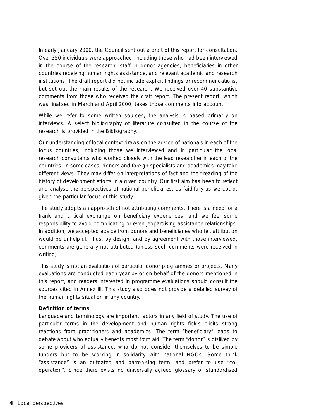In early January 2000, the Council sent out a draft of this report for consultation. Over 350 individuals were approached, including those who had been interviewed in the course of the research, staff in donor agencies, beneficiaries in other countries receiving human rights assistance, and relevant academic and research institutions. The draft report did not include explicit findings or recommendations, but set out the main results of the research. We received over 40 substantive comments from those who received the draft report. The present report, which was finalised in March and April 2000, takes those comments into account.

While we refer to some written sources, the analysis is based primarily on interviews. A select bibliography of literature consulted in the course of the research is provided in the Bibliography.

Our understanding of local context draws on the advice of nationals in each of the focus countries, including those we interviewed and in particular the local research consultants who worked closely with the lead researcher in each of the countries. In some cases, donors and foreign specialists and academics may take different views. They may differ on interpretations of fact and their reading of the history of development efforts in a given country. Our first aim has been to reflect and analyse the perspectives of national beneficiaries, as faithfully as we could, given the particular focus of this study.

The study adopts an approach of not attributing comments. There is a need for a frank and critical exchange on beneficiary experiences, and we feel some responsibility to avoid complicating or even jeopardising assistance relationships. In addition, we accepted advice from donors and beneficiaries who felt attribution would be unhelpful. Thus, by design, and by agreement with those interviewed, comments are generally not attributed (unless such comments were received in writing).

This study is not an evaluation of particular donor programmes or projects. Many evaluations are conducted each year by or on behalf of the donors mentioned in this report, and readers interested in programme evaluations should consult the sources cited in Annex III. This study also does not provide a detailed survey of the human rights situation in any country.

#### **Definition of terms**

Language and terminology are important factors in any field of study. The use of particular terms in the development and human rights fields elicits strong reactions from practitioners and academics. The term "beneficiary" leads to debate about who actually benefits most from aid. The term "donor" is disliked by some providers of assistance, who do not consider themselves to be simple funders but to be working in solidarity with national NGOs. Some think "assistance" is an outdated and patronising term, and prefer to use "cooperation". Since there exists no universally agreed glossary of standardised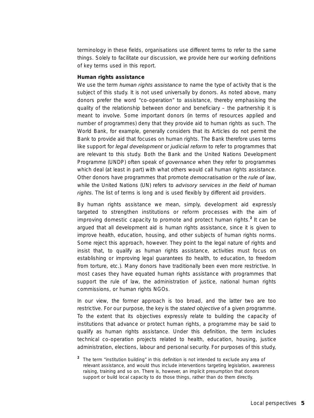terminology in these fields, organisations use different terms to refer to the same things. Solely to facilitate our discussion, we provide here our working definitions of key terms used in this report.

#### **Human rights assistance**

We use the term *human rights assistance* to name the type of activity that is the subject of this study. It is not used universally by donors. As noted above, many donors prefer the word "co-operation" to assistance, thereby emphasising the quality of the relationship between donor and beneficiary – the partnership it is meant to involve. Some important donors (in terms of resources applied and number of programmes) deny that they provide aid to human rights as such. The World Bank, for example, generally considers that its Articles do not permit the Bank to provide aid that focuses on human rights. The Bank therefore uses terms like support for *legal development* or *judicial reform* to refer to programmes that are relevant to this study. Both the Bank and the United Nations Development Programme (UNDP) often speak of *governance* when they refer to programmes which deal (at least in part) with what others would call human rights assistance. Other donors have programmes that promote *democratisation* or the *rule of law*, while the United Nations (UN) refers to *advisory services in the field of human rights*. The list of terms is long and is used flexibly by different aid providers.

By human rights assistance we mean, simply, *development aid expressly targeted to strengthen institutions or reform processes with the aim of* improving domestic capacity to promote and protect human rights.<sup>2</sup> It can be argued that all development aid is human rights assistance, since it is given to improve health, education, housing, and other subjects of human rights norms. Some reject this approach, however. They point to the legal nature of rights and insist that, to qualify as human rights assistance, activities must focus on establishing or improving legal guarantees (to health, to education, to freedom from torture, etc.). Many donors have traditionally been even more restrictive. In most cases they have equated human rights assistance with programmes that support the rule of law, the administration of justice, national human rights commissions, or human rights NGOs.

In our view, the former approach is too broad, and the latter two are too restrictive. For our purpose, the key is the *stated objective* of a given programme. To the extent that its objectives expressly relate to building the capacity of institutions that advance or protect human rights, a programme may be said to qualify as human rights assistance. Under this definition, the term includes technical co-operation projects related to health, education, housing, justice administration, elections, labour and personal security. For purposes of this study,

**<sup>2</sup>** The term "institution building" in this definition is not intended to exclude any area of relevant assistance, and would thus include interventions targeting legislation, awareness raising, training and so on. There is, however, an implicit presumption that donors support or build local capacity to do those things, rather than do them directly.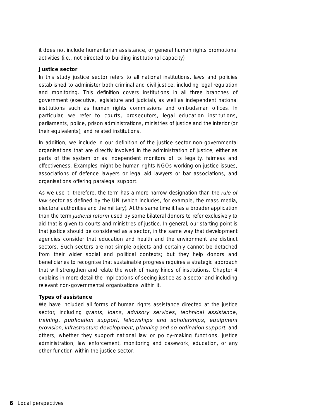it does not include humanitarian assistance, or general human rights promotional activities (i.e., not directed to building institutional capacity).

#### **Justice sector**

In this study *justice sector* refers to all national institutions, laws and policies established to administer both criminal and civil justice, including legal regulation and monitoring. This definition covers institutions in all three branches of government (executive, legislature and judicial), as well as independent national institutions such as human rights commissions and ombudsman offices. In particular, we refer to courts, prosecutors, legal education institutions, parliaments, police, prison administrations, ministries of justice and the interior (or their equivalents), and related institutions.

In addition, we include in our definition of the justice sector non-governmental organisations that are directly involved in the administration of justice, either as parts of the system or as independent monitors of its legality, fairness and effectiveness. Examples might be human rights NGOs working on justice issues, associations of defence lawyers or legal aid lawyers or bar associations, and organisations offering paralegal support.

As we use it, therefore, the term has a more narrow designation than the *rule of law* sector as defined by the UN (which includes, for example, the mass media, electoral authorities and the military). At the same time it has a broader application than the term *judicial reform* used by some bilateral donors to refer exclusively to aid that is given to courts and ministries of justice. In general, our starting point is that justice should be considered as a *sector*, in the same way that development agencies consider that education and health and the environment are distinct sectors. Such sectors are not simple objects and certainly cannot be detached from their wider social and political contexts; but they help donors and beneficiaries to recognise that sustainable progress requires a strategic approach that will strengthen and relate the work of many kinds of institutions. Chapter 4 explains in more detail the implications of seeing justice as a sector and including relevant non-governmental organisations within it.

#### **Types of assistance**

We have included all forms of human rights assistance directed at the justice sector, including *grants, loans, advisory services, technical assistance, training, publication support, fellowships and scholarships, equipment provision, infrastructure development, planning and co-ordination support*, and others, whether they support national law or policy-making functions, justice administration, law enforcement, monitoring and casework, education, or any other function within the justice sector.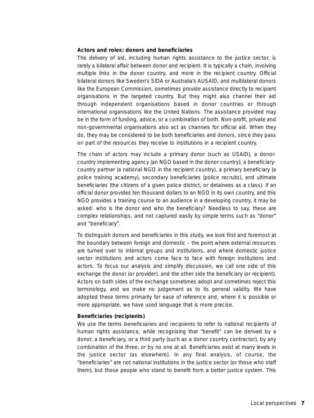#### **Actors and roles: donors and beneficiaries**

The delivery of aid, including human rights assistance to the justice sector, is rarely a bilateral affair between donor and recipient. It is typically a chain, involving multiple links in the donor country, and more in the recipient country. Official bilateral donors like Sweden's SIDA or Australia's AUSAID, and multilateral donors like the European Commission, sometimes provide assistance directly to recipient organisations in the targeted country. But they might also channel their aid through independent organisations based in donor countries or through international organisations like the United Nations. The assistance provided may be in the form of funding, advice, or a combination of both. Non-profit, private and non-governmental organisations also act as channels for official aid. When they do, they may be considered to be both beneficiaries and donors, since they pass on part of the resources they receive to institutions in a recipient country.

The chain of actors may include a primary donor (such as USAID), a donorcountry implementing agency (an NGO based in the donor country), a beneficiarycountry partner (a national NGO in the recipient country), a primary beneficiary (a police training academy), secondary beneficiaries (police recruits), and ultimate beneficiaries (the citizens of a given police district, or detainees as a class). If an official donor provides ten thousand dollars to an NGO in its own country, and this NGO provides a training course to an audience in a developing country, it may be asked: who is the donor and who the beneficiary? Needless to say, these are complex relationships, and not captured easily by simple terms such as "donor" and "beneficiary".

To distinguish donors and beneficiaries in this study, we look first and foremost at the boundary between foreign and domestic – the point where external resources are turned over to internal groups and institutions, and where domestic justice sector institutions and actors come face to face with foreign institutions and actors. To focus our analysis and simplify discussion, we call one side of this exchange the donor (or provider), and the other side the beneficiary (or recipient). Actors on both sides of the exchange sometimes adopt and sometimes reject this terminology, and we make no judgement as to its general validity. We have adopted these terms primarily for ease of reference and, where it is possible or more appropriate, we have used language that is more precise.

#### **Beneficiaries (recipients)**

We use the terms *beneficiaries* and *recipients* to refer to national recipients of human rights assistance, while recognising that "benefit" can be derived by a donor, a beneficiary, or a third party (such as a donor country contractor), by any combination of the three, or by no one at all. Beneficiaries exist at many levels in the justice sector (as elsewhere). In any final analysis, of course, the "beneficiaries" are not national institutions in the justice sector (or those who staff them), but those people who stand to benefit from a better justice system. This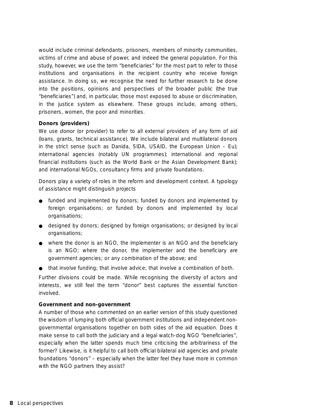would include criminal defendants, prisoners, members of minority communities, victims of crime and abuse of power, and indeed the general population. For this study, however, we use the term "beneficiaries" for the most part to refer to those institutions and organisations in the recipient country who receive foreign assistance. In doing so, we recognise the need for further research to be done into the positions, opinions and perspectives of the broader public (the true "beneficiaries") and, in particular, those most exposed to abuse or discrimination, in the justice system as elsewhere. These groups include, among others, prisoners, women, the poor and minorities.

#### **Donors (providers)**

We use *donor* (or provider) to refer to all external providers of any form of aid (loans, grants, technical assistance). We include bilateral and multilateral donors in the strict sense (such as Danida, SIDA, USAID, the European Union – Eu); international agencies (notably UN programmes); international and regional financial institutions (such as the World Bank or the Asian Development Bank); and international NGOs, consultancy firms and private foundations.

Donors play a variety of roles in the reform and development context. A typology of assistance might distinguish projects

- funded and implemented by donors; funded by donors and implemented by foreign organisations; or funded by donors and implemented by local organisations;
- designed by donors; designed by foreign organisations; or designed by local organisations;
- where the donor is an NGO, the implementer is an NGO and the beneficiary is an NGO; where the donor, the implementer and the beneficiary are government agencies; or any combination of the above; and
- that involve funding; that involve advice; that involve a combination of both.

Further divisions could be made. While recognising the diversity of actors and interests, we still feel the term "donor" best captures the essential function involved.

#### **Government and non-government**

A number of those who commented on an earlier version of this study questioned the wisdom of lumping both official government institutions and independent nongovernmental organisations together on both sides of the aid equation. Does it make sense to call both the judiciary and a legal watch-dog NGO "beneficiaries", especially when the latter spends much time criticising the arbitrariness of the former? Likewise, is it helpful to call both official bilateral aid agencies and private foundations "donors" – especially when the latter feel they have more in common with the NGO partners they assist?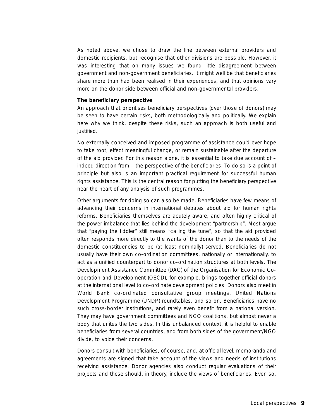As noted above, we chose to draw the line between external providers and domestic recipients, but recognise that other divisions are possible. However, it was interesting that on many issues we found little disagreement between government and non-government beneficiaries. It might well be that beneficiaries share more than had been realised in their experiences, and that opinions vary more on the donor side between official and non-governmental providers.

#### **The beneficiary perspective**

An approach that prioritises beneficiary perspectives (over those of donors) may be seen to have certain risks, both methodologically and politically. We explain here why we think, despite these risks, such an approach is both useful and justified.

No externally conceived and imposed programme of assistance could ever hope to take root, effect meaningful change, or remain sustainable after the departure of the aid provider. For this reason alone, it is essential to take due account of – indeed direction from – the perspective of the beneficiaries. To do so is a point of principle but also is an important practical requirement for successful human rights assistance. This is the central reason for putting the beneficiary perspective near the heart of any analysis of such programmes.

Other arguments for doing so can also be made. Beneficiaries have few means of advancing their concerns in international debates about aid for human rights reforms. Beneficiaries themselves are acutely aware, and often highly critical of the power imbalance that lies behind the development "partnership". Most argue that "paying the fiddler" still means "calling the tune", so that the aid provided often responds more directly to the wants of the donor than to the needs of the domestic constituencies to be (at least nominally) served. Beneficiaries do not usually have their own co-ordination committees, nationally or internationally, to act as a unified counterpart to donor co-ordination structures at both levels. The Development Assistance Committee (DAC) of the Organisation for Economic Cooperation and Development (OECD), for example, brings together official donors at the international level to co-ordinate development policies. Donors also meet in World Bank co-ordinated consultative group meetings, United Nations Development Programme (UNDP) roundtables, and so on. Beneficiaries have no such cross-border institutions, and rarely even benefit from a national version. They may have government committees and NGO coalitions, but almost never a body that unites the two sides. In this unbalanced context, it is helpful to enable beneficiaries from several countries, and from both sides of the government/NGO divide, to voice their concerns.

Donors consult with beneficiaries, of course, and, at official level, memoranda and agreements are signed that take account of the views and needs of institutions receiving assistance. Donor agencies also conduct regular evaluations of their projects and these should, in theory, include the views of beneficiaries. Even so,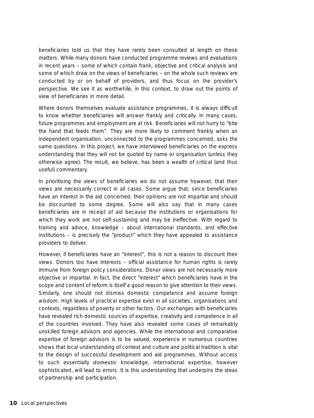beneficiaries told us that they have rarely been consulted at length on these matters. While many donors have conducted programme reviews and evaluations in recent years – some of which contain frank, objective and critical analysis and some of which draw on the views of beneficiaries – on the whole such reviews are conducted by or on behalf of providers, and thus focus on the provider's perspective. We see it as worthwhile, in this context, to draw out the points of view of beneficiaries in more detail.

Where donors themselves evaluate assistance programmes, it is always difficult to know whether beneficiaries will answer frankly and critically. In many cases, future programmes and employment are at risk. Beneficiaries will not hurry to "bite the hand that feeds them". They are more likely to comment frankly when an independent organisation, unconnected to the programmes concerned, asks the same questions. In this project, we have interviewed beneficiaries on the express understanding that they will not be quoted by name or organisation (unless they otherwise agree). The result, we believe, has been a wealth of critical (and thus useful) commentary.

In prioritising the views of beneficiaries we do not assume however, that their views are necessarily correct in all cases. Some argue that, since beneficiaries have an interest in the aid concerned, their opinions are not impartial and should be discounted to some degree. Some will also say that in many cases beneficiaries are in receipt of aid because the institutions or organisations for which they work are not self-sustaining and may be ineffective. With regard to training and advice, knowledge – about international standards, and effective institutions – is precisely the "product" which they have appealed to assistance providers to deliver.

However, if beneficiaries have an "interest", this is not a reason to discount their views. Donors too have interests – official assistance for human rights is rarely immune from foreign policy considerations. Donor views are not necessarily more objective or impartial. In fact, the direct "interest" which beneficiaries have in the scope and content of reform is itself a good reason to give attention to their views. Similarly, one should not dismiss domestic competence and assume foreign wisdom. High levels of practical expertise exist in all societies, organisations and contexts, regardless of poverty or other factors. Our exchanges with beneficiaries have revealed rich domestic sources of expertise, creativity and competence in all of the countries involved. They have also revealed some cases of remarkably unskilled foreign advisors and agencies. While the international and comparative expertise of foreign advisors is to be valued, experience in numerous countries shows that local understanding of context and culture and political tradition is vital to the design of successful development and aid programmes. Without access to such essentially *domestic* knowledge, international expertise, however sophisticated, will lead to errors. It is this understanding that underpins the ideas of partnership and participation.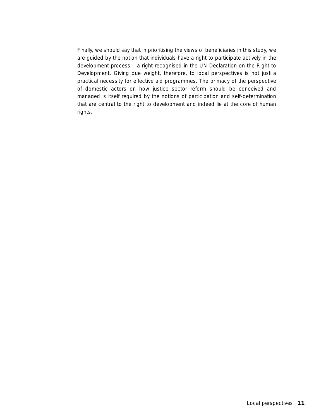Finally, we should say that in prioritising the views of beneficiaries in this study, we are guided by the notion that individuals have a right to participate actively in the development process – a right recognised in the UN Declaration on the Right to Development. Giving due weight, therefore, to local perspectives is not just a practical necessity for effective aid programmes. The primacy of the perspective of domestic actors on how justice sector reform should be conceived and managed is itself required by the notions of participation and self-determination that are central to the right to development and indeed lie at the core of human rights.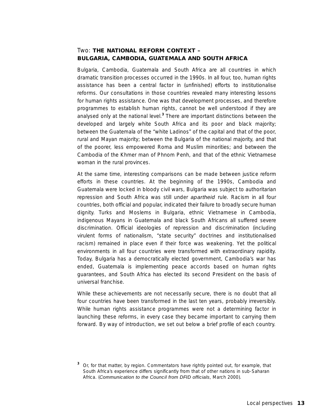## Two: **THE NATIONAL REFORM CONTEXT – BULGARIA, CAMBODIA, GUATEMALA AND SOUTH AFRICA**

Bulgaria, Cambodia, Guatemala and South Africa are all countries in which dramatic transition processes occurred in the 1990s. In all four, too, human rights assistance has been a central factor in (unfinished) efforts to institutionalise reforms. Our consultations in those countries revealed many interesting lessons for human rights assistance. One was that development processes, and therefore programmes to establish human rights, cannot be well understood if they are analysed only at the national level.**<sup>3</sup>** There are important distinctions between the developed and largely white South Africa and its poor and black majority; between the Guatemala of the "white Ladinos" of the capital and that of the poor, rural and Mayan majority; between the Bulgaria of the national majority, and that of the poorer, less empowered Roma and Muslim minorities; and between the Cambodia of the Khmer man of Phnom Penh, and that of the ethnic Vietnamese woman in the rural provinces.

At the same time, interesting comparisons can be made between justice reform efforts in these countries. At the beginning of the 1990s, Cambodia and Guatemala were locked in bloody civil wars, Bulgaria was subject to authoritarian repression and South Africa was still under *apartheid* rule. Racism in all four countries, both official and popular, indicated their failure to broadly secure human dignity. Turks and Moslems in Bulgaria, ethnic Vietnamese in Cambodia, indigenous Mayans in Guatemala and black South Africans all suffered severe discrimination. Official ideologies of repression and discrimination (including virulent forms of nationalism, "state security" doctrines and institutionalised racism) remained in place even if their force was weakening. Yet the political environments in all four countries were transformed with extraordinary rapidity. Today, Bulgaria has a democratically elected government, Cambodia's war has ended, Guatemala is implementing peace accords based on human rights guarantees, and South Africa has elected its second President on the basis of universal franchise.

While these achievements are not necessarily secure, there is no doubt that all four countries have been transformed in the last ten years, probably irreversibly. While human rights assistance programmes were not a determining factor in launching these reforms, in every case they became important to carrying them forward. By way of introduction, we set out below a brief profile of each country.

**<sup>3</sup>** Or, for that matter, by region. Commentators have rightly pointed out, for example, that South Africa's experience differs significantly from that of other nations in sub-Saharan Africa. (*Communication to the Council from DFID officials*, March 2000).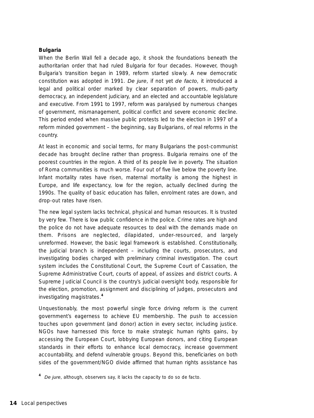#### **Bulgaria**

When the Berlin Wall fell a decade ago, it shook the foundations beneath the authoritarian order that had ruled Bulgaria for four decades. However, though Bulgaria's transition began in 1989, reform started slowly. A new democratic constitution was adopted in 1991. *De jure*, if not yet *de facto*, it introduced a legal and political order marked by clear separation of powers, multi-party democracy, an independent judiciary, and an elected and accountable legislature and executive. From 1991 to 1997, reform was paralysed by numerous changes of government, mismanagement, political conflict and severe economic decline. This period ended when massive public protests led to the election in 1997 of a reform minded government – the beginning, say Bulgarians, of real reforms in the country.

At least in economic and social terms, for many Bulgarians the post-communist decade has brought decline rather than progress. Bulgaria remains one of the poorest countries in the region. A third of its people live in poverty. The situation of Roma communities is much worse. Four out of five live below the poverty line. Infant mortality rates have risen, maternal mortality is among the highest in Europe, and life expectancy, low for the region, actually declined during the 1990s. The quality of basic education has fallen, enrolment rates are down, and drop-out rates have risen.

The new legal system lacks technical, physical and human resources. It is trusted by very few. There is low public confidence in the police. Crime rates are high and the police do not have adequate resources to deal with the demands made on them. Prisons are neglected, dilapidated, under-resourced, and largely unreformed. However, the basic legal framework is established. Constitutionally, the judicial branch is independent – including the courts, prosecutors, and investigating bodies charged with preliminary criminal investigation. The court system includes the Constitutional Court, the Supreme Court of Cassation, the Supreme Administrative Court, courts of appeal, of assizes and district courts. A Supreme Judicial Council is the country's judicial oversight body, responsible for the election, promotion, assignment and disciplining of judges, prosecutors and investigating magistrates.**<sup>4</sup>**

Unquestionably, the most powerful single force driving reform is the current government's eagerness to achieve EU membership. The push to accession touches upon government (and donor) action in every sector, including justice. NGOs have harnessed this force to make strategic human rights gains, by accessing the European Court, lobbying European donors, and citing European standards in their efforts to enhance local democracy, increase government accountability, and defend vulnerable groups. Beyond this, beneficiaries on both sides of the government/NGO divide affirmed that human rights assistance has

**<sup>4</sup>** *De jure*, although, observers say, it lacks the capacity to do so de facto.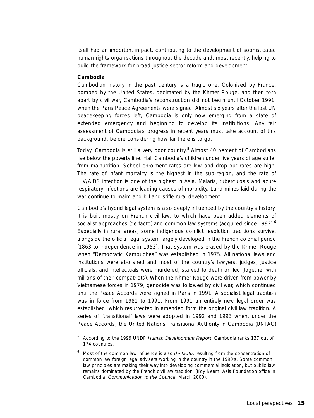itself had an important impact, contributing to the development of sophisticated human rights organisations throughout the decade and, most recently, helping to build the framework for broad justice sector reform and development.

#### **Cambodia**

Cambodian history in the past century is a tragic one. Colonised by France, bombed by the United States, decimated by the Khmer Rouge, and then torn apart by civil war, Cambodia's reconstruction did not begin until October 1991, when the Paris Peace Agreements were signed. Almost six years after the last UN peacekeeping forces left, Cambodia is only now emerging from a state of extended emergency and beginning to develop its institutions. Any fair assessment of Cambodia's progress in recent years must take account of this background, before considering how far there is to go.

Today, Cambodia is still a very poor country.**<sup>5</sup>** Almost 40 percent of Cambodians live below the poverty line. Half Cambodia's children under five years of age suffer from malnutrition. School enrolment rates are low and drop-out rates are high. The rate of infant mortality is the highest in the sub-region, and the rate of HIV/AIDS infection is one of the highest in Asia. Malaria, tuberculosis and acute respiratory infections are leading causes of morbidity. Land mines laid during the war continue to maim and kill and stifle rural development.

Cambodia's hybrid legal system is also deeply influenced by the country's history. It is built mostly on French civil law, to which have been added elements of socialist approaches (de facto) and common law systems (acquired since 1992).**<sup>6</sup>** Especially in rural areas, some indigenous conflict resolution traditions survive, alongside the official legal system largely developed in the French colonial period (1863 to independence in 1953). That system was erased by the Khmer Rouge when "Democratic Kampuchea" was established in 1975. All national laws and institutions were abolished and most of the country's lawyers, judges, justice officials, and intellectuals were murdered, starved to death or fled (together with millions of their compatriots). When the Khmer Rouge were driven from power by Vietnamese forces in 1979, genocide was followed by civil war, which continued until the Peace Accords were signed in Paris in 1991. A socialist legal tradition was in force from 1981 to 1991. From 1991 an entirely new legal order was established, which resurrected in amended form the original civil law tradition. A series of "transitional" laws were adopted in 1992 and 1993 when, under the Peace Accords, the United Nations Transitional Authority in Cambodia (UNTAC)

**<sup>5</sup>** According to the 1999 UNDP *Human Development Report*, Cambodia ranks 137 out of 174 countries.

**<sup>6</sup>** Most of the common law influence is also *de facto*, resulting from the concentration of common law foreign legal advisers working in the country in the 1990's. Some common law principles are making their way into developing commercial legislation, but public law remains dominated by the French civil law tradition. (Koy Neam, Asia Foundation office in Cambodia, *Communication to the Council*, March 2000).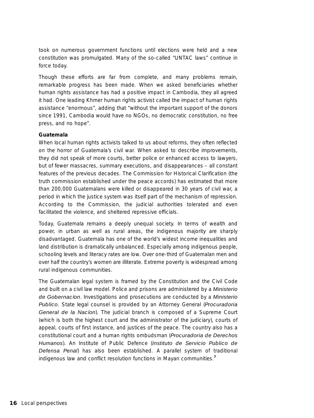took on numerous government functions until elections were held and a new constitution was promulgated. Many of the so-called "UNTAC laws" continue in force today.

Though these efforts are far from complete, and many problems remain, remarkable progress has been made. When we asked beneficiaries whether human rights assistance has had a positive impact in Cambodia, they all agreed it had. One leading Khmer human rights activist called the impact of human rights assistance "enormous", adding that "without the important support of the donors since 1991, Cambodia would have no NGOs, no democratic constitution, no free press, and no hope".

#### **Guatemala**

When local human rights activists talked to us about reforms, they often reflected on the horror of Guatemala's civil war. When asked to describe improvements, they did not speak of more courts, better police or enhanced access to lawyers, but of fewer massacres, summary executions, and disappearances – all constant features of the previous decades. The Commission for Historical Clarification (the truth commission established under the peace accords) has estimated that more than 200,000 Guatemalans were killed or disappeared in 30 years of civil war, a period in which the justice system was itself part of the mechanism of repression. According to the Commission, the judicial authorities tolerated and even facilitated the violence, and sheltered repressive officials.

Today, Guatemala remains a deeply unequal society. In terms of wealth and power, in urban as well as rural areas, the indigenous majority are sharply disadvantaged. Guatemala has one of the world's widest income inequalities and land distribution is dramatically unbalanced. Especially among indigenous people, schooling levels and literacy rates are low. Over one-third of Guatemalan men and over half the country's women are illiterate. Extreme poverty is widespread among rural indigenous communities.

The Guatemalan legal system is framed by the Constitution and the Civil Code and built on a civil law model. Police and prisons are administered by a *Ministerio de Gobernacíon*. Investigations and prosecutions are conducted by a *Ministerio Publico*. State legal counsel is provided by an Attorney General (*Procuradoria General de la Nacíon*). The judicial branch is composed of a Supreme Court (which is both the highest court and the administrator of the judiciary), courts of appeal, courts of first instance, and justices of the peace. The country also has a constitutional court and a human rights ombudsman (*Procuradoria de Derechos Humanos*). An Institute of Public Defence (*Instituto de Servicio Publico de Defensa Penal*) has also been established. A parallel system of traditional indigenous law and conflict resolution functions in Mayan communities.**<sup>7</sup>**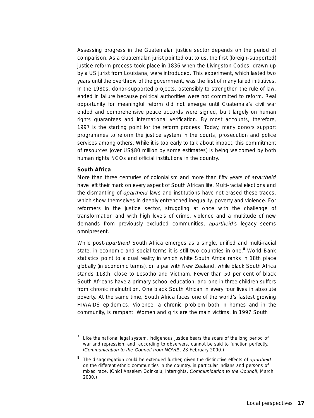Assessing progress in the Guatemalan justice sector depends on the period of comparison. As a Guatemalan jurist pointed out to us, the first (foreign-supported) justice-reform process took place in 1836 when the Livingston Codes, drawn up by a US jurist from Louisiana, were introduced. This experiment, which lasted two years until the overthrow of the government, was the first of many failed initiatives. In the 1980s, donor-supported projects, ostensibly to strengthen the rule of law, ended in failure because political authorities were not committed to reform. Real opportunity for meaningful reform did not emerge until Guatemala's civil war ended and comprehensive peace accords were signed, built largely on human rights guarantees and international verification. By most accounts, therefore, 1997 is the starting point for the reform process. Today, many donors support programmes to reform the justice system in the courts, prosecution and police services among others. While it is too early to talk about impact, this commitment of resources (over US\$80 million by some estimates) is being welcomed by both human rights NGOs and official institutions in the country.

#### **South Africa**

More than three centuries of colonialism and more than fifty years of *apartheid* have left their mark on every aspect of South African life. Multi-racial elections and the dismantling of *apartheid* laws and institutions have not erased these traces, which show themselves in deeply entrenched inequality, poverty and violence. For reformers in the justice sector, struggling at once with the challenge of transformation and with high levels of crime, violence and a multitude of new demands from previously excluded communities, *apartheid*'s legacy seems omnipresent.

While post-*apartheid* South Africa emerges as a single, unified and multi-racial state, in economic and social terms it is still two countries in one.**<sup>8</sup>** World Bank statistics point to a dual reality in which white South Africa ranks in 18th place globally (in economic terms), on a par with New Zealand, while black South Africa stands 118th, close to Lesotho and Vietnam. Fewer than 50 per cent of black South Africans have a primary school education, and one in three children suffers from chronic malnutrition. One black South African in every four lives in absolute poverty. At the same time, South Africa faces one of the world's fastest growing HIV/AIDS epidemics. Violence, a chronic problem both in homes and in the community, is rampant. Women and girls are the main victims. In 1997 South

**<sup>7</sup>** Like the national legal system, indigenous justice bears the scars of the long period of war and repression, and, according to observers, cannot be said to function perfectly. (*Communication to the Council from NOVIB*, 28 February 2000.)

**<sup>8</sup>** The disaggregation could be extended further, given the distinctive effects of *apartheid* on the different ethnic communities in the country, in particular Indians and persons of mixed race. (Chidi Anselem Odinkalu, Interrights, *Communication to the Council*, March 2000.)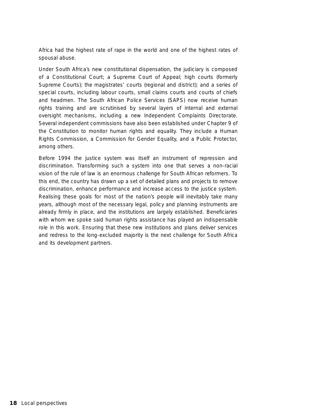Africa had the highest rate of rape in the world and one of the highest rates of spousal abuse.

Under South Africa's new constitutional dispensation, the judiciary is composed of a Constitutional Court; a Supreme Court of Appeal; high courts (formerly Supreme Courts); the magistrates' courts (regional and district); and a series of special courts, including labour courts, small claims courts and courts of chiefs and headmen. The South African Police Services (SAPS) now receive human rights training and are scrutinised by several layers of internal and external oversight mechanisms, including a new Independent Complaints Directorate. Several independent commissions have also been established under Chapter 9 of the Constitution to monitor human rights and equality. They include a Human Rights Commission, a Commission for Gender Equality, and a Public Protector, among others.

Before 1994 the justice system was itself an instrument of repression and discrimination. Transforming such a system into one that serves a non-racial vision of the rule of law is an enormous challenge for South African reformers. To this end, the country has drawn up a set of detailed plans and projects to remove discrimination, enhance performance and increase access to the justice system. Realising these goals for most of the nation's people will inevitably take many years, although most of the necessary legal, policy and planning instruments are already firmly in place, and the institutions are largely established. Beneficiaries with whom we spoke said human rights assistance has played an indispensable role in this work. Ensuring that these new institutions and plans deliver services and redress to the long-excluded majority is the next challenge for South Africa and its development partners.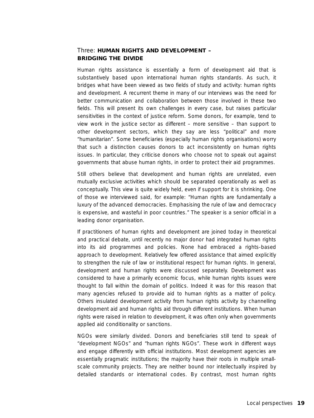## Three: **HUMAN RIGHTS AND DEVELOPMENT – BRIDGING THE DIVIDE**

Human rights assistance is essentially a form of development aid that is substantively based upon international human rights standards. As such, it bridges what have been viewed as two fields of study and activity: human rights and development. A recurrent theme in many of our interviews was the need for better communication and collaboration between those involved in these two fields. This will present its own challenges in every case, but raises particular sensitivities in the context of justice reform. Some donors, for example, tend to view work in the justice sector as different – more sensitive – than support to other development sectors, which they say are less "political" and more "humanitarian". Some beneficiaries (especially human rights organisations) worry that such a distinction causes donors to act inconsistently on human rights issues. In particular, they criticise donors who choose not to speak out against governments that abuse human rights, in order to protect their aid programmes.

Still others believe that development and human rights are unrelated, even mutually exclusive activities which should be separated operationally as well as conceptually. This view is quite widely held, even if support for it is shrinking. One of those we interviewed said, for example: "Human rights are fundamentally a luxury of the advanced democracies. Emphasising the rule of law and democracy is expensive, and wasteful in poor countries." The speaker is a senior official in a leading donor organisation.

If practitioners of human rights and development are joined today in theoretical and practical debate, until recently no major donor had integrated human rights into its aid programmes and policies. None had embraced a rights-based approach to development. Relatively few offered assistance that aimed explicitly to strengthen the rule of law or institutional respect for human rights. In general, development and human rights were discussed separately. Development was considered to have a primarily economic focus, while human rights issues were thought to fall within the domain of politics. Indeed it was for this reason that many agencies refused to provide aid to human rights as a matter of policy. Others insulated development activity from human rights activity by channelling development aid and human rights aid through different institutions. When human rights were raised in relation to development, it was often only when governments applied aid conditionality or sanctions.

NGOs were similarly divided. Donors and beneficiaries still tend to speak of "development NGOs" and "human rights NGOs". These work in different ways and engage differently with official institutions. Most development agencies are essentially pragmatic institutions; the majority have their roots in multiple smallscale community projects. They are neither bound nor intellectually inspired by detailed standards or international codes. By contrast, most human rights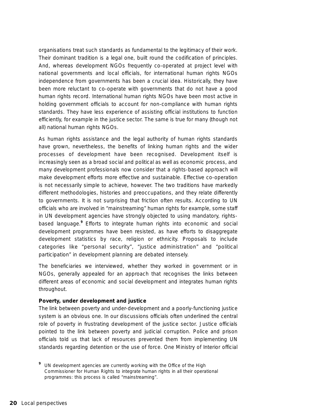organisations treat such standards as fundamental to the legitimacy of their work. Their dominant tradition is a legal one, built round the codification of principles. And, whereas development NGOs frequently co-operated at project level with national governments and local officials, for international human rights NGOs independence from governments has been a crucial idea. Historically, they have been more reluctant to co-operate with governments that do not have a good human rights record. International human rights NGOs have been most active in holding government officials to account for non-compliance with human rights standards. They have less experience of assisting official institutions to function efficiently, for example in the justice sector. The same is true for many (though not all) national human rights NGOs.

As human rights assistance and the legal authority of human rights standards have grown, nevertheless, the benefits of linking human rights and the wider processes of development have been recognised. Development itself is increasingly seen as a broad social and political as well as economic process, and many development professionals now consider that a rights-based approach will make development efforts more effective and sustainable. Effective co-operation is not necessarily simple to achieve, however. The two traditions have markedly different methodologies, histories and preoccupations, and they relate differently to governments. It is not surprising that friction often results. According to UN officials who are involved in "mainstreaming" human rights for example, some staff in UN development agencies have strongly objected to using mandatory, rightsbased language.**<sup>9</sup>** Efforts to integrate human rights into economic and social development programmes have been resisted, as have efforts to disaggregate development statistics by race, religion or ethnicity. Proposals to include categories like "personal security", "justice administration" and "political participation" in development planning are debated intensely.

The beneficiaries we interviewed, whether they worked in government or in NGOs, generally appealed for an approach that recognises the links between different areas of economic and social development and integrates human rights throughout.

#### **Poverty, under development and justice**

The link between poverty and under-development and a poorly-functioning justice system is an obvious one. In our discussions officials often underlined the central role of poverty in frustrating development of the justice sector. Justice officials pointed to the link between poverty and judicial corruption. Police and prison officials told us that lack of resources prevented them from implementing UN standards regarding detention or the use of force. One Ministry of Interior official

**<sup>9</sup>** UN development agencies are currently working with the Office of the High Commissioner for Human Rights to integrate human rights in all their operational programmes: this process is called "mainstreaming".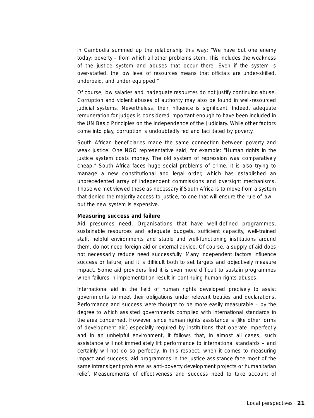in Cambodia summed up the relationship this way: "We have but one enemy today: poverty – from which all other problems stem. This includes the weakness of the justice system and abuses that occur there. Even if the system is over-staffed, the low level of resources means that officials are under-skilled, underpaid, and under equipped."

Of course, low salaries and inadequate resources do not justify continuing abuse. Corruption and violent abuses of authority may also be found in well-resourced judicial systems. Nevertheless, their influence is significant. Indeed, adequate remuneration for judges is considered important enough to have been included in the UN Basic Principles on the Independence of the Judiciary. While other factors come into play, corruption is undoubtedly fed and facilitated by poverty.

South African beneficiaries made the same connection between poverty and weak justice. One NGO representative said, for example: "Human rights in the justice system costs money. The old system of repression was comparatively cheap." South Africa faces huge social problems of crime. It is also trying to manage a new constitutional and legal order, which has established an unprecedented array of independent commissions and oversight mechanisms. Those we met viewed these as necessary if South Africa is to move from a system that denied the majority access to justice, to one that will ensure the rule of law – but the new system is expensive.

#### **Measuring success and failure**

Aid presumes need. Organisations that have well-defined programmes, sustainable resources and adequate budgets, sufficient capacity, well-trained staff, helpful environments and stable and well-functioning institutions around them, do not need foreign aid or external advice. Of course, a supply of aid does not necessarily reduce need successfully. Many independent factors influence success or failure, and it is difficult both to set targets and objectively measure impact. Some aid providers find it is even more difficult to sustain programmes when failures in implementation result in continuing human rights abuses.

International aid in the field of human rights developed precisely to assist governments to meet their obligations under relevant treaties and declarations. Performance and success were thought to be more easily measurable – by the degree to which assisted governments complied with international standards in the area concerned. However, since human rights assistance is (like other forms of development aid) especially required by institutions that operate imperfectly and in an unhelpful environment, it follows that, in almost all cases, such assistance will not immediately lift performance to international standards – and certainly will not do so perfectly. In this respect, when it comes to measuring impact and success, aid programmes in the justice assistance face most of the same intransigent problems as anti-poverty development projects or humanitarian relief. Measurements of effectiveness and success need to take account of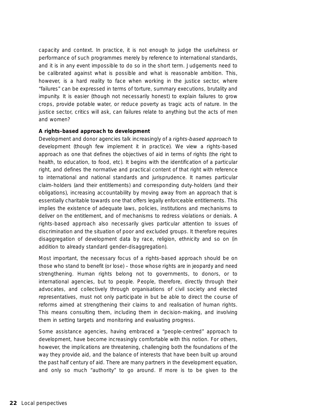capacity and context. In practice, it is not enough to judge the usefulness or performance of such programmes merely by reference to international standards, and it is in any event impossible to do so in the short term. Judgements need to be calibrated against what is possible and what is reasonable ambition. This, however, is a hard reality to face when working in the justice sector, where "failures" can be expressed in terms of torture, summary executions, brutality and impunity. It is easier (though not necessarily honest) to explain failures to grow crops, provide potable water, or reduce poverty as tragic acts of nature. In the justice sector, critics will ask, can failures relate to anything but the acts of men and women?

#### **A rights-based approach to development**

Development and donor agencies talk increasingly of a *rights-based approach* to development (though few implement it in practice). We view a rights-based approach as one that defines the objectives of aid in terms of rights (the right to health, to education, to food, etc). It begins with the identification of a particular right, and defines the normative and practical content of that right with reference to international and national standards and jurisprudence. It names particular claim-holders (and their entitlements) and corresponding duty-holders (and their obligations), increasing accountability by moving away from an approach that is essentially charitable towards one that offers legally enforceable entitlements. This implies the existence of adequate laws, policies, institutions and mechanisms to deliver on the entitlement, and of mechanisms to redress violations or denials. A rights-based approach also necessarily gives particular attention to issues of discrimination and the situation of poor and excluded groups. It therefore requires disaggregation of development data by race, religion, ethnicity and so on (in addition to already standard gender-disaggregation).

Most important, the necessary focus of a rights-based approach should be on those who stand to benefit (or lose) – those whose rights are in jeopardy and need strengthening. Human rights belong not to governments, to donors, or to international agencies, but to people. People, therefore, directly through their advocates, and collectively through organisations of civil society and elected representatives, must not only participate in but be able to direct the course of reforms aimed at strengthening their claims to and realisation of human rights. This means consulting them, including them in decision-making, and involving them in setting targets and monitoring and evaluating progress.

Some assistance agencies, having embraced a "people-centred" approach to development, have become increasingly comfortable with this notion. For others, however, the implications are threatening, challenging both the foundations of the way they provide aid, and the balance of interests that have been built up around the past half century of aid. There are many partners in the development equation, and only so much "authority" to go around. If more is to be given to the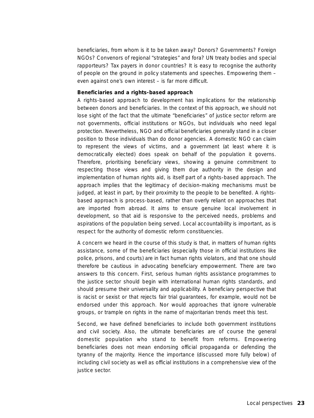beneficiaries, from whom is it to be taken away? Donors? Governments? Foreign NGOs? Convenors of regional "strategies" and fora? UN treaty bodies and special rapporteurs? Tax payers in donor countries? It is easy to recognise the authority of people on the ground in policy statements and speeches. Empowering them – even against one's own interest – is far more difficult.

#### **Beneficiaries and a rights-based approach**

A rights-based approach to development has implications for the relationship between donors and beneficiaries. In the context of this approach, we should not lose sight of the fact that the ultimate "beneficiaries" of justice sector reform are not governments, official institutions or NGOs, but individuals who need legal protection. Nevertheless, NGO and official beneficiaries generally stand in a closer position to those individuals than do donor agencies. A domestic NGO can claim to represent the views of victims, and a government (at least where it is democratically elected) does speak on behalf of the population it governs. Therefore, prioritising beneficiary views, showing a genuine commitment to respecting those views and giving them due authority in the design and implementation of human rights aid, is itself part of a rights-based approach. The approach implies that the legitimacy of decision-making mechanisms must be judged, at least in part, by their proximity to the people to be benefited. A rightsbased approach is process-based, rather than overly reliant on approaches that are imported from abroad. It aims to ensure genuine local involvement in development, so that aid is responsive to the perceived needs, problems and aspirations of the population being served. Local accountability is important, as is respect for the authority of domestic reform constituencies.

A concern we heard in the course of this study is that, in matters of human rights assistance, some of the beneficiaries (especially those in official institutions like police, prisons, and courts) are in fact human rights violators, and that one should therefore be cautious in advocating beneficiary empowerment. There are two answers to this concern. First, serious human rights assistance programmes to the justice sector should begin with international human rights standards, and should presume their universality and applicability. A beneficiary perspective that is racist or sexist or that rejects fair trial guarantees, for example, would not be endorsed under this approach. Nor would approaches that ignore vulnerable groups, or trample on rights in the name of majoritarian trends meet this test.

Second, we have defined beneficiaries to include both government institutions and civil society. Also, the ultimate beneficiaries are of course the general domestic population who stand to benefit from reforms. Empowering beneficiaries does not mean endorsing official propaganda or defending the tyranny of the majority. Hence the importance (discussed more fully below) of including civil society as well as official institutions in a comprehensive view of the justice sector.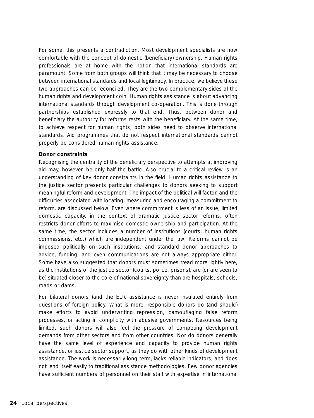For some, this presents a contradiction. Most development specialists are now comfortable with the concept of domestic (beneficiary) ownership. Human rights professionals are at home with the notion that international standards are paramount. Some from both groups will think that it may be necessary to choose between international standards and local legitimacy. In practice, we believe these two approaches can be reconciled. They are the two complementary sides of the human rights and development coin. Human rights assistance is about advancing international standards through development co-operation. This is done through partnerships established expressly to that end. Thus, between donor and beneficiary the authority for reforms rests with the beneficiary. At the same time, to achieve respect for human rights, both sides need to observe international standards. Aid programmes that do not respect international standards cannot properly be considered human rights assistance.

#### **Donor constraints**

Recognising the centrality of the beneficiary perspective to attempts at improving aid may, however, be only half the battle. Also crucial to a critical review is an understanding of key donor constraints in the field. Human rights assistance to the justice sector presents particular challenges to donors seeking to support meaningful reform and development. The impact of the political will factor, and the difficulties associated with locating, measuring and encouraging a commitment to reform, are discussed below. Even where commitment is less of an issue, limited domestic capacity, in the context of dramatic justice sector reforms, often restricts donor efforts to maximise domestic ownership and participation. At the same time, the sector includes a number of institutions (courts, human rights commissions, etc.) which are independent under the law. Reforms cannot be imposed politically on such institutions, and standard donor approaches to advice, funding, and even communications are not always appropriate either. Some have also suggested that donors must sometimes tread more lightly here, as the institutions of the justice sector (courts, police, prisons), are (or are seen to be) situated closer to the core of national sovereignty than are hospitals, schools, roads or dams.

For bilateral donors (and the EU), assistance is never insulated entirely from questions of foreign policy. What is more, responsible donors do (and should) make efforts to avoid underwriting repression, camouflaging false reform processes, or acting in complicity with abusive governments. Resources being limited, such donors will also feel the pressure of competing development demands from other sectors and from other countries. Nor do donors generally have the same level of experience and capacity to provide human rights assistance, or justice sector support, as they do with other kinds of development assistance. The work is necessarily long-term, lacks reliable indicators, and does not lend itself easily to traditional assistance methodologies. Few donor agencies have sufficient numbers of personnel on their staff with expertise in international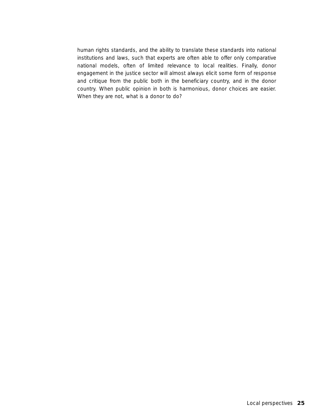human rights standards, and the ability to translate these standards into national institutions and laws, such that experts are often able to offer only comparative national models, often of limited relevance to local realities. Finally, donor engagement in the justice sector will almost always elicit some form of response and critique from the public both in the beneficiary country, and in the donor country. When public opinion in both is harmonious, donor choices are easier. When they are not, what is a donor to do?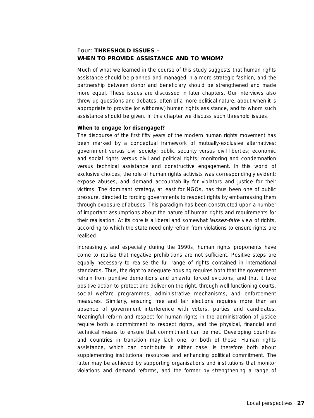# Four: **THRESHOLD ISSUES – WHEN TO PROVIDE ASSISTANCE AND TO WHOM?**

Much of what we learned in the course of this study suggests that human rights assistance should be planned and managed in a more strategic fashion, and the partnership between donor and beneficiary should be strengthened and made more equal. These issues are discussed in later chapters. Our interviews also threw up questions and debates, often of a more political nature, about when it is appropriate to provide (or withdraw) human rights assistance, and to whom such assistance should be given. In this chapter we discuss such threshold issues.

#### **When to engage (or disengage)?**

The discourse of the first fifty years of the modern human rights movement has been marked by a conceptual framework of mutually-exclusive alternatives: government versus civil society; public security versus civil liberties; economic and social rights versus civil and political rights; monitoring and condemnation versus technical assistance and constructive engagement. In this world of exclusive choices, the role of human rights activists was correspondingly evident: expose abuses, and demand accountability for violators and justice for their victims. The dominant strategy, at least for NGOs, has thus been one of public pressure, directed to forcing governments to respect rights by embarrassing them through exposure of abuses. This paradigm has been constructed upon a number of important assumptions about the nature of human rights and requirements for their realisation. At its core is a liberal and somewhat *laissez-faire* view of rights, according to which the state need only refrain from violations to ensure rights are realised.

Increasingly, and especially during the 1990s, human rights proponents have come to realise that negative prohibitions are not sufficient. Positive steps are equally necessary to realise the full range of rights contained in international standards. Thus, the right to adequate housing requires both that the government refrain from punitive demolitions and unlawful forced evictions, and that it take positive action to protect and deliver on the right, through well functioning courts, social welfare programmes, administrative mechanisms, and enforcement measures. Similarly, ensuring free and fair elections requires more than an absence of government interference with voters, parties and candidates. Meaningful reform and respect for human rights in the administration of justice require both a commitment to respect rights, and the physical, financial and technical means to ensure that commitment can be met. Developing countries and countries in transition may lack one, or both of these. Human rights assistance, which can contribute in either case, is therefore both about supplementing institutional resources and enhancing political commitment. The latter may be achieved by supporting organisations and institutions that monitor violations and demand reforms, and the former by strengthening a range of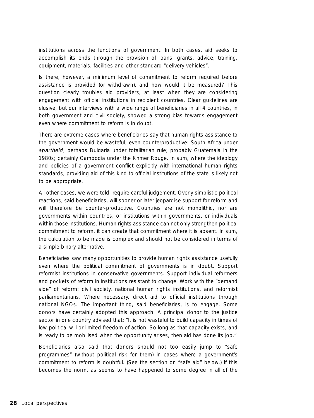institutions across the functions of government. In both cases, aid seeks to accomplish its ends through the provision of loans, grants, advice, training, equipment, materials, facilities and other standard "delivery vehicles".

Is there, however, a minimum level of commitment to reform required before assistance is provided (or withdrawn), and how would it be measured? This question clearly troubles aid providers, at least when they are considering engagement with official institutions in recipient countries. Clear guidelines are elusive, but our interviews with a wide range of beneficiaries in all 4 countries, in both government and civil society, showed a strong bias towards engagement even where commitment to reform is in doubt.

There are extreme cases where beneficiaries say that human rights assistance to the government would be wasteful, even counterproductive: South Africa under *apartheid*; perhaps Bulgaria under totalitarian rule; probably Guatemala in the 1980s; certainly Cambodia under the Khmer Rouge. In sum, where the ideology and policies of a government conflict explicitly with international human rights standards, providing aid of this kind to official institutions of the state is likely not to be appropriate.

All other cases, we were told, require careful judgement. Overly simplistic political reactions, said beneficiaries, will sooner or later jeopardise support for reform and will therefore be counter-productive. Countries are not monolithic, nor are governments within countries, or institutions within governments, or individuals within those institutions. Human rights assistance can not only strengthen political commitment to reform, it can create that commitment where it is absent. In sum, the calculation to be made is complex and should not be considered in terms of a simple binary alternative.

Beneficiaries saw many opportunities to provide human rights assistance usefully even where the political commitment of governments is in doubt. Support reformist institutions in conservative governments. Support individual reformers and pockets of reform in institutions resistant to change. Work with the "demand side" of reform: civil society, national human rights institutions, and reformist parliamentarians. Where necessary, direct aid to official institutions through national NGOs. The important thing, said beneficiaries, is to engage. Some donors have certainly adopted this approach. A principal donor to the justice sector in one country advised that: "It is not wasteful to build capacity in times of low political will or limited freedom of action. So long as that capacity exists, and is ready to be mobilised when the opportunity arises, then aid has done its job."

Beneficiaries also said that donors should not too easily jump to "safe programmes" (without political risk for them) in cases where a government's commitment to reform is doubtful. (See the section on "safe aid" below.) If this becomes the norm, as seems to have happened to some degree in all of the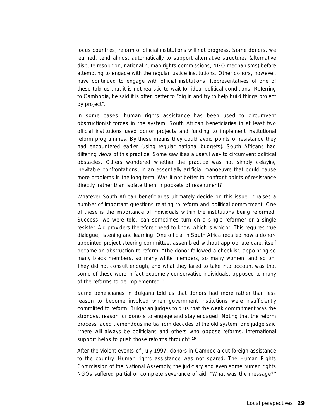focus countries, reform of official institutions will not progress. Some donors, we learned, tend almost automatically to support alternative structures (alternative dispute resolution, national human rights commissions, NGO mechanisms) before attempting to engage with the regular justice institutions. Other donors, however, have continued to engage with official institutions. Representatives of one of these told us that it is not realistic to wait for ideal political conditions. Referring to Cambodia, he said it is often better to "dig in and try to help build things project by project".

In some cases, human rights assistance has been used to circumvent obstructionist forces in the system. South African beneficiaries in at least two official institutions used donor projects and funding to implement institutional reform programmes. By these means they could avoid points of resistance they had encountered earlier (using regular national budgets). South Africans had differing views of this practice. Some saw it as a useful way to circumvent political obstacles. Others wondered whether the practice was not simply delaying inevitable confrontations, in an essentially artificial manoeuvre that could cause more problems in the long term. Was it not better to confront points of resistance directly, rather than isolate them in pockets of resentment?

Whatever South African beneficiaries ultimately decide on this issue, it raises a number of important questions relating to reform and political commitment. One of these is the importance of individuals within the institutions being reformed. Success, we were told, can sometimes turn on a single reformer or a single resister. Aid providers therefore "need to know which is which". This requires true dialogue, listening and learning. One official in South Africa recalled how a donorappointed project steering committee, assembled without appropriate care, itself became an obstruction to reform. "The donor followed a checklist, appointing so many black members, so many white members, so many women, and so on. They did not consult enough, and what they failed to take into account was that some of these were in fact extremely conservative individuals, opposed to many of the reforms to be implemented."

Some beneficiaries in Bulgaria told us that donors had more rather than less reason to become involved when government institutions were insufficiently committed to reform. Bulgarian judges told us that the weak commitment was the strongest reason for donors to engage and stay engaged. Noting that the reform process faced tremendous inertia from decades of the old system, one judge said "there will always be politicians and others who oppose reforms. International support helps to push those reforms through".**<sup>10</sup>**

After the violent events of July 1997, donors in Cambodia cut foreign assistance to the country. Human rights assistance was not spared. The Human Rights Commission of the National Assembly, the judiciary and even some human rights NGOs suffered partial or complete severance of aid. "What was the message?"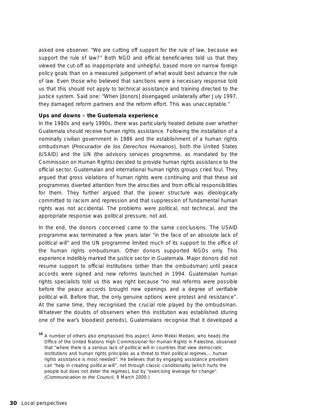asked one observer. "We are cutting off support for the rule of law, because we support the rule of law?" Both NGO and official beneficiaries told us that they viewed the cut-off as inappropriate and unhelpful, based more on narrow foreign policy goals than on a measured judgement of what would best advance the rule of law. Even those who believed that sanctions were a necessary response told us that this should not apply to technical assistance and training directed to the justice system. Said one: "When [donors] disengaged unilaterally after July 1997, they damaged reform partners and the reform effort. This was unacceptable."

#### **Ups and downs – the Guatemala experience**

In the 1980s and early 1990s, there was particularly heated debate over whether Guatemala should receive human rights assistance. Following the installation of a nominally civilian government in 1986 and the establishment of a human rights ombudsman (*Procurador de los Derechos Humanos*), both the United States (USAID) and the UN (the advisory services programme, as mandated by the Commission on Human Rights) decided to provide human rights assistance to the official sector. Guatemalan and international human rights groups cried foul. They argued that gross violations of human rights were continuing and that these aid programmes diverted attention from the atrocities and from official responsibilities for them. They further argued that the power structure was ideologically committed to racism and repression and that suppression of fundamental human rights was not accidental. The problems were political, not technical, and the appropriate response was political pressure, not aid.

In the end, the donors concerned came to the same conclusions. The USAID programme was terminated a few years later "in the face of an absolute lack of political will" and the UN programme limited much of its support to the office of the human rights ombudsman. Other donors supported NGOs only. This experience indelibly marked the justice sector in Guatemala. Major donors did not resume support to official institutions (other than the ombudsman) until peace accords were signed and new reforms launched in 1994. Guatemalan human rights specialists told us this was right because "no real reforms were possible before the peace accords brought new openings and a degree of verifiable political will. Before that, the only genuine options were protest and resistance". At the same time, they recognised the crucial role played by the ombudsman. Whatever the doubts of observers when this institution was established (during one of the war's bloodiest periods), Guatemalans recognise that it developed a

**<sup>10</sup>** A number of others also emphasised this aspect. Amin Mekki Medani, who heads the Office of the United Nations High Commissioner for Human Rights in Palestine, observed that "where there is a serious lack of political will in countries that view democratic institutions and human rights principles as a threat to their political regimes… human rights assistance is most needed". He believes that by engaging assistance providers can "help in creating political will", not through classic conditionality (which hurts the people but does not deter the regimes), but by "exercising leverage for change". *(Communication to the Council*, 9 March 2000.)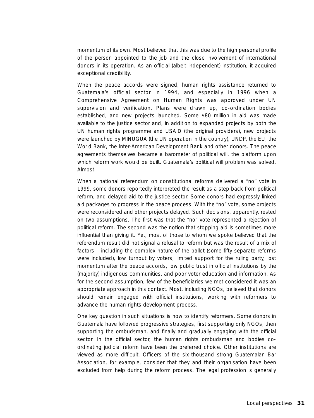momentum of its own. Most believed that this was due to the high personal profile of the person appointed to the job and the close involvement of international donors in its operation. As an official (albeit independent) institution, it acquired exceptional credibility.

When the peace accords were signed, human rights assistance returned to Guatemala's official sector in 1994, and especially in 1996 when a Comprehensive Agreement on Human Rights was approved under UN supervision and verification. Plans were drawn up, co-ordination bodies established, and new projects launched. Some \$80 million in aid was made available to the justice sector and, in addition to expanded projects by both the UN human rights programme and USAID (the original providers), new projects were launched by MINUGUA (the UN operation in the country), UNDP, the EU, the World Bank, the Inter-American Development Bank and other donors. The peace agreements themselves became a barometer of political will, the platform upon which reform work would be built. Guatemala's political will problem was solved. Almost.

When a national referendum on constitutional reforms delivered a "no" vote in 1999, some donors reportedly interpreted the result as a step back from political reform, and delayed aid to the justice sector. Some donors had expressly linked aid packages to progress in the peace process. With the "no" vote, some projects were reconsidered and other projects delayed. Such decisions, apparently, rested on two assumptions. The first was that the "no" vote represented a rejection of political reform. The second was the notion that stopping aid is sometimes more influential than giving it. Yet, most of those to whom we spoke believed that the referendum result did not signal a refusal to reform but was the result of a mix of factors – including the complex nature of the ballot (some fifty separate reforms were included), low turnout by voters, limited support for the ruling party, lost momentum after the peace accords, low public trust in official institutions by the (majority) indigenous communities, and poor voter education and information. As for the second assumption, few of the beneficiaries we met considered it was an appropriate approach in this context. Most, including NGOs, believed that donors should remain engaged with official institutions, working with reformers to advance the human rights development process.

One key question in such situations is how to identify reformers. Some donors in Guatemala have followed progressive strategies, first supporting only NGOs, then supporting the ombudsman, and finally and gradually engaging with the official sector. In the official sector, the human rights ombudsman and bodies coordinating judicial reform have been the preferred choice. Other institutions are viewed as more difficult. Officers of the six-thousand strong Guatemalan Bar Association, for example, consider that they and their organisation have been excluded from help during the reform process. The legal profession is generally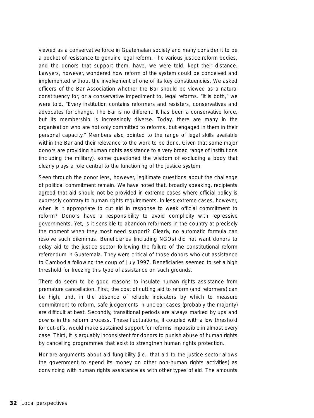viewed as a conservative force in Guatemalan society and many consider it to be a pocket of resistance to genuine legal reform. The various justice reform bodies, and the donors that support them, have, we were told, kept their distance. Lawyers, however, wondered how reform of the system could be conceived and implemented without the involvement of one of its key constituencies. We asked officers of the Bar Association whether the Bar should be viewed as a natural constituency for, or a conservative impediment to, legal reforms. "It is both," we were told. "Every institution contains reformers and resisters, conservatives and advocates for change. The Bar is no different. It has been a conservative force, but its membership is increasingly diverse. Today, there are many in the organisation who are not only committed to reforms, but engaged in them in their personal capacity." Members also pointed to the range of legal skills available within the Bar and their relevance to the work to be done. Given that some major donors are providing human rights assistance to a very broad range of institutions (including the military), some questioned the wisdom of excluding a body that clearly plays a role central to the functioning of the justice system.

Seen through the donor lens, however, legitimate questions about the challenge of political commitment remain. We have noted that, broadly speaking, recipients agreed that aid should not be provided in extreme cases where official policy is expressly contrary to human rights requirements. In less extreme cases, however, when is it appropriate to cut aid in response to weak official commitment to reform? Donors have a responsibility to avoid complicity with repressive governments. Yet, is it sensible to abandon reformers in the country at precisely the moment when they most need support? Clearly, no automatic formula can resolve such dilemmas. Beneficiaries (including NGOs) did not want donors to delay aid to the justice sector following the failure of the constitutional reform referendum in Guatemala. They were critical of those donors who cut assistance to Cambodia following the coup of July 1997. Beneficiaries seemed to set a high threshold for freezing this type of assistance on such grounds.

There do seem to be good reasons to insulate human rights assistance from premature cancellation. First, the cost of cutting aid to reform (and reformers) can be high, and, in the absence of reliable indicators by which to measure commitment to reform, safe judgements in unclear cases (probably the majority) are difficult at best. Secondly, transitional periods are always marked by ups and downs in the reform process. These fluctuations, if coupled with a low threshold for cut-offs, would make sustained support for reforms impossible in almost every case. Third, it is arguably inconsistent for donors to punish abuse of human rights by cancelling programmes that exist to strengthen human rights protection.

Nor are arguments about aid fungibility (i.e., that aid to the justice sector allows the government to spend its money on other non-human rights activities) as convincing with human rights assistance as with other types of aid. The amounts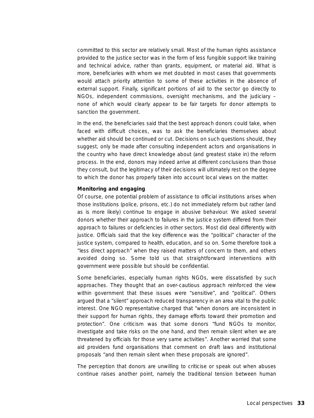committed to this sector are relatively small. Most of the human rights assistance provided to the justice sector was in the form of less fungible support like training and technical advice, rather than grants, equipment, or material aid. What is more, beneficiaries with whom we met doubted in most cases that governments would attach priority attention to some of these activities in the absence of external support. Finally, significant portions of aid to the sector go directly to NGOs, independent commissions, oversight mechanisms, and the judiciary – none of which would clearly appear to be fair targets for donor attempts to sanction the government.

In the end, the beneficiaries said that the best approach donors could take, when faced with difficult choices, was to ask the beneficiaries themselves about whether aid should be continued or cut. Decisions on such questions should, they suggest, only be made after consulting independent actors and organisations in the country who have direct knowledge about (and greatest stake in) the reform process. In the end, donors may indeed arrive at different conclusions than those they consult, but the legitimacy of their decisions will ultimately rest on the degree to which the donor has properly taken into account local views on the matter.

#### **Monitoring and engaging**

Of course, one potential problem of assistance to official institutions arises when those institutions (police, prisons, etc.) do not immediately reform but rather (and as is more likely) continue to engage in abusive behaviour. We asked several donors whether their approach to failures in the justice system differed from their approach to failures or deficiencies in other sectors. Most did deal differently with justice. Officials said that the key difference was the "political" character of the justice system, compared to health, education, and so on. Some therefore took a "less direct approach" when they raised matters of concern to them, and others avoided doing so. Some told us that straightforward interventions with government were possible but should be confidential.

Some beneficiaries, especially human rights NGOs, were dissatisfied by such approaches. They thought that an over-cautious approach reinforced the view within government that these issues were "sensitive", and "political". Others argued that a "silent" approach reduced transparency in an area vital to the public interest. One NGO representative charged that "when donors are inconsistent in their support for human rights, they damage efforts toward their promotion and protection". One criticism was that some donors "fund NGOs to monitor, investigate and take risks on the one hand, and then remain silent when we are threatened by officials for those very same activities". Another worried that some aid providers fund organisations that comment on draft laws and institutional proposals "and then remain silent when these proposals are ignored".

The perception that donors are unwilling to criticise or speak out when abuses continue raises another point, namely the traditional tension between human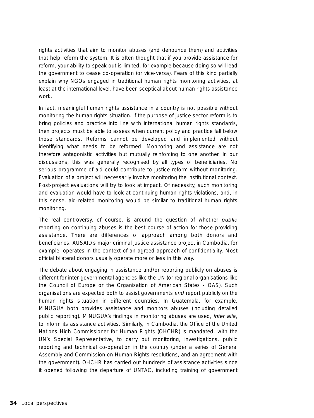rights activities that aim to monitor abuses (and denounce them) and activities that help reform the system. It is often thought that if you provide assistance for reform, your ability to speak out is limited, for example because doing so will lead the government to cease co-operation (or vice-versa). Fears of this kind partially explain why NGOs engaged in traditional human rights monitoring activities, at least at the international level, have been sceptical about human rights assistance work.

In fact, meaningful human rights assistance in a country is not possible without monitoring the human rights situation. If the purpose of justice sector reform is to bring policies and practice into line with international human rights standards, then projects must be able to assess when current policy and practice fall below those standards. Reforms cannot be developed and implemented without identifying what needs to be reformed. Monitoring and assistance are not therefore antagonistic activities but mutually reinforcing to one another. In our discussions, this was generally recognised by all types of beneficiaries. No serious programme of aid could contribute to justice reform without monitoring. Evaluation of a project will necessarily involve monitoring the institutional context. Post-project evaluations will try to look at impact. Of necessity, such monitoring and evaluation would have to look at continuing human rights violations, and, in this sense, aid-related monitoring would be similar to traditional human rights monitoring.

The real controversy, of course, is around the question of whether *public* reporting on continuing abuses is the best course of action for those providing assistance. There are differences of approach among both donors and beneficiaries. AUSAID's major criminal justice assistance project in Cambodia, for example, operates in the context of an agreed approach of confidentiality. Most official bilateral donors usually operate more or less in this way.

The debate about engaging in assistance and/or reporting publicly on abuses is different for inter-governmental agencies like the UN (or regional organisations like the Council of Europe or the Organisation of American States - OAS). Such organisations are expected both to assist governments *and* report publicly on the human rights situation in different countries. In Guatemala, for example, MINUGUA both provides assistance and monitors abuses (including detailed public reporting). MINUGUA's findings in monitoring abuses are used, *inter alia*, to inform its assistance activities. Similarly, in Cambodia, the Office of the United Nations High Commissioner for Human Rights (OHCHR) is mandated, with the UN's Special Representative, to carry out monitoring, investigations, public reporting and technical co-operation in the country (under a series of General Assembly and Commission on Human Rights resolutions, and an agreement with the government). OHCHR has carried out hundreds of assistance activities since it opened following the departure of UNTAC, including training of government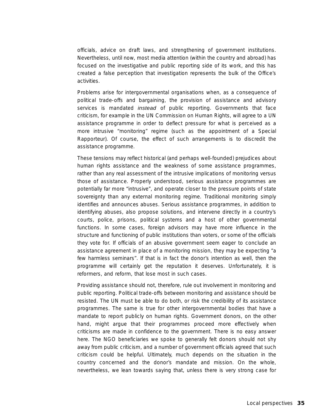officials, advice on draft laws, and strengthening of government institutions. Nevertheless, until now, most media attention (within the country and abroad) has focused on the investigative and public reporting side of its work, and this has created a false perception that investigation represents the bulk of the Office's activities.

Problems arise for intergovernmental organisations when, as a consequence of political trade-offs and bargaining, the provision of assistance and advisory services is mandated *instead* of public reporting. Governments that face criticism, for example in the UN Commission on Human Rights, will agree to a UN assistance programme in order to deflect pressure for what is perceived as a more intrusive "monitoring" regime (such as the appointment of a Special Rapporteur). Of course, the effect of such arrangements is to discredit the assistance programme.

These tensions may reflect historical (and perhaps well-founded) prejudices about human rights assistance and the weakness of some assistance programmes, rather than any real assessment of the intrusive implications of monitoring versus those of assistance. Properly understood, serious assistance programmes are potentially far more "intrusive", and operate closer to the pressure points of state sovereignty than any external monitoring regime. Traditional monitoring simply identifies and announces abuses. Serious assistance programmes, in addition to identifying abuses, also propose solutions, and intervene directly in a country's courts, police, prisons, political systems and a host of other governmental functions. In some cases, foreign advisors may have more influence in the structure and functioning of public institutions than voters, or some of the officials they vote for. If officials of an abusive government seem eager to conclude an assistance agreement in place of a monitoring mission, they may be expecting "a few harmless seminars". If that is in fact the donor's intention as well, then the programme will certainly get the reputation it deserves. Unfortunately, it is reformers, and reform, that lose most in such cases.

Providing assistance should not, therefore, rule out involvement in monitoring and public reporting. Political trade-offs between monitoring and assistance should be resisted. The UN must be able to do both, or risk the credibility of its assistance programmes. The same is true for other intergovernmental bodies that have a mandate to report publicly on human rights. Government donors, on the other hand, might argue that their programmes proceed more effectively when criticisms are made in confidence to the government. There is no easy answer here. The NGO beneficiaries we spoke to generally felt donors should not shy away from public criticism, and a number of government officials agreed that such criticism could be helpful. Ultimately, much depends on the situation in the country concerned and the donor's mandate and mission. On the whole, nevertheless, we lean towards saying that, unless there is very strong case for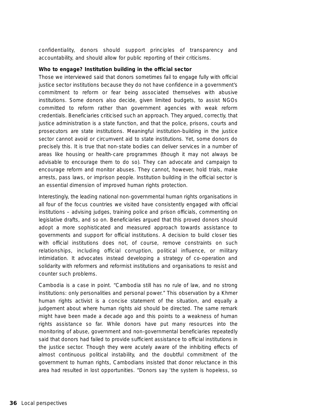confidentiality, donors should support principles of transparency and accountability, and should allow for public reporting of their criticisms.

# **Who to engage? Institution building in the official sector**

Those we interviewed said that donors sometimes fail to engage fully with official justice sector institutions because they do not have confidence in a government's commitment to reform or fear being associated themselves with abusive institutions. Some donors also decide, given limited budgets, to assist NGOs committed to reform rather than government agencies with weak reform credentials. Beneficiaries criticised such an approach. They argued, correctly, that justice administration is a state function, and that the police, prisons, courts and prosecutors are state institutions. Meaningful institution-building in the justice sector cannot avoid or circumvent aid to state institutions. Yet, some donors do precisely this. It is true that non-state bodies can deliver services in a number of areas like housing or health-care programmes (though it may not always be advisable to encourage them to do so). They can advocate and campaign to encourage reform and monitor abuses. They cannot, however, hold trials, make arrests, pass laws, or imprison people. Institution building in the official sector is an essential dimension of improved human rights protection.

Interestingly, the leading national non-governmental human rights organisations in all four of the focus countries we visited have consistently engaged with official institutions – advising judges, training police and prison officials, commenting on legislative drafts, and so on. Beneficiaries argued that this proved donors should adopt a more sophisticated and measured approach towards assistance to governments and support for official institutions. A decision to build closer ties with official institutions does not, of course, remove constraints on such relationships, including official corruption, political influence, or military intimidation. It advocates instead developing a strategy of co-operation and solidarity with reformers and reformist institutions and organisations to resist and counter such problems.

Cambodia is a case in point. "Cambodia still has no rule of law, and no strong institutions: only personalities and personal power." This observation by a Khmer human rights activist is a concise statement of the situation, and equally a judgement about where human rights aid should be directed. The same remark might have been made a decade ago and this points to a weakness of human rights assistance so far. While donors have put many resources into the monitoring of abuse, government and non-governmental beneficiaries repeatedly said that donors had failed to provide sufficient assistance to official institutions in the justice sector. Though they were acutely aware of the inhibiting effects of almost continuous political instability, and the doubtful commitment of the government to human rights, Cambodians insisted that donor reluctance in this area had resulted in lost opportunities. "Donors say 'the system is hopeless, so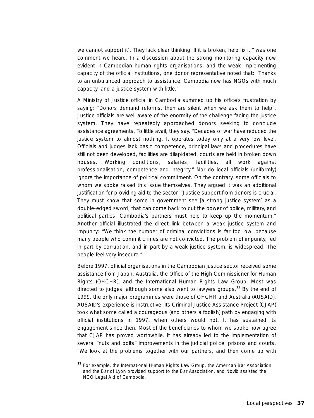we cannot support it'. They lack clear thinking. If it is broken, help fix it," was one comment we heard. In a discussion about the strong monitoring capacity now evident in Cambodian human rights organisations, and the weak implementing capacity of the official institutions, one donor representative noted that: "Thanks to an unbalanced approach to assistance, Cambodia now has NGOs with much capacity, and a justice system with little."

A Ministry of Justice official in Cambodia summed up his office's frustration by saying: "Donors demand reforms, then are silent when we ask them to help". Justice officials are well aware of the enormity of the challenge facing the justice system. They have repeatedly approached donors seeking to conclude assistance agreements. To little avail, they say. "Decades of war have reduced the justice system to almost nothing. It operates today only at a very low level. Officials and judges lack basic competence, principal laws and procedures have still not been developed, facilities are dilapidated, courts are held in broken down houses. Working conditions, salaries, facilities, all work against professionalisation, competence and integrity." Nor do local officials (uniformly) ignore the importance of political commitment. On the contrary, some officials to whom we spoke raised this issue themselves. They argued it was an additional justification for providing aid to the sector. "Justice support from donors is crucial. They must know that some in government see [a strong justice system] as a double-edged sword, that can come back to cut the power of police, military, and political parties. Cambodia's partners must help to keep up the momentum." Another official illustrated the direct link between a weak justice system and impunity: "We think the number of criminal convictions is far too low, because many people who commit crimes are not convicted. The problem of impunity, fed in part by corruption, and in part by a weak justice system, is widespread. The people feel very insecure."

Before 1997, official organisations in the Cambodian justice sector received some assistance from Japan, Australia, the Office of the High Commissioner for Human Rights (OHCHR), and the International Human Rights Law Group. Most was directed to judges, although some also went to lawyers groups.**<sup>11</sup>** By the end of 1999, the only major programmes were those of OHCHR and Australia (AUSAID). AUSAID's experience is instructive. Its Criminal Justice Assistance Project (CJAP) took what some called a courageous (and others a foolish) path by engaging with official institutions in 1997, when others would not. It has sustained its engagement since then. Most of the beneficiaries to whom we spoke now agree that CJAP has proved worthwhile. It has already led to the implementation of several "nuts and bolts" improvements in the judicial police, prisons and courts. "We look at the problems together with our partners, and then come up with

**<sup>11</sup>** For example, the International Human Rights Law Group, the American Bar Association and the Bar of Lyon provided support to the Bar Association, and Novib assisted the NGO Legal Aid of Cambodia.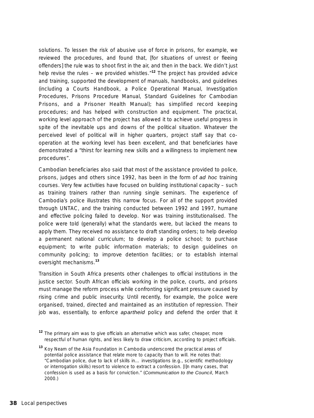solutions. To lessen the risk of abusive use of force in prisons, for example, we reviewed the procedures, and found that, [for situations of unrest or fleeing offenders] the rule was to shoot first in the air, and then in the back. We didn't just help revise the rules – we provided whistles."**<sup>12</sup>** The project has provided advice and training, supported the development of manuals, handbooks, and guidelines (including a Courts Handbook, a Police Operational Manual, Investigation Procedures, Prisons Procedure Manual, Standard Guidelines for Cambodian Prisons, and a Prisoner Health Manual); has simplified record keeping procedures; and has helped with construction and equipment. The practical, working level approach of the project has allowed it to achieve useful progress in spite of the inevitable ups and downs of the political situation. Whatever the perceived level of political will in higher quarters, project staff say that cooperation at the working level has been excellent, and that beneficiaries have demonstrated a "thirst for learning new skills and a willingness to implement new procedures".

Cambodian beneficiaries also said that most of the assistance provided to police, prisons, judges and others since 1992, has been in the form of *ad hoc* training courses. Very few activities have focused on building institutional capacity – such as training trainers rather than running single seminars. The experience of Cambodia's police illustrates this narrow focus. For all of the support provided through UNTAC, and the training conducted between 1992 and 1997, humane and effective policing failed to develop. Nor was training institutionalised. The police were told (generally) what the standards were, but lacked the means to apply them. They received no assistance to draft standing orders; to help develop a permanent national curriculum; to develop a police school; to purchase equipment; to write public information materials; to design guidelines on community policing; to improve detention facilities; or to establish internal oversight mechanisms.**<sup>13</sup>**

Transition in South Africa presents other challenges to official institutions in the justice sector. South African officials working in the police, courts, and prisons must manage the reform process while confronting significant pressure caused by rising crime and public insecurity. Until recently, for example, the police were organised, trained, directed and maintained as an institution of repression. Their job was, essentially, to enforce *apartheid* policy and defend the order that it

**<sup>12</sup>** The primary aim was to give officials an alternative which was safer, cheaper, more respectful of human rights, and less likely to draw criticism, according to project officials.

**<sup>13</sup>** Koy Neam of the Asia Foundation in Cambodia underscored the practical areas of potential police assistance that relate more to capacity than to will. He notes that: "Cambodian police, due to lack of skills in… investigations (e.g., scientific methodology or interrogation skills) resort to violence to extract a confession. [I]n many cases, that confession is used as a basis for conviction." (*Communication to the Council*, March 2000.)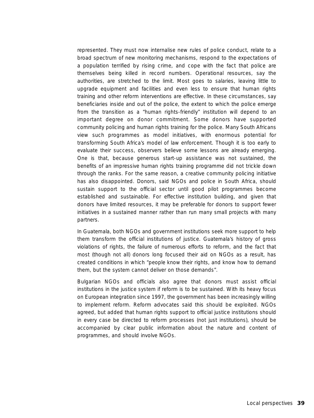represented. They must now internalise new rules of police conduct, relate to a broad spectrum of new monitoring mechanisms, respond to the expectations of a population terrified by rising crime, and cope with the fact that police are themselves being killed in record numbers. Operational resources, say the authorities, are stretched to the limit. Most goes to salaries, leaving little to upgrade equipment and facilities and even less to ensure that human rights training and other reform interventions are effective. In these circumstances, say beneficiaries inside and out of the police, the extent to which the police emerge from the transition as a "human rights-friendly" institution will depend to an important degree on donor commitment. Some donors have supported community policing and human rights training for the police. Many South Africans view such programmes as model initiatives, with enormous potential for transforming South Africa's model of law enforcement. Though it is too early to evaluate their success, observers believe some lessons are already emerging. One is that, because generous start-up assistance was not sustained, the benefits of an impressive human rights training programme did not trickle down through the ranks. For the same reason, a creative community policing initiative has also disappointed. Donors, said NGOs and police in South Africa, should sustain support to the official sector until good pilot programmes become established and sustainable. For effective institution building, and given that donors have limited resources, it may be preferable for donors to support fewer initiatives in a sustained manner rather than run many small projects with many partners.

In Guatemala, both NGOs and government institutions seek more support to help them transform the official institutions of justice. Guatemala's history of gross violations of rights, the failure of numerous efforts to reform, and the fact that most (though not all) donors long focused their aid on NGOs as a result, has created conditions in which "people know their rights, and know how to demand them, but the system cannot deliver on those demands".

Bulgarian NGOs and officials also agree that donors must assist official institutions in the justice system if reform is to be sustained. With its heavy focus on European integration since 1997, the government has been increasingly willing to implement reform. Reform advocates said this should be exploited. NGOs agreed, but added that human rights support to official justice institutions should in every case be directed to reform processes (not just institutions), should be accompanied by clear public information about the nature and content of programmes, and should involve NGOs.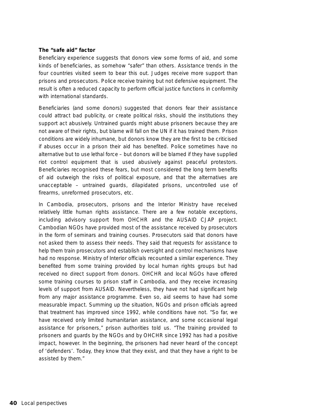## **The "safe aid" factor**

Beneficiary experience suggests that donors view some forms of aid, and some kinds of beneficiaries, as somehow "safer" than others. Assistance trends in the four countries visited seem to bear this out. Judges receive more support than prisons and prosecutors. Police receive training but not defensive equipment. The result is often a reduced capacity to perform official justice functions in conformity with international standards.

Beneficiaries (and some donors) suggested that donors fear their assistance could attract bad publicity, or create political risks, should the institutions they support act abusively. Untrained guards might abuse prisoners because they are not aware of their rights, but blame will fall on the UN if it has trained them. Prison conditions are widely inhumane, but donors know they are the first to be criticised if abuses occur in a prison their aid has benefited. Police sometimes have no alternative but to use lethal force – but donors will be blamed if they have supplied riot control equipment that is used abusively against peaceful protestors. Beneficiaries recognised these fears, but most considered the long term benefits of aid outweigh the risks of political exposure, and that the alternatives are unacceptable – untrained guards, dilapidated prisons, uncontrolled use of firearms, unreformed prosecutors, etc.

In Cambodia, prosecutors, prisons and the Interior Ministry have received relatively little human rights assistance. There are a few notable exceptions, including advisory support from OHCHR and the AUSAID CJAP project. Cambodian NGOs have provided most of the assistance received by prosecutors in the form of seminars and training courses. Prosecutors said that donors have not asked them to assess their needs. They said that requests for assistance to help them train prosecutors and establish oversight and control mechanisms have had no response. Ministry of Interior officials recounted a similar experience. They benefited from some training provided by local human rights groups but had received no direct support from donors. OHCHR and local NGOs have offered some training courses to prison staff in Cambodia, and they receive increasing levels of support from AUSAID. Nevertheless, they have not had significant help from any major assistance programme. Even so, aid seems to have had some measurable impact. Summing up the situation, NGOs and prison officials agreed that treatment has improved since 1992, while conditions have not. "So far, we have received only limited humanitarian assistance, and some occasional legal assistance for prisoners," prison authorities told us. "The training provided to prisoners and guards by the NGOs and by OHCHR since 1992 has had a positive impact, however. In the beginning, the prisoners had never heard of the concept of 'defenders'. Today, they know that they exist, and that they have a right to be assisted by them."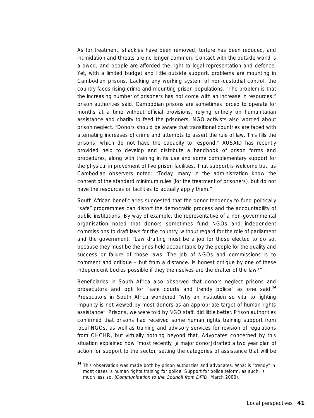As for treatment, shackles have been removed, torture has been reduced, and intimidation and threats are no longer common. Contact with the outside world is allowed, and people are afforded the right to legal representation and defence. Yet, with a limited budget and little outside support, problems are mounting in Cambodian prisons. Lacking any working system of non-custodial control, the country faces rising crime and mounting prison populations. "The problem is that the increasing number of prisoners has not come with an increase in resources," prison authorities said. Cambodian prisons are sometimes forced to operate for months at a time without official provisions, relying entirely on humanitarian assistance and charity to feed the prisoners. NGO activists also worried about prison neglect. "Donors should be aware that transitional countries are faced with alternating increases of crime and attempts to assert the rule of law. This fills the prisons, which do not have the capacity to respond." AUSAID has recently provided help to develop and distribute a handbook of prison forms and procedures, along with training in its use and some complementary support for the physical improvement of five prison facilities. That support is welcome but, as Cambodian observers noted: "Today, many in the administration know the content of the standard minimum rules (for the treatment of prisoners), but do not have the resources or facilities to actually apply them."

South African beneficiaries suggested that the donor tendency to fund politically "safe" programmes can distort the democratic process and the accountability of public institutions. By way of example, the representative of a non-governmental organisation noted that donors sometimes fund NGOs and independent commissions to draft laws for the country, without regard for the role of parliament and the government. "Law drafting must be a job for those elected to do so, because they must be the ones held accountable by the people for the quality and success or failure of those laws. The job of NGOs and commissions is to comment and critique – but from a distance. Is honest critique by one of these independent bodies possible if they themselves are the drafter of the law?"

Beneficiaries in South Africa also observed that donors neglect prisons and prosecutors and opt for "safe courts and trendy police" as one said.**<sup>14</sup>** Prosecutors in South Africa wondered "why an institution so vital to fighting impunity is not viewed by most donors as an appropriate target of human rights assistance". Prisons, we were told by NGO staff, did little better. Prison authorities confirmed that prisons had received some human rights training support from local NGOs, as well as training and advisory services for revision of regulations from OHCHR, but virtually nothing beyond that. Advocates concerned by this situation explained how "most recently, [a major donor] drafted a two year plan of action for support to the sector, setting the categories of assistance that will be

**<sup>14</sup>** This observation was made both by prison authorities and advocates. What is "trendy" in most cases is human rights training for police. Support for police reform, as such, is much less so. (*Communication to the Council from DFID*, March 2000).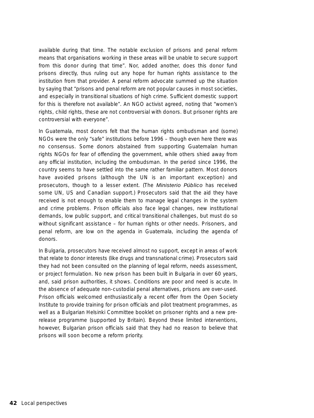available during that time. The notable exclusion of prisons and penal reform means that organisations working in these areas will be unable to secure support from this donor during that time". Nor, added another, does this donor fund prisons directly, thus ruling out any hope for human rights assistance to the institution from that provider. A penal reform advocate summed up the situation by saying that "prisons and penal reform are not popular causes in most societies, and especially in transitional situations of high crime. Sufficient domestic support for this is therefore not available". An NGO activist agreed, noting that "women's rights, child rights, these are not controversial with donors. But prisoner rights are controversial with everyone".

In Guatemala, most donors felt that the human rights ombudsman and (some) NGOs were the only "safe" institutions before 1996 – though even here there was no consensus. Some donors abstained from supporting Guatemalan human rights NGOs for fear of offending the government, while others shied away from any official institution, including the ombudsman. In the period since 1996, the country seems to have settled into the same rather familiar pattern. Most donors have avoided prisons (although the UN is an important exception) and prosecutors, though to a lesser extent. (The *Ministerio Público* has received some UN, US and Canadian support.) Prosecutors said that the aid they have received is not enough to enable them to manage legal changes in the system and crime problems. Prison officials also face legal changes, new institutional demands, low public support, and critical transitional challenges, but must do so without significant assistance – for human rights or other needs. Prisoners, and penal reform, are low on the agenda in Guatemala, including the agenda of donors.

In Bulgaria, prosecutors have received almost no support, except in areas of work that relate to donor interests (like drugs and transnational crime). Prosecutors said they had not been consulted on the planning of legal reform, needs assessment, or project formulation. No new prison has been built in Bulgaria in over 60 years, and, said prison authorities, it shows. Conditions are poor and need is acute. In the absence of adequate non-custodial penal alternatives, prisons are over-used. Prison officials welcomed enthusiastically a recent offer from the Open Society Institute to provide training for prison officials and pilot treatment programmes, as well as a Bulgarian Helsinki Committee booklet on prisoner rights and a new prerelease programme (supported by Britain). Beyond these limited interventions, however, Bulgarian prison officials said that they had no reason to believe that prisons will soon become a reform priority.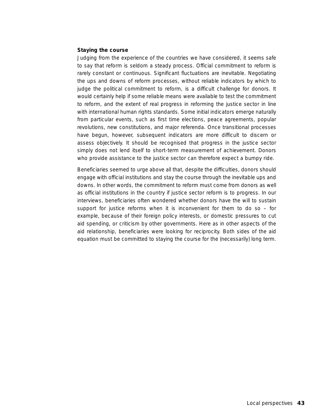# **Staying the course**

Judging from the experience of the countries we have considered, it seems safe to say that reform is seldom a steady process. Official commitment to reform is rarely constant or continuous. Significant fluctuations are inevitable. Negotiating the ups and downs of reform processes, without reliable indicators by which to judge the political commitment to reform, is a difficult challenge for donors. It would certainly help if some reliable means were available to test the commitment to reform, and the extent of real progress in reforming the justice sector in line with international human rights standards. Some initial indicators emerge naturally from particular events, such as first time elections, peace agreements, popular revolutions, new constitutions, and major referenda. Once transitional processes have begun, however, subsequent indicators are more difficult to discern or assess objectively. It should be recognised that progress in the justice sector simply does not lend itself to short-term measurement of achievement. Donors who provide assistance to the justice sector can therefore expect a bumpy ride.

Beneficiaries seemed to urge above all that, despite the difficulties, donors should engage with official institutions and stay the course through the inevitable ups and downs. In other words, the commitment to reform must come from donors as well as official institutions in the country if justice sector reform is to progress. In our interviews, beneficiaries often wondered whether donors have the will to sustain support for justice reforms when it is inconvenient for them to do so – for example, because of their foreign policy interests, or domestic pressures to cut aid spending, or criticism by other governments. Here as in other aspects of the aid relationship, beneficiaries were looking for reciprocity. Both sides of the aid equation must be committed to staying the course for the (necessarily) long term.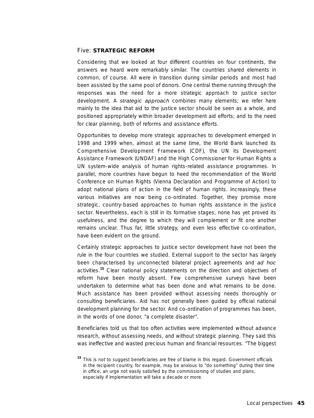# Five: **STRATEGIC REFORM**

Considering that we looked at four different countries on four continents, the answers we heard were remarkably similar. The countries shared elements in common, of course. All were in transition during similar periods and most had been assisted by the same pool of donors. One central theme running through the responses was the need for a more strategic approach to justice sector development. A *strategic approach* combines many elements; we refer here mainly to the idea that aid to the justice sector should be seen as a whole, and positioned appropriately within broader development aid efforts; and to the need for clear planning, both of reforms and assistance efforts.

Opportunities to develop more strategic approaches to development emerged in 1998 and 1999 when, almost at the same time, the World Bank launched its Comprehensive Development Framework (CDF), the UN its Development Assistance Framework (UNDAF) and the High Commissioner for Human Rights a UN system-wide analysis of human rights-related assistance programmes. In parallel, more countries have begun to heed the recommendation of the World Conference on Human Rights (Vienna Declaration and Programme of Action) to adopt national plans of action in the field of human rights. Increasingly, these various initiatives are now being co-ordinated. Together, they promise more strategic, country-based approaches to human rights assistance in the justice sector. Nevertheless, each is still in its formative stages, none has yet proved its usefulness, and the degree to which they will complement or fit one another remains unclear. Thus far, little strategy, and even less effective co-ordination, have been evident on the ground.

Certainly strategic approaches to justice sector development have not been the rule in the four countries we studied. External support to the sector has largely been characterised by unconnected bilateral project agreements and *ad hoc* activities.**<sup>15</sup>** Clear national policy statements on the direction and objectives of reform have been mostly absent. Few comprehensive surveys have been undertaken to determine what has been done and what remains to be done. Much assistance has been provided without assessing needs thoroughly or consulting beneficiaries. Aid has not generally been guided by official national development planning for the sector. And co-ordination of programmes has been, in the words of one donor, "a complete disaster".

Beneficiaries told us that too often activities were implemented without advance research, without assessing needs, and without strategic planning. They said this was ineffective and wasted precious human and financial resources. "The biggest

**<sup>15</sup>** This is not to suggest beneficiaries are free of blame in this regard. Government officials in the recipient country, for example, may be anxious to "do something" during their time in office, an urge not easily satisfied by the commissioning of studies and plans, especially if implementation will take a decade or more.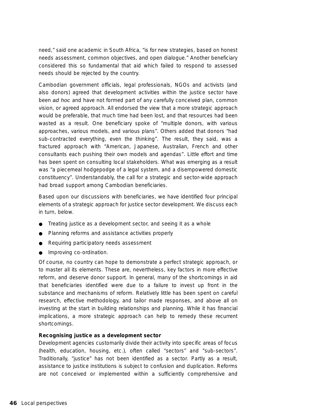need," said one academic in South Africa, "is for new strategies, based on honest needs assessment, common objectives, and open dialogue." Another beneficiary considered this so fundamental that aid which failed to respond to assessed needs should be rejected by the country.

Cambodian government officials, legal professionals, NGOs and activists (and also donors) agreed that development activities within the justice sector have been *ad hoc* and have not formed part of any carefully conceived plan, common vision, or agreed approach. All endorsed the view that a more strategic approach would be preferable, that much time had been lost, and that resources had been wasted as a result. One beneficiary spoke of "multiple donors, with various approaches, various models, and various plans". Others added that donors "had sub-contracted everything, even the thinking". The result, they said, was a fractured approach with "American, Japanese, Australian, French and other consultants each pushing their own models and agendas". Little effort and time has been spent on consulting local stakeholders. What was emerging as a result was "a piecemeal hodgepodge of a legal system, and a disempowered domestic constituency". Understandably, the call for a strategic and sector-wide approach had broad support among Cambodian beneficiaries.

Based upon our discussions with beneficiaries, we have identified four principal elements of a strategic approach for justice sector development. We discuss each in turn, below.

- Treating justice as a development sector, and seeing it as a whole
- Planning reforms and assistance activities properly
- Requiring participatory needs assessment
- Improving co-ordination.

Of course, no country can hope to demonstrate a perfect strategic approach, or to master all its elements. These are, nevertheless, key factors in more effective reform, and deserve donor support. In general, many of the shortcomings in aid that beneficiaries identified were due to a failure to invest up front in the substance and mechanisms of reform. Relatively little has been spent on careful research, effective methodology, and tailor made responses, and above all on investing at the start in building relationships and planning. While it has financial implications, a more strategic approach can help to remedy these recurrent shortcomings.

#### **Recognising justice as a development sector**

Development agencies customarily divide their activity into specific areas of focus (health, education, housing, etc.), often called "sectors" and "sub-sectors". Traditionally, "justice" has not been identified as a sector. Partly as a result, assistance to justice institutions is subject to confusion and duplication. Reforms are not conceived or implemented within a sufficiently comprehensive and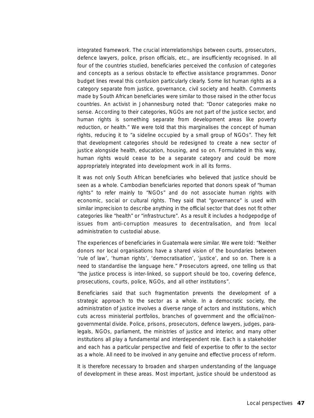integrated framework. The crucial interrelationships between courts, prosecutors, defence lawyers, police, prison officials, etc., are insufficiently recognised. In all four of the countries studied, beneficiaries perceived the confusion of categories and concepts as a serious obstacle to effective assistance programmes. Donor budget lines reveal this confusion particularly clearly. Some list human rights as a category separate from justice, governance, civil society and health. Comments made by South African beneficiaries were similar to those raised in the other focus countries. An activist in Johannesburg noted that: "Donor categories make no sense. According to their categories, NGOs are not part of the justice sector, and human rights is something separate from development areas like poverty reduction, or health." We were told that this marginalises the concept of human rights, reducing it to "a sideline occupied by a small group of NGOs". They felt that development categories should be redesigned to create a new sector of justice alongside health, education, housing, and so on. Formulated in this way, human rights would cease to be a separate category and could be more appropriately integrated into development work in all its forms.

It was not only South African beneficiaries who believed that justice should be seen as a whole. Cambodian beneficiaries reported that donors speak of "human rights" to refer mainly to "NGOs" and do not associate human rights with economic, social or cultural rights. They said that "governance" is used with similar imprecision to describe anything in the official sector that does not fit other categories like "health" or "infrastructure". As a result it includes a hodgepodge of issues from anti-corruption measures to decentralisation, and from local administration to custodial abuse.

The experiences of beneficiaries in Guatemala were similar. We were told: "Neither donors nor local organisations have a shared vision of the boundaries between 'rule of law', 'human rights', 'democratisation', 'justice', and so on. There is a need to standardise the language here." Prosecutors agreed, one telling us that "the justice process is inter-linked, so support should be too, covering defence, prosecutions, courts, police, NGOs, and all other institutions".

Beneficiaries said that such fragmentation prevents the development of a strategic approach to the sector as a whole. In a democratic society, the administration of justice involves a diverse range of actors and institutions, which cuts across ministerial portfolios, branches of government and the official/nongovernmental divide. Police, prisons, prosecutors, defence lawyers, judges, paralegals, NGOs, parliament, the ministries of justice and interior, and many other institutions all play a fundamental and interdependent role. Each is a stakeholder and each has a particular perspective and field of expertise to offer to the sector as a whole. All need to be involved in any genuine and effective process of reform.

It is therefore necessary to broaden and sharpen understanding of the language of development in these areas. Most important, justice should be understood as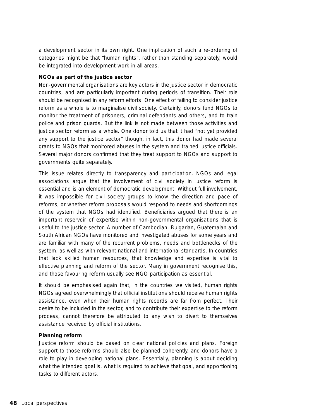a development sector in its own right. One implication of such a re-ordering of categories might be that "human rights", rather than standing separately, would be integrated into development work in all areas.

# **NGOs as part of the justice sector**

Non-governmental organisations are key actors in the justice sector in democratic countries, and are particularly important during periods of transition. Their role should be recognised in any reform efforts. One effect of failing to consider justice reform as a whole is to marginalise civil society. Certainly, donors fund NGOs to monitor the treatment of prisoners, criminal defendants and others, and to train police and prison guards. But the link is not made between those activities and justice sector reform as a whole. One donor told us that it had "not yet provided any support to the justice sector" though, in fact, this donor had made several grants to NGOs that monitored abuses in the system and trained justice officials. Several major donors confirmed that they treat support to NGOs and support to governments quite separately.

This issue relates directly to transparency and participation. NGOs and legal associations argue that the involvement of civil society in justice reform is essential and is an element of democratic development. Without full involvement, it was impossible for civil society groups to know the direction and pace of reforms, or whether reform proposals would respond to needs and shortcomings of the system that NGOs had identified. Beneficiaries argued that there is an important reservoir of expertise within non-governmental organisations that is useful to the justice sector. A number of Cambodian, Bulgarian, Guatemalan and South African NGOs have monitored and investigated abuses for some years and are familiar with many of the recurrent problems, needs and bottlenecks of the system, as well as with relevant national and international standards. In countries that lack skilled human resources, that knowledge and expertise is vital to effective planning and reform of the sector. Many in government recognise this, and those favouring reform usually see NGO participation as essential.

It should be emphasised again that, in the countries we visited, human rights NGOs agreed overwhelmingly that official institutions should receive human rights assistance, even when their human rights records are far from perfect. Their desire to be included in the sector, and to contribute their expertise to the reform process, cannot therefore be attributed to any wish to divert to themselves assistance received by official institutions.

#### **Planning reform**

Justice reform should be based on clear national policies and plans. Foreign support to those reforms should also be planned coherently, and donors have a role to play in developing national plans. Essentially, planning is about deciding what the intended goal is, what is required to achieve that goal, and apportioning tasks to different actors.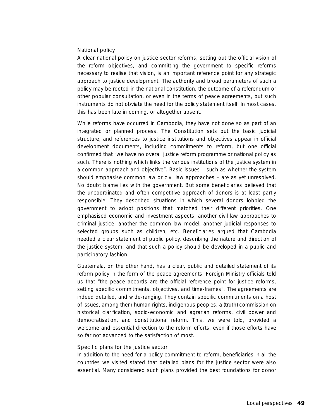# *National policy*

A clear national policy on justice sector reforms, setting out the official vision of the reform objectives, and committing the government to specific reforms necessary to realise that vision, is an important reference point for any strategic approach to justice development. The authority and broad parameters of such a policy may be rooted in the national constitution, the outcome of a referendum or other popular consultation, or even in the terms of peace agreements, but such instruments do not obviate the need for the policy statement itself. In most cases, this has been late in coming, or altogether absent.

While reforms have occurred in Cambodia, they have not done so as part of an integrated or planned process. The Constitution sets out the basic judicial structure, and references to justice institutions and objectives appear in official development documents, including commitments to reform, but one official confirmed that "we have no overall justice reform programme or national policy as such. There is nothing which links the various institutions of the justice system in a common approach and objective". Basic issues – such as whether the system should emphasise common law or civil law approaches – are as yet unresolved. No doubt blame lies with the government. But some beneficiaries believed that the uncoordinated and often competitive approach of donors is at least partly responsible. They described situations in which several donors lobbied the government to adopt positions that matched their different priorities. One emphasised economic and investment aspects, another civil law approaches to criminal justice, another the common law model, another judicial responses to selected groups such as children, etc. Beneficiaries argued that Cambodia needed a clear statement of public policy, describing the nature and direction of the justice system, and that such a policy should be developed in a public and participatory fashion.

Guatemala, on the other hand, has a clear, public and detailed statement of its reform policy in the form of the peace agreements. Foreign Ministry officials told us that "the peace accords are the official reference point for justice reforms, setting specific commitments, objectives, and time-frames". The agreements are indeed detailed, and wide-ranging. They contain specific commitments on a host of issues, among them human rights, indigenous peoples, a (truth) commission on historical clarification, socio-economic and agrarian reforms, civil power and democratisation, and constitutional reform. This, we were told, provided a welcome and essential direction to the reform efforts, even if those efforts have so far not advanced to the satisfaction of most.

## *Specific plans for the justice sector*

In addition to the need for a policy commitment to reform, beneficiaries in all the countries we visited stated that detailed plans for the justice sector were also essential. Many considered such plans provided the best foundations for donor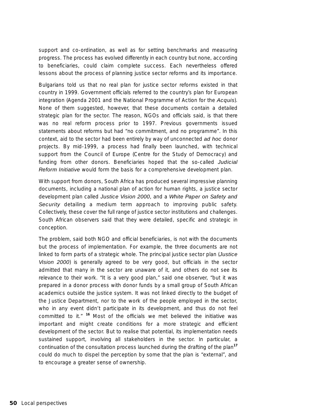support and co-ordination, as well as for setting benchmarks and measuring progress. The process has evolved differently in each country but none, according to beneficiaries, could claim complete success. Each nevertheless offered lessons about the process of planning justice sector reforms and its importance.

Bulgarians told us that no real plan for justice sector reforms existed in that country in 1999. Government officials referred to the country's plan for European integration (Agenda 2001 and the National Programme of Action for the *Acquis*). None of them suggested, however, that these documents contain a detailed strategic plan for the sector. The reason, NGOs and officials said, is that there was no real reform process prior to 1997. Previous governments issued statements about reforms but had "no commitment, and no programme". In this context, aid to the sector had been entirely by way of unconnected *ad hoc* donor projects. By mid-1999, a process had finally been launched, with technical support from the Council of Europe (Centre for the Study of Democracy) and funding from other donors. Beneficiaries hoped that the so-called *Judicial Reform Initiative* would form the basis for a comprehensive development plan.

With support from donors, South Africa has produced several impressive planning documents, including a national plan of action for human rights, a justice sector development plan called *Justice Vision 2000*, and a *White Paper on Safety and Security* detailing a medium term approach to improving public safety. Collectively, these cover the full range of justice sector institutions and challenges. South African observers said that they were detailed, specific and strategic in conception.

The problem, said both NGO and official beneficiaries, is not with the documents but the process of implementation. For example, the three documents are not linked to form parts of a strategic whole. The principal justice sector plan (*Justice Vision 2000*) is generally agreed to be very good, but officials in the sector admitted that many in the sector are unaware of it, and others do not see its relevance to their work. "It is a very good plan," said one observer, "but it was prepared in a donor process with donor funds by a small group of South African academics outside the justice system. It was not linked directly to the budget of the Justice Department, nor to the work of the people employed in the sector, who in any event didn't participate in its development, and thus do not feel committed to it." **<sup>16</sup>** Most of the officials we met believed the initiative was important and might create conditions for a more strategic and efficient development of the sector. But to realise that potential, its implementation needs sustained support, involving all stakeholders in the sector. In particular, a continuation of the consultation process launched during the drafting of the plan**<sup>17</sup>** could do much to dispel the perception by some that the plan is "external", and to encourage a greater sense of ownership.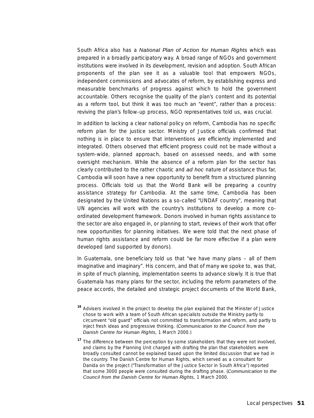South Africa also has a *National Plan of Action for Human Rights* which was prepared in a broadly participatory way. A broad range of NGOs and government institutions were involved in its development, revision and adoption. South African proponents of the plan see it as a valuable tool that empowers NGOs, independent commissions and advocates of reform, by establishing express and measurable benchmarks of progress against which to hold the government accountable. Others recognise the quality of the plan's content and its potential as a reform tool, but think it was too much an "event", rather than a process: reviving the plan's follow-up process, NGO representatives told us, was crucial.

In addition to lacking a clear national policy on reform, Cambodia has no specific reform plan for the justice sector. Ministry of Justice officials confirmed that nothing is in place to ensure that interventions are efficiently implemented and integrated. Others observed that efficient progress could not be made without a system-wide, planned approach, based on assessed needs, and with some oversight mechanism. While the absence of a reform plan for the sector has clearly contributed to the rather chaotic and *ad hoc* nature of assistance thus far, Cambodia will soon have a new opportunity to benefit from a structured planning process. Officials told us that the World Bank will be preparing a country assistance strategy for Cambodia. At the same time, Cambodia has been designated by the United Nations as a so-called "UNDAF country", meaning that UN agencies will work with the country's institutions to develop a more coordinated development framework. Donors involved in human rights assistance to the sector are also engaged in, or planning to start, reviews of their work that offer new opportunities for planning initiatives. We were told that the next phase of human rights assistance and reform could be far more effective if a plan were developed (and supported by donors).

In Guatemala, one beneficiary told us that "we have many plans – all of them imaginative and imaginary". His concern, and that of many we spoke to, was that, in spite of much planning, implementation seems to advance slowly. It is true that Guatemala has many plans for the sector, including the reform parameters of the peace accords, the detailed and strategic project documents of the World Bank,

**<sup>16</sup>** Advisers involved in the project to develop the plan explained that the Minister of Justice chose to work with a team of South African specialists outside the Ministry partly to circumvent "old guard" officials not committed to transformation and reform, and partly to inject fresh ideas and progressive thinking. (*Communication to the Council from the Danish Centre for Human Rights*, 1 March 2000.)

<sup>&</sup>lt;sup>17</sup> The difference between the perception by some stakeholders that they were not involved, and claims by the Planning Unit charged with drafting the plan that stakeholders were broadly consulted cannot be explained based upon the limited discussion that we had in the country. The Danish Centre for Human Rights, which served as a consultant for Danida on the project ("Transformation of the Justice Sector in South Africa") reported that some 3000 people were consulted during the drafting phase. (*Communication to the Council from the Danish Centre for Human Rights*, 1 March 2000.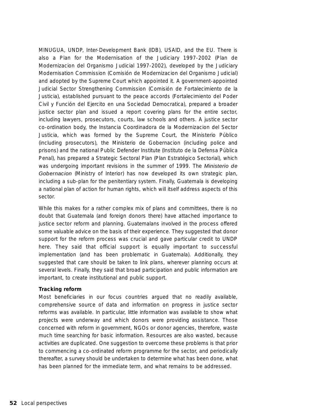MINUGUA, UNDP, Inter-Development Bank (IDB), USAID, and the EU. There is also a Plan for the Modernisation of the Judiciary 1997-2002 (Plan de Modernizacion del Organismo Judicial 1997-2002), developed by the Judiciary Modernisation Commission (Comisión de Modernizacion del Organismo Judicial) and adopted by the Supreme Court which appointed it. A government-appointed Judicial Sector Strengthening Commission (Comisión de Fortalecimiento de la Justicia), established pursuant to the peace accords (Fortalecimiento del Poder Civil y Función del Ejercito en una Sociedad Democratica), prepared a broader justice sector plan and issued a report covering plans for the entire sector, including lawyers, prosecutors, courts, law schools and others. A justice sector co-ordination body, the Instancia Coordinadora de la Modernizacion del Sector Justicia, which was formed by the Supreme Court, the Ministerio Público (including prosecutors), the Ministerio de Gobernacion (including police and prisons) and the national Public Defender Institute (Instituto de la Defensa Pública Penal), has prepared a Strategic Sectoral Plan (Plan Estratégico Sectorial), which was undergoing important revisions in the summer of 1999. The *Ministerio de Gobernacion* (Ministry of Interior) has now developed its own strategic plan, including a sub-plan for the penitentiary system. Finally, Guatemala is developing a national plan of action for human rights, which will itself address aspects of this sector.

While this makes for a rather complex mix of plans and committees, there is no doubt that Guatemala (and foreign donors there) have attached importance to justice sector reform and planning. Guatemalans involved in the process offered some valuable advice on the basis of their experience. They suggested that donor support for the reform process was crucial and gave particular credit to UNDP here. They said that official support is equally important to successful implementation (and has been problematic in Guatemala). Additionally, they suggested that care should be taken to link plans, wherever planning occurs at several levels. Finally, they said that broad participation and public information are important, to create institutional and public support.

#### **Tracking reform**

Most beneficiaries in our focus countries argued that no readily available, comprehensive source of data and information on progress in justice sector reforms was available. In particular, little information was available to show what projects were underway and which donors were providing assistance. Those concerned with reform in government, NGOs or donor agencies, therefore, waste much time searching for basic information. Resources are also wasted, because activities are duplicated. One suggestion to overcome these problems is that prior to commencing a co-ordinated reform programme for the sector, and periodically thereafter, a survey should be undertaken to determine what has been done, what has been planned for the immediate term, and what remains to be addressed.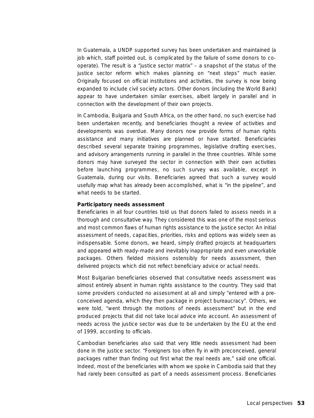In Guatemala, a UNDP supported survey has been undertaken and maintained (a job which, staff pointed out, is complicated by the failure of some donors to cooperate). The result is a "justice sector matrix" – a snapshot of the status of the justice sector reform which makes planning on "next steps" much easier. Originally focused on official institutions and activities, the survey is now being expanded to include civil society actors. Other donors (including the World Bank) appear to have undertaken similar exercises, albeit largely in parallel and in connection with the development of their own projects.

In Cambodia, Bulgaria and South Africa, on the other hand, no such exercise had been undertaken recently, and beneficiaries thought a review of activities and developments was overdue. Many donors now provide forms of human rights assistance and many initiatives are planned or have started. Beneficiaries described several separate training programmes, legislative drafting exercises, and advisory arrangements running in parallel in the three countries. While some donors may have surveyed the sector in connection with their own activities before launching programmes, no such survey was available, except in Guatemala, during our visits. Beneficiaries agreed that such a survey would usefully map what has already been accomplished, what is "in the pipeline", and what needs to be started.

### **Participatory needs assessment**

Beneficiaries in all four countries told us that donors failed to assess needs in a thorough and consultative way. They considered this was one of the most serious and most common flaws of human rights assistance to the justice sector. An initial assessment of needs, capacities, priorities, risks and options was widely seen as indispensable. Some donors, we heard, simply drafted projects at headquarters and appeared with ready-made and inevitably inappropriate and even unworkable packages. Others fielded missions ostensibly for needs assessment, then delivered projects which did not reflect beneficiary advice or actual needs.

Most Bulgarian beneficiaries observed that consultative needs assessment was almost entirely absent in human rights assistance to the country. They said that some providers conducted no assessment at all and simply "entered with a preconceived agenda, which they then package in project bureaucracy". Others, we were told, "went through the motions of needs assessment" but in the end produced projects that did not take local advice into account. An assessment of needs across the justice sector was due to be undertaken by the EU at the end of 1999, according to officials.

Cambodian beneficiaries also said that very little needs assessment had been done in the justice sector. "Foreigners too often fly in with preconceived, general packages rather than finding out first what the real needs are," said one official. Indeed, most of the beneficiaries with whom we spoke in Cambodia said that they had rarely been consulted as part of a needs assessment process. Beneficiaries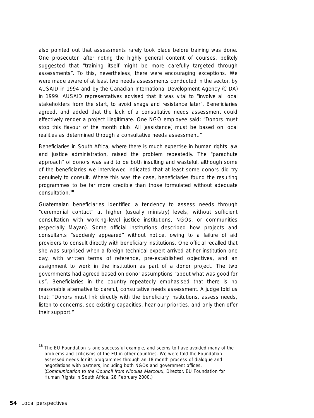also pointed out that assessments rarely took place before training was done. One prosecutor, after noting the highly general content of courses, politely suggested that "training itself might be more carefully targeted through assessments". To this, nevertheless, there were encouraging exceptions. We were made aware of at least two needs assessments conducted in the sector, by AUSAID in 1994 and by the Canadian International Development Agency (CIDA) in 1999. AUSAID representatives advised that it was vital to "involve all local stakeholders from the start, to avoid snags and resistance later". Beneficiaries agreed, and added that the lack of a consultative needs assessment could effectively render a project illegitimate. One NGO employee said: "Donors must stop this flavour of the month club. All [assistance] must be based on local realities as determined through a consultative needs assessment."

Beneficiaries in South Africa, where there is much expertise in human rights law and justice administration, raised the problem repeatedly. The "parachute approach" of donors was said to be both insulting and wasteful, although some of the beneficiaries we interviewed indicated that at least some donors did try genuinely to consult. Where this was the case, beneficiaries found the resulting programmes to be far more credible than those formulated without adequate consultation.**<sup>18</sup>**

Guatemalan beneficiaries identified a tendency to assess needs through "ceremonial contact" at higher (usually ministry) levels, without sufficient consultation with working-level justice institutions, NGOs, or communities (especially Mayan). Some official institutions described how projects and consultants "suddenly appeared" without notice, owing to a failure of aid providers to consult directly with beneficiary institutions. One official recalled that she was surprised when a foreign technical expert arrived at her institution one day, with written terms of reference, pre-established objectives, and an assignment to work in the institution as part of a donor project. The two governments had agreed based on donor assumptions "about what was good for us". Beneficiaries in the country repeatedly emphasised that there is no reasonable alternative to careful, consultative needs assessment. A judge told us that: "Donors must link directly with the beneficiary institutions, assess needs, listen to concerns, see existing capacities, hear our priorities, and only then offer their support."

**<sup>18</sup>** The EU Foundation is one successful example, and seems to have avoided many of the problems and criticisms of the EU in other countries. We were told the Foundation assessed needs for its programmes through an 18 month process of dialogue and negotiations with partners, including both NGOs and government offices. (*Communication to the Council from Nicolas Marcoux*, Director, EU Foundation for Human Rights in South Africa, 28 February 2000.)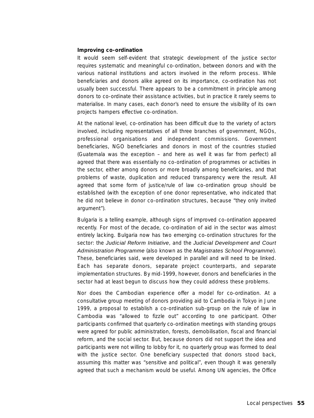## **Improving co-ordination**

It would seem self-evident that strategic development of the justice sector requires systematic and meaningful co-ordination, between donors and with the various national institutions and actors involved in the reform process. While beneficiaries and donors alike agreed on its importance, co-ordination has not usually been successful. There appears to be a commitment in principle among donors to co-ordinate their assistance activities, but in practice it rarely seems to materialise. In many cases, each donor's need to ensure the visibility of its own projects hampers effective co-ordination.

At the national level, co-ordination has been difficult due to the variety of actors involved, including representatives of all three branches of government, NGOs, professional organisations and independent commissions. Government beneficiaries, NGO beneficiaries and donors in most of the countries studied (Guatemala was the exception – and here as well it was far from perfect) all agreed that there was essentially no co-ordination of programmes or activities in the sector, either among donors or more broadly among beneficiaries, and that problems of waste, duplication and reduced transparency were the result. All agreed that some form of justice/rule of law co-ordination group should be established (with the exception of one donor representative, who indicated that he did not believe in donor co-ordination structures, because "they only invited argument").

Bulgaria is a telling example, although signs of improved co-ordination appeared recently. For most of the decade, co-ordination of aid in the sector was almost entirely lacking. Bulgaria now has two emerging co-ordination structures for the sector: the *Judicial Reform Initiative*, and the *Judicial Development and Court Administration Programme* (also known as the *Magistrates School Programme*). These, beneficiaries said, were developed in parallel and will need to be linked. Each has separate donors, separate project counterparts, and separate implementation structures. By mid-1999, however, donors and beneficiaries in the sector had at least begun to discuss how they could address these problems.

Nor does the Cambodian experience offer a model for co-ordination. At a consultative group meeting of donors providing aid to Cambodia in Tokyo in June 1999, a proposal to establish a co-ordination sub-group on the rule of law in Cambodia was "allowed to fizzle out" according to one participant. Other participants confirmed that quarterly co-ordination meetings with standing groups were agreed for public administration, forests, demobilisation, fiscal and financial reform, and the social sector. But, because donors did not support the idea and participants were not willing to lobby for it, no quarterly group was formed to deal with the justice sector. One beneficiary suspected that donors stood back, assuming this matter was "sensitive and political", even though it was generally agreed that such a mechanism would be useful. Among UN agencies, the Office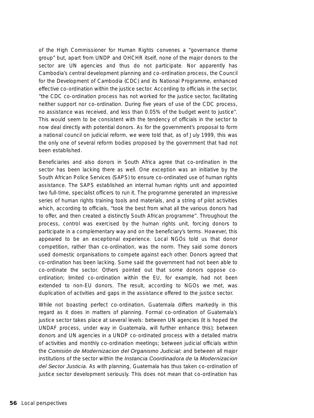of the High Commissioner for Human Rights convenes a "governance theme group" but, apart from UNDP and OHCHR itself, none of the major donors to the sector are UN agencies and thus do not participate. Nor apparently has Cambodia's central development planning and co-ordination process, the Council for the Development of Cambodia (CDC) and its National Programme, enhanced effective co-ordination within the justice sector. According to officials in the sector, "the CDC co-ordination process has not worked for the justice sector, facilitating neither support nor co-ordination. During five years of use of the CDC process, no assistance was received, and less than 0.05% of the budget went to justice". This would seem to be consistent with the tendency of officials in the sector to now deal directly with potential donors. As for the government's proposal to form a national council on judicial reform, we were told that, as of July 1999, this was the only one of several reform bodies proposed by the government that had not been established.

Beneficiaries and also donors in South Africa agree that co-ordination in the sector has been lacking there as well. One exception was an initiative by the South African Police Services (SAPS) to ensure co-ordinated use of human rights assistance. The SAPS established an internal human rights unit and appointed two full-time, specialist officers to run it. The programme generated an impressive series of human rights training tools and materials, and a string of pilot activities which, according to officials, "took the best from what all the various donors had to offer, and then created a distinctly South African programme". Throughout the process, control was exercised by the human rights unit, forcing donors to participate in a complementary way and on the beneficiary's terms. However, this appeared to be an exceptional experience. Local NGOs told us that donor competition, rather than co-ordination, was the norm. They said some donors used domestic organisations to compete against each other. Donors agreed that co-ordination has been lacking. Some said the government had not been able to co-ordinate the sector. Others pointed out that some donors oppose coordination; limited co-ordination within the EU, for example, had not been extended to non-EU donors. The result, according to NGOs we met, was duplication of activities and gaps in the assistance offered to the justice sector.

While not boasting perfect co-ordination, Guatemala differs markedly in this regard as it does in matters of planning. Formal co-ordination of Guatemala's justice sector takes place at several levels: between UN agencies (it is hoped the UNDAF process, under way in Guatemala, will further enhance this); between donors and UN agencies in a UNDP co-ordinated process with a detailed matrix of activities and monthly co-ordination meetings; between judicial officials within the *Comisión de Modernizacion del Organismo Judicial*; and between all major institutions of the sector within the *Instancia Coordinadora de la Modernizacion del Sector Justicia*. As with planning, Guatemala has thus taken co-ordination of justice sector development seriously. This does not mean that co-ordination has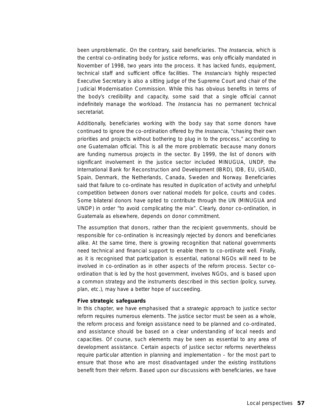been unproblematic. On the contrary, said beneficiaries. The *Instancia*, which is the central co-ordinating body for justice reforms, was only officially mandated in November of 1998, two years into the process. It has lacked funds, equipment, technical staff and sufficient office facilities. The *Instancia's* highly respected Executive Secretary is also a sitting judge of the Supreme Court and chair of the Judicial Modernisation Commission. While this has obvious benefits in terms of the body's credibility and capacity, some said that a single official cannot indefinitely manage the workload. The *Instancia* has no permanent technical secretariat.

Additionally, beneficiaries working with the body say that some donors have continued to ignore the co-ordination offered by the *Instancia*, "chasing their own priorities and projects without bothering to plug in to the process," according to one Guatemalan official. This is all the more problematic because many donors are funding numerous projects in the sector. By 1999, the list of donors with significant involvement in the justice sector included MINUGUA, UNDP, the International Bank for Reconstruction and Development (IBRD), IDB, EU, USAID, Spain, Denmark, the Netherlands, Canada, Sweden and Norway. Beneficiaries said that failure to co-ordinate has resulted in duplication of activity and unhelpful competition between donors over national models for police, courts and codes. Some bilateral donors have opted to contribute through the UN (MINUGUA and UNDP) in order "to avoid complicating the mix". Clearly, donor co-ordination, in Guatemala as elsewhere, depends on donor commitment.

The assumption that donors, rather than the recipient governments, should be responsible for co-ordination is increasingly rejected by donors and beneficiaries alike. At the same time, there is growing recognition that national governments need technical and financial support to enable them to co-ordinate well. Finally, as it is recognised that participation is essential, national NGOs will need to be involved in co-ordination as in other aspects of the reform process. Sector coordination that is led by the host government, involves NGOs, and is based upon a common strategy and the instruments described in this section (policy, survey, plan, etc.), may have a better hope of succeeding.

#### **Five strategic safeguards**

In this chapter, we have emphasised that a *strategic* approach to justice sector reform requires numerous elements. The justice sector must be seen as a whole, the reform process and foreign assistance need to be planned and co-ordinated, and assistance should be based on a clear understanding of local needs and capacities. Of course, such elements may be seen as essential to any area of development assistance. Certain aspects of justice sector reforms nevertheless require particular attention in planning and implementation – for the most part to ensure that those who are most disadvantaged under the existing institutions benefit from their reform. Based upon our discussions with beneficiaries, we have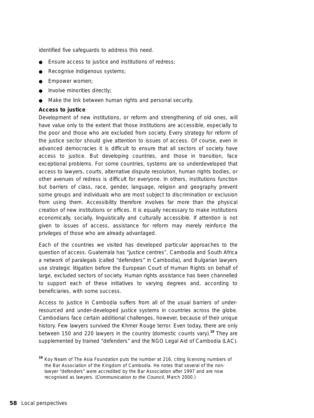identified five safeguards to address this need.

- Ensure access to justice and institutions of redress;
- Recognise indigenous systems;
- **•** Empower women;
- **•** Involve minorities directly;
- Make the link between human rights and personal security.

## **Access to justice**

Development of new institutions, or reform and strengthening of old ones, will have value only to the extent that those institutions are accessible, especially to the poor and those who are excluded from society. Every strategy for reform of the justice sector should give attention to issues of access. Of course, even in advanced democracies it is difficult to ensure that all sectors of society have access to justice. But developing countries, and those in transition, face exceptional problems. For some countries, systems are so underdeveloped that access to lawyers, courts, alternative dispute resolution, human rights bodies, or other avenues of redress is difficult for everyone. In others, institutions function but barriers of class, race, gender, language, religion and geography prevent some groups and individuals who are most subject to discrimination or exclusion from using them. Accessibility therefore involves far more than the physical creation of new institutions or offices. It is equally necessary to make institutions economically, socially, linguistically and culturally accessible. If attention is not given to issues of access, assistance for reform may merely reinforce the privileges of those who are already advantaged.

Each of the countries we visited has developed particular approaches to the question of access. Guatemala has "justice centres", Cambodia and South Africa a network of paralegals (called "defenders" in Cambodia), and Bulgarian lawyers use strategic litigation before the European Court of Human Rights on behalf of large, excluded sectors of society. Human rights assistance has been channelled to support each of these initiatives to varying degrees and, according to beneficiaries, with some success.

Access to justice in Cambodia suffers from all of the usual barriers of underresourced and under-developed justice systems in countries across the globe. Cambodians face certain additional challenges, however, because of their unique history. Few lawyers survived the Khmer Rouge terror. Even today, there are only between 150 and 220 lawyers in the country (domestic counts vary).**<sup>19</sup>** They are supplemented by trained "defenders" and the NGO Legal Aid of Cambodia (LAC).

**<sup>19</sup>** Koy Neam of The Asia Foundation puts the number at 216, citing licensing numbers of the Bar Association of the Kingdom of Cambodia. He notes that several of the nonlawyer "defenders" were accredited by the Bar Association after 1997 and are now recognised as lawyers. (*Communication to the Council*, March 2000.)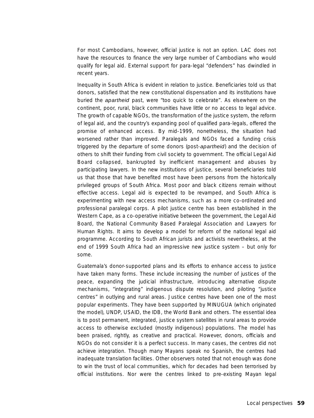For most Cambodians, however, official justice is not an option. LAC does not have the resources to finance the very large number of Cambodians who would qualify for legal aid. External support for para-legal "defenders" has dwindled in recent years.

Inequality in South Africa is evident in relation to justice. Beneficiaries told us that donors, satisfied that the new constitutional dispensation and its institutions have buried the *apartheid* past, were "too quick to celebrate". As elsewhere on the continent, poor, rural, black communities have little or no access to legal advice. The growth of capable NGOs, the transformation of the justice system, the reform of legal aid, and the country's expanding pool of qualified para-legals, offered the promise of enhanced access. By mid-1999, nonetheless, the situation had worsened rather than improved. Paralegals and NGOs faced a funding crisis triggered by the departure of some donors (post-*apartheid*) and the decision of others to shift their funding from civil society to government. The official Legal Aid Board collapsed, bankrupted by inefficient management and abuses by participating lawyers. In the new institutions of justice, several beneficiaries told us that those that have benefited most have been persons from the historically privileged groups of South Africa. Most poor and black citizens remain without effective access. Legal aid is expected to be revamped, and South Africa is experimenting with new access mechanisms, such as a more co-ordinated and professional paralegal corps. A pilot justice centre has been established in the Western Cape, as a co-operative initiative between the government, the Legal Aid Board, the National Community Based Paralegal Association and Lawyers for Human Rights. It aims to develop a model for reform of the national legal aid programme. According to South African jurists and activists nevertheless, at the end of 1999 South Africa had an impressive new justice system – but only for some.

Guatemala's donor-supported plans and its efforts to enhance access to justice have taken many forms. These include increasing the number of justices of the peace, expanding the judicial infrastructure, introducing alternative dispute mechanisms, "integrating" indigenous dispute resolution, and piloting "justice centres" in outlying and rural areas. Justice centres have been one of the most popular experiments. They have been supported by MINUGUA (which originated the model), UNDP, USAID, the IDB, the World Bank and others. The essential idea is to post permanent, integrated, justice system satellites in rural areas to provide access to otherwise excluded (mostly indigenous) populations. The model has been praised, rightly, as creative and practical. However, donors, officials and NGOs do not consider it is a perfect success. In many cases, the centres did not achieve integration. Though many Mayans speak no Spanish, the centres had inadequate translation facilities. Other observers noted that not enough was done to win the trust of local communities, which for decades had been terrorised by official institutions. Nor were the centres linked to pre-existing Mayan legal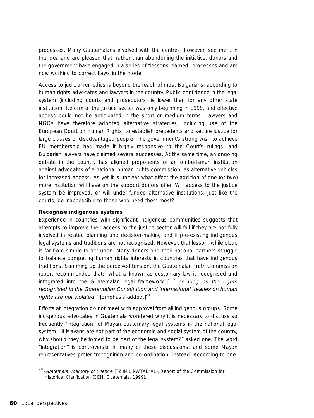processes. Many Guatemalans involved with the centres, however, see merit in the idea and are pleased that, rather than abandoning the initiative, donors and the government have engaged in a series of "lessons learned" processes and are now working to correct flaws in the model.

Access to judicial remedies is beyond the reach of most Bulgarians, according to human rights advocates and lawyers in the country. Public confidence in the legal system (including courts and prosecutors) is lower than for any other state institution. Reform of the justice sector was only beginning in 1999, and effective access could not be anticipated in the short or medium terms. Lawyers and NGOs have therefore adopted alternative strategies, including use of the European Court on Human Rights, to establish precedents and secure justice for large classes of disadvantaged people. The government's strong wish to achieve EU membership has made it highly responsive to the Court's rulings, and Bulgarian lawyers have claimed several successes. At the same time, an ongoing debate in the country has aligned proponents of an ombudsman institution against advocates of a national human rights commission, as alternative vehicles for increased access. As yet it is unclear what effect the addition of one (or two) more institution will have on the support donors offer. Will access to the justice system be improved, or will under-funded alternative institutions, just like the courts, be inaccessible to those who need them most?

## **Recognise indigenous systems**

Experience in countries with significant indigenous communities suggests that attempts to improve their access to the justice sector will fail if they are not fully involved in related planning and decision-making and if pre-existing indigenous legal systems and traditions are not recognised. However, that lesson, while clear, is far from simple to act upon. Many donors and their national partners struggle to balance competing human rights interests in countries that have indigenous traditions. Summing up the perceived tension, the Guatemalan Truth Commission report recommended that: "what is known as customary law is recognised and integrated into the Guatemalan legal framework [...] *as long as the rights recognised in the Guatemalan Constitution and international treaties on human rights are not violated*." [Emphasis added.]**<sup>20</sup>**

Efforts at integration do not meet with approval from all indigenous groups. Some indigenous advocates in Guatemala wondered why it is necessary to discuss so frequently "integration" of Mayan customary legal systems in the national legal system. "If Mayans are not part of the economic and social system of the country, why should they be forced to be part of the legal system?" asked one. The word "integration" is controversial in many of these discussions, and some Mayan representatives prefer "recognition and co-ordination" instead. According to one:

**<sup>20</sup>** *Guatemala: Memory of Silence* (TZ'INIL NA'TAB'AL), Report of the Commission for Historical Clarification (CEH, Guatemala, 1999).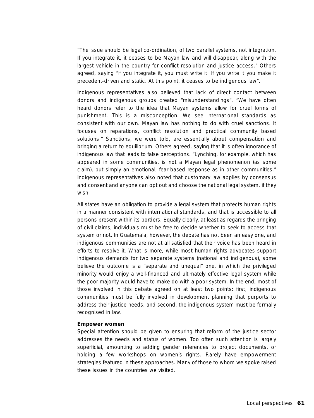"The issue should be legal co-ordination, of two parallel systems, not integration. If you integrate it, it ceases to be Mayan law and will disappear, along with the largest vehicle in the country for conflict resolution and justice access." Others agreed, saying "if you integrate it, you must write it. If you write it you make it precedent-driven and static. At this point, it ceases to be indigenous law".

Indigenous representatives also believed that lack of direct contact between donors and indigenous groups created "misunderstandings". "We have often heard donors refer to the idea that Mayan systems allow for cruel forms of punishment. This is a misconception. We see international standards as consistent with our own. Mayan law has nothing to do with cruel sanctions. It focuses on reparations, conflict resolution and practical community based solutions." Sanctions, we were told, are essentially about compensation and bringing a return to equilibrium. Others agreed, saying that it is often ignorance of indigenous law that leads to false perceptions. "Lynching, for example, which has appeared in some communities, is not a Mayan legal phenomenon (as some claim), but simply an emotional, fear-based response as in other communities." Indigenous representatives also noted that customary law applies by consensus and consent and anyone can opt out and choose the national legal system, if they wish.

All states have an obligation to provide a legal system that protects human rights in a manner consistent with international standards, and that is accessible to all persons present within its borders. Equally clearly, at least as regards the bringing of civil claims, individuals must be free to decide whether to seek to access that system or not. In Guatemala, however, the debate has not been an easy one, and indigenous communities are not at all satisfied that their voice has been heard in efforts to resolve it. What is more, while most human rights advocates support indigenous demands for two separate systems (national and indigenous), some believe the outcome is a "separate and unequal" one, in which the privileged minority would enjoy a well-financed and ultimately effective legal system while the poor majority would have to make do with a poor system. In the end, most of those involved in this debate agreed on at least two points: first, indigenous communities must be fully involved in development planning that purports to address their justice needs; and second, the indigenous system must be formally recognised in law.

## **Empower women**

Special attention should be given to ensuring that reform of the justice sector addresses the needs and status of women. Too often such attention is largely superficial, amounting to adding gender references to project documents, or holding a few workshops on women's rights. Rarely have empowerment strategies featured in these approaches. Many of those to whom we spoke raised these issues in the countries we visited.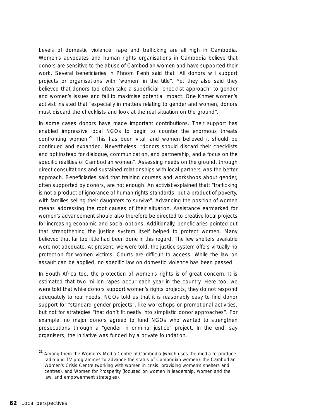Levels of domestic violence, rape and trafficking are all high in Cambodia. Women's advocates and human rights organisations in Cambodia believe that donors are sensitive to the abuse of Cambodian women and have supported their work. Several beneficiaries in Phnom Penh said that "All donors will support projects or organisations with 'women' in the title". Yet they also said they believed that donors too often take a superficial "checklist approach" to gender and women's issues and fail to maximise potential impact. One Khmer women's activist insisted that "especially in matters relating to gender and women, donors must discard the checklists and look at the real situation on the ground".

In some cases donors have made important contributions. Their support has enabled impressive local NGOs to begin to counter the enormous threats confronting women.**<sup>21</sup>** This has been vital, and women believed it should be continued and expanded. Nevertheless, "donors should discard their checklists and opt instead for dialogue, communication, and partnership, and a focus on the specific realities of Cambodian women". Assessing needs on the ground, through direct consultations and sustained relationships with local partners was the better approach. Beneficiaries said that training courses and workshops about gender, often supported by donors, are not enough. An activist explained that: "trafficking is not a product of ignorance of human rights standards, but a product of poverty, with families selling their daughters to survive". Advancing the position of women means addressing the root causes of their situation. Assistance earmarked for women's advancement should also therefore be directed to creative local projects for increasing economic and social options. Additionally, beneficiaries pointed out that strengthening the justice system itself helped to protect women. Many believed that far too little had been done in this regard. The few shelters available were not adequate. At present, we were told, the justice system offers virtually no protection for women victims. Courts are difficult to access. While the law on assault can be applied, no specific law on domestic violence has been passed.

In South Africa too, the protection of women's rights is of great concern. It is estimated that two million rapes occur each year in the country. Here too, we were told that while donors support women's rights projects, they do not respond adequately to real needs. NGOs told us that it is reasonably easy to find donor support for "standard gender projects", like workshops or promotional activities, but not for strategies "that don't fit neatly into simplistic donor approaches". For example, no major donors agreed to fund NGOs who wanted to strengthen prosecutions through a "gender in criminal justice" project. In the end, say organisers, the initiative was funded by a private foundation.

**<sup>21</sup>** Among them the Women's Media Centre of Cambodia (which uses the media to produce radio and TV programmes to advance the status of Cambodian women); the Cambodian Women's Crisis Centre (working with women in crisis, providing women's shelters and centres), and Women for Prosperity (focused on women in leadership, women and the law, and empowerment strategies).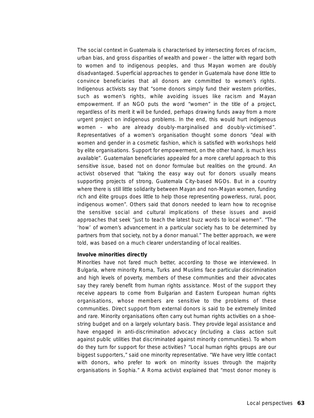The social context in Guatemala is characterised by intersecting forces of racism, urban bias, and gross disparities of wealth and power – the latter with regard both to women and to indigenous peoples, and thus Mayan women are doubly disadvantaged. Superficial approaches to gender in Guatemala have done little to convince beneficiaries that all donors are committed to women's rights. Indigenous activists say that "some donors simply fund their western priorities, such as women's rights, while avoiding issues like racism and Mayan empowerment. If an NGO puts the word "women" in the title of a project, regardless of its merit it will be funded, perhaps drawing funds away from a more urgent project on indigenous problems. In the end, this would hurt indigenous women – who are already doubly-marginalised and doubly-victimised". Representatives of a women's organisation thought some donors "deal with women and gender in a cosmetic fashion, which is satisfied with workshops held by elite organisations. Support for empowerment, on the other hand, is much less available". Guatemalan beneficiaries appealed for a more careful approach to this sensitive issue, based not on donor formulae but realities on the ground. An activist observed that "taking the easy way out for donors usually means supporting projects of strong, Guatemala City-based NGOs. But in a country where there is still little solidarity between Mayan and non-Mayan women, funding rich and élite groups does little to help those representing powerless, rural, poor, indigenous women". Others said that donors needed to learn how to recognise the sensitive social and cultural implications of these issues and avoid approaches that seek "just to teach the latest buzz words to local women". "The 'how' of women's advancement in a particular society has to be determined by partners from that society, not by a donor manual." The better approach, we were told, was based on a much clearer understanding of local realities.

#### **Involve minorities directly**

Minorities have not fared much better, according to those we interviewed. In Bulgaria, where minority Roma, Turks and Muslims face particular discrimination and high levels of poverty, members of these communities and their advocates say they rarely benefit from human rights assistance. Most of the support they receive appears to come from Bulgarian and Eastern European human rights organisations, whose members are sensitive to the problems of these communities. Direct support from external donors is said to be extremely limited and rare. Minority organisations often carry out human rights activities on a shoestring budget and on a largely voluntary basis. They provide legal assistance and have engaged in anti-discrimination advocacy (including a class action suit against public utilities that discriminated against minority communities). To whom do they turn for support for these activities? "Local human rights groups are our biggest supporters," said one minority representative. "We have very little contact with donors, who prefer to work on minority issues through the majority organisations in Sophia." A Roma activist explained that "most donor money is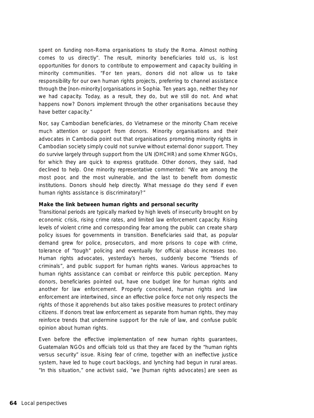spent on funding non-Roma organisations to study the Roma. Almost nothing comes to us directly". The result, minority beneficiaries told us, is lost opportunities for donors to contribute to empowerment and capacity building in minority communities. "For ten years, donors did not allow us to take responsibility for our own human rights projects, preferring to channel assistance through the [non-minority] organisations in Sophia. Ten years ago, neither they nor we had capacity. Today, as a result, they do, but we still do not. And what happens now? Donors implement through the other organisations because they have better capacity."

Nor, say Cambodian beneficiaries, do Vietnamese or the minority Cham receive much attention or support from donors. Minority organisations and their advocates in Cambodia point out that organisations promoting minority rights in Cambodian society simply could not survive without external donor support. They do survive largely through support from the UN (OHCHR) and some Khmer NGOs, for which they are quick to express gratitude. Other donors, they said, had declined to help. One minority representative commented: "We are among the most poor, and the most vulnerable, and the last to benefit from domestic institutions. Donors should help directly. What message do they send if even human rights assistance is discriminatory?"

## **Make the link between human rights and personal security**

Transitional periods are typically marked by high levels of insecurity brought on by economic crisis, rising crime rates, and limited law enforcement capacity. Rising levels of violent crime and corresponding fear among the public can create sharp policy issues for governments in transition. Beneficiaries said that, as popular demand grew for police, prosecutors, and more prisons to cope with crime, tolerance of "tough" policing and eventually for official abuse increases too. Human rights advocates, yesterday's heroes, suddenly become "friends of criminals", and public support for human rights wanes. Various approaches to human rights assistance can combat or reinforce this public perception. Many donors, beneficiaries pointed out, have one budget line for human rights and another for law enforcement. Properly conceived, human rights and law enforcement are intertwined, since an effective police force not only respects the rights of those it apprehends but also takes positive measures to protect ordinary citizens. If donors treat law enforcement as separate from human rights, they may reinforce trends that undermine support for the rule of law, and confuse public opinion about human rights.

Even before the effective implementation of new human rights guarantees, Guatemalan NGOs and officials told us that they are faced by the "human rights versus security" issue. Rising fear of crime, together with an ineffective justice system, have led to huge court backlogs, and lynching had begun in rural areas. "In this situation," one activist said, "we [human rights advocates] are seen as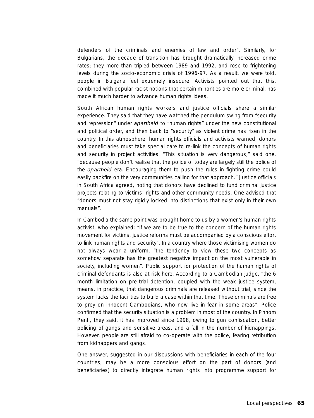defenders of the criminals and enemies of law and order". Similarly, for Bulgarians, the decade of transition has brought dramatically increased crime rates; they more than tripled between 1989 and 1992, and rose to frightening levels during the socio-economic crisis of 1996-97. As a result, we were told, people in Bulgaria feel extremely insecure. Activists pointed out that this, combined with popular racist notions that certain minorities are more criminal, has made it much harder to advance human rights ideas.

South African human rights workers and justice officials share a similar experience. They said that they have watched the pendulum swing from "security and repression" under *apartheid* to "human rights" under the new constitutional and political order, and then back to "security" as violent crime has risen in the country. In this atmosphere, human rights officials and activists warned, donors and beneficiaries must take special care to re-link the concepts of human rights and security in project activities. "This situation is very dangerous," said one, "because people don't realise that the police of today are largely still the police of the *apartheid* era. Encouraging them to push the rules in fighting crime could easily backfire on the very communities calling for that approach." Justice officials in South Africa agreed, noting that donors have declined to fund criminal justice projects relating to victims' rights and other community needs. One advised that "donors must not stay rigidly locked into distinctions that exist only in their own manuals".

In Cambodia the same point was brought home to us by a women's human rights activist, who explained: "If we are to be true to the concern of the human rights movement for victims, justice reforms must be accompanied by a conscious effort to link human rights and security". In a country where those victimising women do not always wear a uniform, "the tendency to view these two concepts as somehow separate has the greatest negative impact on the most vulnerable in society, including women". Public support for protection of the human rights of criminal defendants is also at risk here. According to a Cambodian judge, "the 6 month limitation on pre-trial detention, coupled with the weak justice system, means, in practice, that dangerous criminals are released without trial, since the system lacks the facilities to build a case within that time. These criminals are free to prey on innocent Cambodians, who now live in fear in some areas". Police confirmed that the security situation is a problem in most of the country. In Phnom Penh, they said, it has improved since 1998, owing to gun confiscation, better policing of gangs and sensitive areas, and a fall in the number of kidnappings. However, people are still afraid to co-operate with the police, fearing retribution from kidnappers and gangs.

One answer, suggested in our discussions with beneficiaries in each of the four countries, may be a more conscious effort on the part of donors (and beneficiaries) to directly integrate human rights into programme support for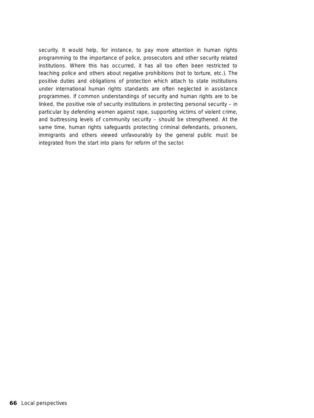security. It would help, for instance, to pay more attention in human rights programming to the importance of police, prosecutors and other security related institutions. Where this has occurred, it has all too often been restricted to teaching police and others about negative prohibitions (not to torture, etc.). The positive duties and obligations of protection which attach to state institutions under international human rights standards are often neglected in assistance programmes. If common understandings of security and human rights are to be linked, the positive role of security institutions in protecting personal security – in particular by defending women against rape, supporting victims of violent crime, and buttressing levels of community security – should be strengthened. At the same time, human rights safeguards protecting criminal defendants, prisoners, immigrants and others viewed unfavourably by the general public must be integrated from the start into plans for reform of the sector.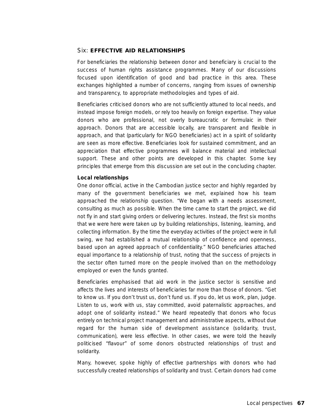# Six: **EFFECTIVE AID RELATIONSHIPS**

For beneficiaries the relationship between donor and beneficiary is crucial to the success of human rights assistance programmes. Many of our discussions focused upon identification of good and bad practice in this area. These exchanges highlighted a number of concerns, ranging from issues of ownership and transparency, to appropriate methodologies and types of aid.

Beneficiaries criticised donors who are not sufficiently attuned to local needs, and instead impose foreign models, or rely too heavily on foreign expertise. They value donors who are professional, not overly bureaucratic or formulaic in their approach. Donors that are accessible locally, are transparent and flexible in approach, and that (particularly for NGO beneficiaries) act in a spirit of solidarity are seen as more effective. Beneficiaries look for sustained commitment, and an appreciation that effective programmes will balance material and intellectual support. These and other points are developed in this chapter. Some key principles that emerge from this discussion are set out in the concluding chapter.

# **Local relationships**

One donor official, active in the Cambodian justice sector and highly regarded by many of the government beneficiaries we met, explained how his team approached the relationship question. "We began with a needs assessment, consulting as much as possible. When the time came to start the project, we did not fly in and start giving orders or delivering lectures. Instead, the first six months that we were here were taken up by building relationships, listening, learning, and collecting information. By the time the everyday activities of the project were in full swing, we had established a mutual relationship of confidence and openness, based upon an agreed approach of confidentiality." NGO beneficiaries attached equal importance to a relationship of trust, noting that the success of projects in the sector often turned more on the people involved than on the methodology employed or even the funds granted.

Beneficiaries emphasised that aid work in the justice sector is sensitive and affects the lives and interests of beneficiaries far more than those of donors. "Get to know us. If you don't trust us, don't fund us. If you do, let us work, plan, judge. Listen to us, work with us, stay committed, avoid paternalistic approaches, and adopt one of solidarity instead." We heard repeatedly that donors who focus entirely on technical project management and administrative aspects, without due regard for the human side of development assistance (solidarity, trust, communication), were less effective. In other cases, we were told the heavily politicised "flavour" of some donors obstructed relationships of trust and solidarity.

Many, however, spoke highly of effective partnerships with donors who had successfully created relationships of solidarity and trust. Certain donors had come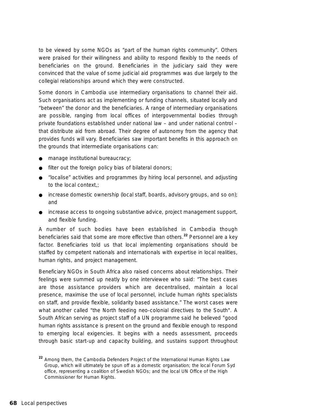to be viewed by some NGOs as "part of the human rights community". Others were praised for their willingness and ability to respond flexibly to the needs of beneficiaries on the ground. Beneficiaries in the judiciary said they were convinced that the value of some judicial aid programmes was due largely to the collegial relationships around which they were constructed.

Some donors in Cambodia use intermediary organisations to channel their aid. Such organisations act as implementing or funding channels, situated locally and "between" the donor and the beneficiaries. A range of intermediary organisations are possible, ranging from local offices of intergovernmental bodies through private foundations established under national law – and under national control – that distribute aid from abroad. Their degree of autonomy from the agency that provides funds will vary. Beneficiaries saw important benefits in this approach on the grounds that intermediate organisations can:

- $\bullet$  manage institutional bureaucracy;
- filter out the foreign policy bias of bilateral donors;
- "localise" activities and programmes (by hiring local personnel, and adjusting to the local context,;
- increase domestic ownership (local staff, boards, advisory groups, and so on); and
- increase access to ongoing substantive advice, project management support, and flexible funding.

A number of such bodies have been established in Cambodia though beneficiaries said that some are more effective than others.**<sup>22</sup>** Personnel are a key factor. Beneficiaries told us that local implementing organisations should be staffed by competent nationals and internationals with expertise in local realities, human rights, and project management.

Beneficiary NGOs in South Africa also raised concerns about relationships. Their feelings were summed up neatly by one interviewee who said: "The best cases are those assistance providers which are decentralised, maintain a local presence, maximise the use of local personnel, include human rights specialists on staff, and provide flexible, solidarity based assistance." The worst cases were what another called "the North feeding neo-colonial directives to the South". A South African serving as project staff of a UN programme said he believed "good human rights assistance is present on the ground and flexible enough to respond to emerging local exigencies. It begins with a needs assessment, proceeds through basic start-up and capacity building, and sustains support throughout

**<sup>22</sup>** Among them, the Cambodia Defenders Project of the International Human Rights Law Group, which will ultimately be spun off as a domestic organisation; the local Forum Syd office, representing a coalition of Swedish NGOs; and the local UN Office of the High Commissioner for Human Rights.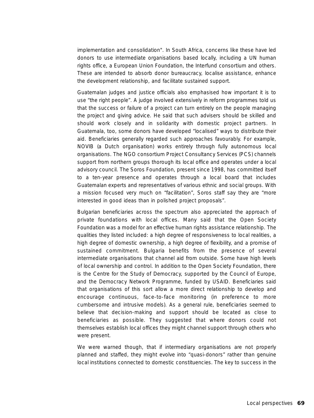implementation and consolidation". In South Africa, concerns like these have led donors to use intermediate organisations based locally, including a UN human rights office, a European Union Foundation, the Interfund consortium and others. These are intended to absorb donor bureaucracy, localise assistance, enhance the development relationship, and facilitate sustained support.

Guatemalan judges and justice officials also emphasised how important it is to use "the right people". A judge involved extensively in reform programmes told us that the success or failure of a project can turn entirely on the people managing the project and giving advice. He said that such advisers should be skilled and should work closely and in solidarity with domestic project partners. In Guatemala, too, some donors have developed "localised" ways to distribute their aid. Beneficiaries generally regarded such approaches favourably. For example, NOVIB (a Dutch organisation) works entirely through fully autonomous local organisations. The NGO consortium Project Consultancy Services (PCS) channels support from northern groups thorough its local office and operates under a local advisory council. The Soros Foundation, present since 1998, has committed itself to a ten-year presence and operates through a local board that includes Guatemalan experts and representatives of various ethnic and social groups. With a mission focused very much on "facilitation", Soros staff say they are "more interested in good ideas than in polished project proposals".

Bulgarian beneficiaries across the spectrum also appreciated the approach of private foundations with local offices. Many said that the Open Society Foundation was a model for an effective human rights assistance relationship. The qualities they listed included: a high degree of responsiveness to local realities, a high degree of domestic ownership, a high degree of flexibility, and a promise of sustained commitment. Bulgaria benefits from the presence of several intermediate organisations that channel aid from outside. Some have high levels of local ownership and control. In addition to the Open Society Foundation, there is the Centre for the Study of Democracy, supported by the Council of Europe, and the Democracy Network Programme, funded by USAID. Beneficiaries said that organisations of this sort allow a more direct relationship to develop and encourage continuous, face-to-face monitoring (in preference to more cumbersome and intrusive models). As a general rule, beneficiaries seemed to believe that decision-making and support should be located as close to beneficiaries as possible. They suggested that where donors could not themselves establish local offices they might channel support through others who were present.

We were warned though, that if intermediary organisations are not properly planned and staffed, they might evolve into "quasi-donors" rather than genuine local institutions connected to domestic constituencies. The key to success in the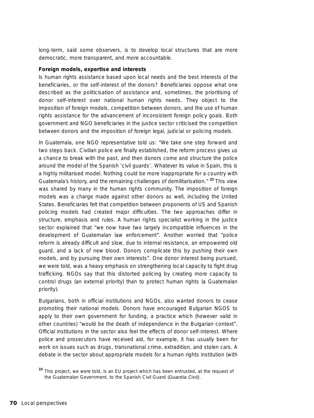long-term, said some observers, is to develop local structures that are more democratic, more transparent, and more accountable.

## **Foreign models, expertise and interests**

Is human rights assistance based upon local needs and the best interests of the beneficiaries, or the self-interest of the donors? Beneficiaries oppose what one described as the politicisation of assistance and, sometimes, the prioritising of donor self-interest over national human rights needs. They object to the imposition of foreign models, competition between donors, and the use of human rights assistance for the advancement of inconsistent foreign policy goals. Both government and NGO beneficiaries in the justice sector criticised the competition between donors and the imposition of foreign legal, judicial or policing models.

In Guatemala, one NGO representative told us: "We take one step forward and two steps back. Civilian police are finally established, the reform process gives us a chance to break with the past, and then donors come and structure the police around the model of the Spanish 'civil guards'. Whatever its value in Spain, this is a highly militarised model. Nothing could be more inappropriate for a country with Guatemala's history, and the remaining challenges of demilitarisation." **<sup>23</sup>** This view was shared by many in the human rights community. The imposition of foreign models was a charge made against other donors as well, including the United States. Beneficiaries felt that competition between proponents of US and Spanish policing models had created major difficulties. The two approaches differ in structure, emphasis and rules. A human rights specialist working in the justice sector explained that "we now have two largely incompatible influences in the development of Guatemalan law enforcement". Another worried that "police reform is already difficult and slow, due to internal resistance, an empowered old guard, and a lack of new blood. Donors complicate this by pushing their own models, and by pursuing their own interests". One donor interest being pursued, we were told, was a heavy emphasis on strengthening local capacity to fight drug trafficking. NGOs say that this distorted policing by creating more capacity to control drugs (an external priority) than to protect human rights (a Guatemalan priority).

Bulgarians, both in official institutions and NGOs, also wanted donors to cease promoting their national models. Donors have encouraged Bulgarian NGOS to apply to their own government for funding, a practice which (however valid in other countries) "would be the death of independence in the Bulgarian context". Official institutions in the sector also feel the effects of donor self-interest. Where police and prosecutors have received aid, for example, it has usually been for work on issues such as drugs, transnational crime, extradition, and stolen cars. A debate in the sector about appropriate models for a human rights institution (with

**<sup>23</sup>** This project, we were told, is an EU project which has been entrusted, at the request of the Guatemalan Government, to the Spanish Civil Guard (*Guardia Civil)*.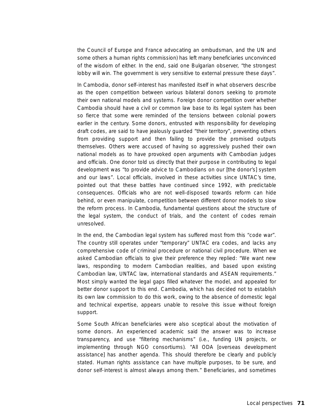the Council of Europe and France advocating an ombudsman, and the UN and some others a human rights commission) has left many beneficiaries unconvinced of the wisdom of either. In the end, said one Bulgarian observer, "the strongest lobby will win. The government is very sensitive to external pressure these days".

In Cambodia, donor self-interest has manifested itself in what observers describe as the open competition between various bilateral donors seeking to promote their own national models and systems. Foreign donor competition over whether Cambodia should have a civil or common law base to its legal system has been so fierce that some were reminded of the tensions between colonial powers earlier in the century. Some donors, entrusted with responsibility for developing draft codes, are said to have jealously guarded "their territory", preventing others from providing support and then failing to provide the promised outputs themselves. Others were accused of having so aggressively pushed their own national models as to have provoked open arguments with Cambodian judges and officials. One donor told us directly that their purpose in contributing to legal development was "to provide advice to Cambodians on our [the donor's] system and our laws". Local officials, involved in these activities since UNTAC's time, pointed out that these battles have continued since 1992, with predictable consequences. Officials who are not well-disposed towards reform can hide behind, or even manipulate, competition between different donor models to slow the reform process. In Cambodia, fundamental questions about the structure of the legal system, the conduct of trials, and the content of codes remain unresolved.

In the end, the Cambodian legal system has suffered most from this "code war". The country still operates under "temporary" UNTAC era codes, and lacks any comprehensive code of criminal procedure or national civil procedure. When we asked Cambodian officials to give their preference they replied: "We want new laws, responding to modern Cambodian realities, and based upon existing Cambodian law, UNTAC law, international standards and ASEAN requirements." Most simply wanted the legal gaps filled whatever the model, and appealed for better donor support to this end. Cambodia, which has decided not to establish its own law commission to do this work, owing to the absence of domestic legal and technical expertise, appears unable to resolve this issue without foreign support.

Some South African beneficiaries were also sceptical about the motivation of some donors. An experienced academic said the answer was to increase transparency, and use "filtering mechanisms" (i.e., funding UN projects, or implementing through NGO consortiums). "All ODA [overseas development assistance] has another agenda. This should therefore be clearly and publicly stated. Human rights assistance can have multiple purposes, to be sure, and donor self-interest is almost always among them." Beneficiaries, and sometimes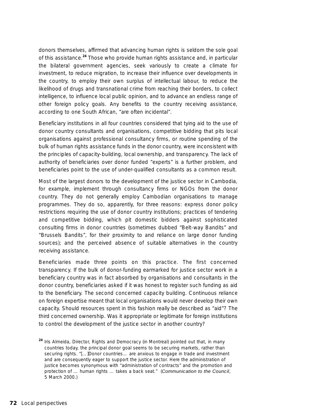donors themselves, affirmed that advancing human rights is seldom the sole goal of this assistance.**<sup>24</sup>** Those who provide human rights assistance and, in particular the bilateral government agencies, seek variously to create a climate for investment, to reduce migration, to increase their influence over developments in the country, to employ their own surplus of intellectual labour, to reduce the likelihood of drugs and transnational crime from reaching their borders, to collect intelligence, to influence local public opinion, and to advance an endless range of other foreign policy goals. Any benefits to the country receiving assistance, according to one South African, "are often incidental".

Beneficiary institutions in all four countries considered that tying aid to the use of donor country consultants and organisations, competitive bidding that pits local organisations against professional consultancy firms, or routine spending of the bulk of human rights assistance funds in the donor country, were inconsistent with the principles of capacity-building, local ownership, and transparency. The lack of authority of beneficiaries over donor funded "experts" is a further problem, and beneficiaries point to the use of under-qualified consultants as a common result.

Most of the largest donors to the development of the justice sector in Cambodia, for example, implement through consultancy firms or NGOs from the donor country. They do not generally employ Cambodian organisations to manage programmes. They do so, apparently, for three reasons: express donor policy restrictions requiring the use of donor country institutions; practices of tendering and competitive bidding, which pit domestic bidders against sophisticated consulting firms in donor countries (sometimes dubbed "Belt-way Bandits" and "Brussels Bandits", for their proximity to and reliance on large donor funding sources); and the perceived absence of suitable alternatives in the country receiving assistance.

Beneficiaries made three points on this practice. The first concerned transparency. If the bulk of donor-funding earmarked for justice sector work in a beneficiary country was in fact absorbed by organisations and consultants in the donor country, beneficiaries asked if it was honest to register such funding as aid to the beneficiary. The second concerned capacity building. Continuous reliance on foreign expertise meant that local organisations would never develop their own capacity. Should resources spent in this fashion really be described as "aid"? The third concerned ownership. Was it appropriate or legitimate for foreign institutions to control the development of the justice sector in another country?

**<sup>24</sup>** Iris Almeida, Director, Rights and Democracy (in Montreal) pointed out that, in many countries today, the principal donor goal seems to be securing markets, rather than securing rights. "[…]Donor countries… are anxious to engage in trade and investment and are consequently eager to support the justice sector. Here the administration of justice becomes synonymous with "administration of contracts" and the promotion and protection of … human rights … takes a back seat." (*Communication to the Council*, 5 March 2000.)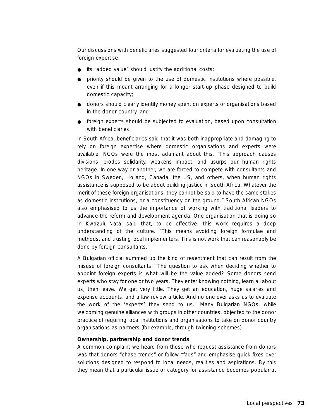Our discussions with beneficiaries suggested four criteria for evaluating the use of foreign expertise:

- its "added value" should justify the additional costs;
- priority should be given to the use of domestic institutions where possible, even if this meant arranging for a longer start-up phase designed to build domestic capacity;
- donors should clearly identify money spent on experts or organisations based in the donor country, and
- foreign experts should be subjected to evaluation, based upon consultation with beneficiaries.

In South Africa, beneficiaries said that it was both inappropriate and damaging to rely on foreign expertise where domestic organisations and experts were available. NGOs were the most adamant about this. "This approach causes divisions, erodes solidarity, weakens impact, and usurps our human rights heritage. In one way or another, we are forced to compete with consultants and NGOs in Sweden, Holland, Canada, the US, and others, when human rights assistance is supposed to be about building justice in South Africa. Whatever the merit of these foreign organisations, they cannot be said to have the same stakes as domestic institutions, or a constituency on the ground." South African NGOs also emphasised to us the importance of working with traditional leaders to advance the reform and development agenda. One organisation that is doing so in Kwazulu-Natal said that, to be effective, this work requires a deep understanding of the culture. "This means avoiding foreign formulae and methods, and trusting local implementers. This is not work that can reasonably be done by foreign consultants."

A Bulgarian official summed up the kind of resentment that can result from the misuse of foreign consultants. "The question to ask when deciding whether to appoint foreign experts is what will be the value added? Some donors send experts who stay for one or two years. They enter knowing nothing, learn all about us, then leave. We get very little. They get an education, huge salaries and expense accounts, and a law review article. And no one ever asks us to evaluate the work of the 'experts' they send to us." Many Bulgarian NGOs, while welcoming genuine alliances with groups in other countries, objected to the donor practice of requiring local institutions and organisations to take on donor country organisations as partners (for example, through twinning schemes).

# **Ownership, partnership and donor trends**

A common complaint we heard from those who request assistance from donors was that donors "chase trends" or follow "fads" and emphasise quick fixes over solutions designed to respond to local needs, realities and aspirations. By this they mean that a particular issue or category for assistance becomes popular at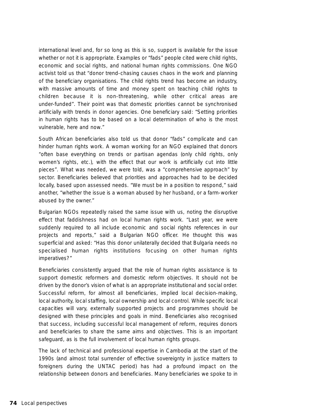international level and, for so long as this is so, support is available for the issue whether or not it is appropriate. Examples or "fads" people cited were child rights, economic and social rights, and national human rights commissions. One NGO activist told us that "donor trend-chasing causes chaos in the work and planning of the beneficiary organisations. The child rights trend has become an industry, with massive amounts of time and money spent on teaching child rights to children because it is non-threatening, while other critical areas are under-funded". Their point was that domestic priorities cannot be synchronised artificially with trends in donor agencies. One beneficiary said: "Setting priorities in human rights has to be based on a local determination of who is the most vulnerable, here and now."

South African beneficiaries also told us that donor "fads" complicate and can hinder human rights work. A woman working for an NGO explained that donors "often base everything on trends or partisan agendas (only child rights, only women's rights, etc.), with the effect that our work is artificially cut into little pieces". What was needed, we were told, was a "comprehensive approach" by sector. Beneficiaries believed that priorities and approaches had to be decided locally, based upon assessed needs. "We must be in a position to respond," said another, "whether the issue is a woman abused by her husband, or a farm-worker abused by the owner."

Bulgarian NGOs repeatedly raised the same issue with us, noting the disruptive effect that faddishness had on local human rights work. "Last year, we were suddenly required to all include economic and social rights references in our projects and reports," said a Bulgarian NGO officer. He thought this was superficial and asked: "Has this donor unilaterally decided that Bulgaria needs no specialised human rights institutions focusing on other human rights imperatives?"

Beneficiaries consistently argued that the role of human rights assistance is to support domestic reformers and domestic reform objectives. It should not be driven by the donor's vision of what is an appropriate institutional and social order. Successful reform, for almost all beneficiaries, implied local decision-making, local authority, local staffing, local ownership and local control. While specific local capacities will vary, externally supported projects and programmes should be designed with these principles and goals in mind. Beneficiaries also recognised that success, including successful local management of reform, requires donors and beneficiaries to share the same aims and objectives. This is an important safeguard, as is the full involvement of local human rights groups.

The lack of technical and professional expertise in Cambodia at the start of the 1990s (and almost total surrender of effective sovereignty in justice matters to foreigners during the UNTAC period) has had a profound impact on the relationship between donors and beneficiaries. Many beneficiaries we spoke to in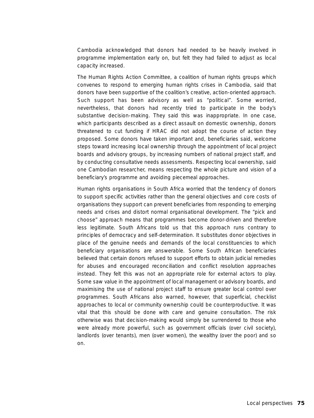Cambodia acknowledged that donors had needed to be heavily involved in programme implementation early on, but felt they had failed to adjust as local capacity increased.

The Human Rights Action Committee, a coalition of human rights groups which convenes to respond to emerging human rights crises in Cambodia, said that donors have been supportive of the coalition's creative, action-oriented approach. Such support has been advisory as well as "political". Some worried, nevertheless, that donors had recently tried to participate in the body's substantive decision-making. They said this was inappropriate. In one case, which participants described as a direct assault on domestic ownership, donors threatened to cut funding if HRAC did not adopt the course of action they proposed. Some donors have taken important and, beneficiaries said, welcome steps toward increasing local ownership through the appointment of local project boards and advisory groups, by increasing numbers of national project staff, and by conducting consultative needs assessments. Respecting local ownership, said one Cambodian researcher, means respecting the whole picture and vision of a beneficiary's programme and avoiding piecemeal approaches.

Human rights organisations in South Africa worried that the tendency of donors to support specific activities rather than the general objectives and core costs of organisations they support can prevent beneficiaries from responding to emerging needs and crises and distort normal organisational development. The "pick and choose" approach means that programmes become donor-driven and therefore less legitimate. South Africans told us that this approach runs contrary to principles of democracy and self-determination. It substitutes donor objectives in place of the genuine needs and demands of the local constituencies to which beneficiary organisations are answerable. Some South African beneficiaries believed that certain donors refused to support efforts to obtain judicial remedies for abuses and encouraged reconciliation and conflict resolution approaches instead. They felt this was not an appropriate role for external actors to play. Some saw value in the appointment of local management or advisory boards, and maximising the use of national project staff to ensure greater local control over programmes. South Africans also warned, however, that superficial, checklist approaches to local or community ownership could be counterproductive. It was vital that this should be done with care and genuine consultation. The risk otherwise was that decision-making would simply be surrendered to those who were already more powerful, such as government officials (over civil society), landlords (over tenants), men (over women), the wealthy (over the poor) and so on.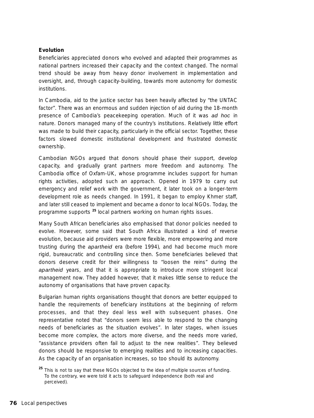# **Evolution**

Beneficiaries appreciated donors who evolved and adapted their programmes as national partners increased their capacity and the context changed. The normal trend should be away from heavy donor involvement in implementation and oversight, and, through capacity-building, towards more autonomy for domestic institutions.

In Cambodia, aid to the justice sector has been heavily affected by "the UNTAC factor". There was an enormous and sudden injection of aid during the 18-month presence of Cambodia's peacekeeping operation. Much of it was *ad hoc* in nature. Donors managed many of the country's institutions. Relatively little effort was made to build their capacity, particularly in the official sector. Together, these factors slowed domestic institutional development and frustrated domestic ownership.

Cambodian NGOs argued that donors should phase their support, develop capacity, and gradually grant partners more freedom and autonomy. The Cambodia office of Oxfam-UK, whose programme includes support for human rights activities, adopted such an approach. Opened in 1979 to carry out emergency and relief work with the government, it later took on a longer-term development role as needs changed. In 1991, it began to employ Khmer staff, and later still ceased to implement and became a donor to local NGOs. Today, the programme supports **<sup>25</sup>** local partners working on human rights issues.

Many South African beneficiaries also emphasised that donor policies needed to evolve. However, some said that South Africa illustrated a kind of reverse evolution, because aid providers were more flexible, more empowering and more trusting during the *apartheid* era (before 1994), and had become much more rigid, bureaucratic and controlling since then. Some beneficiaries believed that donors deserve credit for their willingness to "loosen the reins" during the *apartheid* years, and that it is appropriate to introduce more stringent local management now. They added however, that it makes little sense to reduce the autonomy of organisations that have proven capacity.

Bulgarian human rights organisations thought that donors are better equipped to handle the requirements of beneficiary institutions at the beginning of reform processes, and that they deal less well with subsequent phases. One representative noted that "donors seem less able to respond to the changing needs of beneficiaries as the situation evolves". In later stages, when issues become more complex, the actors more diverse, and the needs more varied, "assistance providers often fail to adjust to the new realities". They believed donors should be responsive to emerging realities and to increasing capacities. As the capacity of an organisation increases, so too should its autonomy.

**<sup>25</sup>** This is not to say that these NGOs objected to the idea of multiple sources of funding. To the contrary, we were told it acts to safeguard independence (both real and perceived).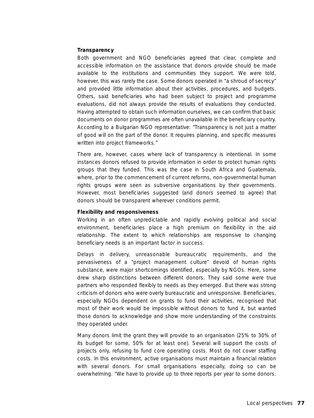# **Transparency**

Both government and NGO beneficiaries agreed that clear, complete and accessible information on the assistance that donors provide should be made available to the institutions and communities they support. We were told, however, this was rarely the case. Some donors operated in "a shroud of secrecy" and provided little information about their activities, procedures, and budgets. Others, said beneficiaries who had been subject to project and programme evaluations, did not always provide the results of evaluations they conducted. Having attempted to obtain such information ourselves, we can confirm that basic documents on donor programmes are often unavailable in the beneficiary country. According to a Bulgarian NGO representative: "Transparency is not just a matter of good will on the part of the donor. It requires planning, and specific measures written into project frameworks."

There are, however, cases where lack of transparency is intentional. In some instances donors refused to provide information in order to protect human rights groups that they funded. This was the case in South Africa and Guatemala, where, prior to the commencement of current reforms, non-governmental human rights groups were seen as subversive organisations by their governments. However, most beneficiaries suggested (and donors seemed to agree) that donors should be transparent wherever conditions permit.

## **Flexibility and responsiveness**

Working in an often unpredictable and rapidly evolving political and social environment, beneficiaries place a high premium on flexibility in the aid relationship. The extent to which relationships are responsive to changing beneficiary needs is an important factor in success.

Delays in delivery, unreasonable bureaucratic requirements, and the pervasiveness of a "project management culture" devoid of human rights substance, were major shortcomings identified, especially by NGOs. Here, some drew sharp distinctions between different donors. They said some were true partners who responded flexibly to needs as they emerged. But there was strong criticism of donors who were overly bureaucratic and unresponsive. Beneficiaries, especially NGOs dependent on grants to fund their activities, recognised that most of their work would be impossible without donors to fund it, but wanted those donors to acknowledge and show more understanding of the constraints they operated under.

Many donors limit the grant they will provide to an organisation (25% to 30% of its budget for some, 50% for at least one). Several will support the costs of projects only, refusing to fund core operating costs. Most do not cover staffing costs. In this environment, active organisations must maintain a financial relation with several donors. For small organisations especially, doing so can be overwhelming. "We have to provide up to three reports per year to some donors.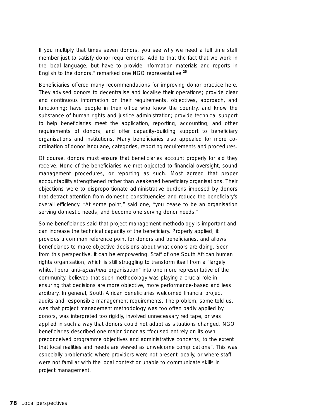If you multiply that times seven donors, you see why we need a full time staff member just to satisfy donor requirements. Add to that the fact that we work in the local language, but have to provide information materials and reports in English to the donors," remarked one NGO representative.**<sup>25</sup>**

Beneficiaries offered many recommendations for improving donor practice here. They advised donors to decentralise and localise their operations; provide clear and continuous information on their requirements, objectives, approach, and functioning; have people in their office who know the country, and know the substance of human rights and justice administration; provide technical support to help beneficiaries meet the application, reporting, accounting, and other requirements of donors; and offer capacity-building support to beneficiary organisations and institutions. Many beneficiaries also appealed for more coordination of donor language, categories, reporting requirements and procedures.

Of course, donors must ensure that beneficiaries account properly for aid they receive. None of the beneficiaries we met objected to financial oversight, sound management procedures, or reporting as such. Most agreed that proper accountability strengthened rather than weakened beneficiary organisations. Their objections were to disproportionate administrative burdens imposed by donors that detract attention from domestic constituencies and reduce the beneficiary's overall efficiency. "At some point," said one, "you cease to be an organisation serving domestic needs, and become one serving donor needs."

Some beneficiaries said that project management methodology is important and can increase the technical capacity of the beneficiary. Properly applied, it provides a common reference point for donors and beneficiaries, and allows beneficiaries to make objective decisions about what donors are doing. Seen from this perspective, it can be empowering. Staff of one South African human rights organisation, which is still struggling to transform itself from a "largely white, liberal anti-*apartheid* organisation" into one more representative of the community, believed that such methodology was playing a crucial role in ensuring that decisions are more objective, more performance-based and less arbitrary. In general, South African beneficiaries welcomed financial project audits and responsible management requirements. The problem, some told us, was that project management methodology was too often badly applied by donors, was interpreted too rigidly, involved unnecessary red tape, or was applied in such a way that donors could not adapt as situations changed. NGO beneficiaries described one major donor as "focused entirely on its own preconceived programme objectives and administrative concerns, to the extent that local realities and needs are viewed as unwelcome complications". This was especially problematic where providers were not present locally, or where staff were not familiar with the local context or unable to communicate skills in project management.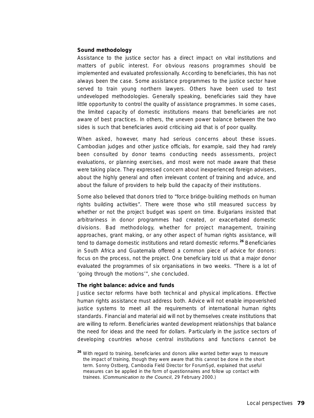## **Sound methodology**

Assistance to the justice sector has a direct impact on vital institutions and matters of public interest. For obvious reasons programmes should be implemented and evaluated professionally. According to beneficiaries, this has not always been the case. Some assistance programmes to the justice sector have served to train young northern lawyers. Others have been used to test undeveloped methodologies. Generally speaking, beneficiaries said they have little opportunity to control the quality of assistance programmes. In some cases, the limited capacity of domestic institutions means that beneficiaries are not aware of best practices. In others, the uneven power balance between the two sides is such that beneficiaries avoid criticising aid that is of poor quality.

When asked, however, many had serious concerns about these issues. Cambodian judges and other justice officials, for example, said they had rarely been consulted by donor teams conducting needs assessments, project evaluations, or planning exercises, and most were not made aware that these were taking place. They expressed concern about inexperienced foreign advisers, about the highly general and often irrelevant content of training and advice, and about the failure of providers to help build the capacity of their institutions.

Some also believed that donors tried to "force bridge-building methods on human rights building activities". There were those who still measured success by whether or not the project budget was spent on time. Bulgarians insisted that arbitrariness in donor programmes had created, or exacerbated domestic divisions. Bad methodology, whether for project management, training approaches, grant making, or any other aspect of human rights assistance, will tend to damage domestic institutions and retard domestic reforms.**<sup>26</sup>** Beneficiaries in South Africa and Guatemala offered a common piece of advice for donors: focus on the process, not the project. One beneficiary told us that a major donor evaluated the programmes of six organisations in two weeks. "There is a lot of 'going through the motions'", she concluded.

### **The right balance: advice and funds**

Justice sector reforms have both technical and physical implications. Effective human rights assistance must address both. Advice will not enable impoverished justice systems to meet all the requirements of international human rights standards. Financial and material aid will not by themselves create institutions that are willing to reform. Beneficiaries wanted development relationships that balance the need for ideas and the need for dollars. Particularly in the justice sectors of developing countries whose central institutions and functions cannot be

**<sup>26</sup>** With regard to training, beneficiaries and donors alike wanted better ways to measure the impact of training, though they were aware that this cannot be done in the short term. Sonny Ostberg, Cambodia Field Director for ForumSyd, explained that useful measures can be applied in the form of questionnaires and follow up contact with trainees. (*Communication to the Council*, 29 February 2000.)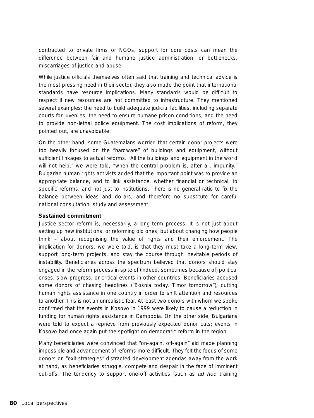contracted to private firms or NGOs, support for core costs can mean the difference between fair and humane justice administration, or bottlenecks, miscarriages of justice and abuse.

While justice officials themselves often said that training and technical advice is the most pressing need in their sector, they also made the point that international standards have resource implications. Many standards would be difficult to respect if new resources are not committed to infrastructure. They mentioned several examples: the need to build adequate judicial facilities, including separate courts for juveniles; the need to ensure humane prison conditions; and the need to provide non-lethal police equipment. The cost implications of reform, they pointed out, are unavoidable.

On the other hand, some Guatemalans worried that certain donor projects were too heavily focused on the "hardware" of buildings and equipment, without sufficient linkages to actual reforms. "All the buildings and equipment in the world will not help," we were told, "when the central problem is, after all, impunity." Bulgarian human rights activists added that the important point was to provide an appropriate balance, and to link assistance, whether financial or technical, to specific reforms, and not just to institutions. There is no general ratio to fix the balance between ideas and dollars, and therefore no substitute for careful national consultation, study and assessment.

### **Sustained commitment**

Justice sector reform is, necessarily, a long-term process. It is not just about setting up new institutions, or reforming old ones, but about changing how people think – about recognising the value of rights and their enforcement. The implication for donors, we were told, is that they must take a long-term view, support long-term projects, and stay the course through inevitable periods of instability. Beneficiaries across the spectrum believed that donors should stay engaged in the reform process in spite of (indeed, sometimes because of) political crises, slow progress, or critical events in other countries. Beneficiaries accused some donors of chasing headlines ("Bosnia today, Timor tomorrow"), cutting human rights assistance in one country in order to shift attention and resources to another. This is not an unrealistic fear. At least two donors with whom we spoke confirmed that the events in Kosovo in 1999 were likely to cause a reduction in funding for human rights assistance in Cambodia. On the other side, Bulgarians were told to expect a reprieve from previously expected donor cuts; events in Kosovo had once again put the spotlight on democratic reform in the region.

Many beneficiaries were convinced that "on-again, off-again" aid made planning impossible and advancement of reforms more difficult. They felt the focus of some donors on "exit strategies" distracted development agendas away from the work at hand, as beneficiaries struggle, compete and despair in the face of imminent cut-offs. The tendency to support one-off activities (such as *ad hoc* training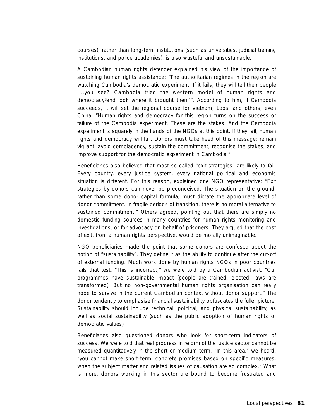courses), rather than long-term institutions (such as universities, judicial training institutions, and police academies), is also wasteful and unsustainable.

A Cambodian human rights defender explained his view of the importance of sustaining human rights assistance: "The authoritarian regimes in the region are watching Cambodia's democratic experiment. If it fails, they will tell their people '...you see? Cambodia tried the western model of human rights and democracyºand look where it brought them'". According to him, if Cambodia succeeds, it will set the regional course for Vietnam, Laos, and others, even China. "Human rights and democracy for this region turns on the success or failure of the Cambodia experiment. These are the stakes. And the Cambodia experiment is squarely in the hands of the NGOs at this point. If they fail, human rights and democracy will fail. Donors must take heed of this message: remain vigilant, avoid complacency, sustain the commitment, recognise the stakes, and improve support for the democratic experiment in Cambodia."

Beneficiaries also believed that most so-called "exit strategies" are likely to fail. Every country, every justice system, every national political and economic situation is different. For this reason, explained one NGO representative: "Exit strategies by donors can never be preconceived. The situation on the ground, rather than some donor capital formula, must dictate the appropriate level of donor commitment. In fragile periods of transition, there is no moral alternative to sustained commitment." Others agreed, pointing out that there are simply no domestic funding sources in many countries for human rights monitoring and investigations, or for advocacy on behalf of prisoners. They argued that the cost of exit, from a human rights perspective, would be morally unimaginable.

NGO beneficiaries made the point that some donors are confused about the notion of "sustainability". They define it as the ability to continue after the cut-off of external funding. Much work done by human rights NGOs in poor countries fails that test. "This is incorrect," we were told by a Cambodian activist. "Our programmes have sustainable impact (people are trained, elected, laws are transformed). But no non-governmental human rights organisation can really hope to survive in the current Cambodian context without donor support." The donor tendency to emphasise financial sustainability obfuscates the fuller picture. Sustainability should include technical, political, and physical sustainability, as well as social sustainability (such as the public adoption of human rights or democratic values).

Beneficiaries also questioned donors who look for short-term indicators of success. We were told that real progress in reform of the justice sector cannot be measured quantitatively in the short or medium term. "In this area," we heard, "you cannot make short-term, concrete promises based on specific measures, when the subject matter and related issues of causation are so complex." What is more, donors working in this sector are bound to become frustrated and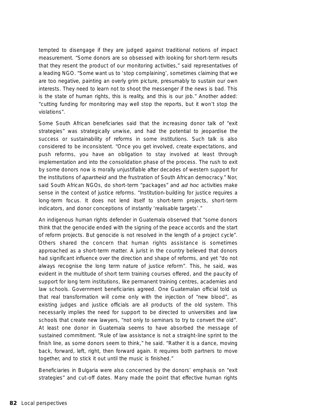tempted to disengage if they are judged against traditional notions of impact measurement. "Some donors are so obsessed with looking for short-term results that they resent the product of our monitoring activities," said representatives of a leading NGO. "Some want us to 'stop complaining', sometimes claiming that we are too negative, painting an overly grim picture, presumably to sustain our own interests. They need to learn not to shoot the messenger if the news is bad. This is the state of human rights, this is reality, and this is our job." Another added: "cutting funding for monitoring may well stop the reports, but it won't stop the violations".

Some South African beneficiaries said that the increasing donor talk of "exit strategies" was strategically unwise, and had the potential to jeopardise the success or sustainability of reforms in some institutions. Such talk is also considered to be inconsistent. "Once you get involved, create expectations, and push reforms, you have an obligation to stay involved at least through implementation and into the consolidation phase of the process. The rush to exit by some donors now is morally unjustifiable after decades of western support for the institutions of *apartheid* and the frustration of South African democracy." Nor, said South African NGOs, do short-term "packages" and *ad hoc* activities make sense in the context of justice reforms. "Institution-building for justice requires a long-term focus. It does not lend itself to short-term projects, short-term indicators, and donor conceptions of instantly 'realisable targets'."

An indigenous human rights defender in Guatemala observed that "some donors think that the genocide ended with the signing of the peace accords and the start of reform projects. But genocide is not resolved in the length of a project cycle". Others shared the concern that human rights assistance is sometimes approached as a short-term matter. A jurist in the country believed that donors had significant influence over the direction and shape of reforms, and yet "do not always recognise the long term nature of justice reform". This, he said, was evident in the multitude of short term training courses offered, and the paucity of support for long term institutions, like permanent training centres, academies and law schools. Government beneficiaries agreed. One Guatemalan official told us that real transformation will come only with the injection of "new blood", as existing judges and justice officials are all products of the old system. This necessarily implies the need for support to be directed to universities and law schools that create new lawyers, "not only to seminars to try to convert the old". At least one donor in Guatemala seems to have absorbed the message of sustained commitment. "Rule of law assistance is not a straight-line sprint to the finish line, as some donors seem to think," he said. "Rather it is a dance, moving back, forward, left, right, then forward again. It requires both partners to move together, and to stick it out until the music is finished."

Beneficiaries in Bulgaria were also concerned by the donors' emphasis on "exit strategies" and cut-off dates. Many made the point that effective human rights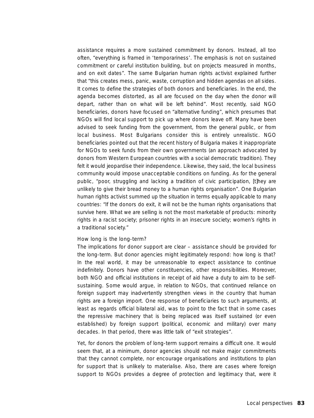assistance requires a more sustained commitment by donors. Instead, all too often, "everything is framed in 'temporariness'. The emphasis is not on sustained commitment or careful institution building, but on projects measured in months, and on exit dates". The same Bulgarian human rights activist explained further that "this creates mess, panic, waste, corruption and hidden agendas on all sides. It comes to define the strategies of both donors and beneficiaries. In the end, the agenda becomes distorted, as all are focused on the day when the donor will depart, rather than on what will be left behind". Most recently, said NGO beneficiaries, donors have focused on "alternative funding", which presumes that NGOs will find local support to pick up where donors leave off. Many have been advised to seek funding from the government, from the general public, or from local business. Most Bulgarians consider this is entirely unrealistic. NGO beneficiaries pointed out that the recent history of Bulgaria makes it inappropriate for NGOs to seek funds from their own governments (an approach advocated by donors from Western European countries with a social democratic tradition). They felt it would jeopardise their independence. Likewise, they said, the local business community would impose unacceptable conditions on funding. As for the general public, "poor, struggling and lacking a tradition of civic participation, [t]hey are unlikely to give their bread money to a human rights organisation". One Bulgarian human rights activist summed up the situation in terms equally applicable to many countries: "If the donors do exit, it will not be the human rights organisations that survive here. What we are selling is not the most marketable of products: minority rights in a racist society; prisoner rights in an insecure society; women's rights in a traditional society."

## How long is the long-term?

The implications for donor support are clear – assistance should be provided for the long-term. But donor agencies might legitimately respond: how long is that? In the real world, it may be unreasonable to expect assistance to continue indefinitely. Donors have other constituencies, other responsibilities. Moreover, both NGO and official institutions in receipt of aid have a duty to aim to be selfsustaining. Some would argue, in relation to NGOs, that continued reliance on foreign support may inadvertently strengthen views in the country that human rights are a foreign import. One response of beneficiaries to such arguments, at least as regards official bilateral aid, was to point to the fact that in some cases the repressive machinery that is being replaced was itself sustained (or even established) by foreign support (political, economic and military) over many decades. In that period, there was little talk of "exit strategies".

Yet, for donors the problem of long-term support remains a difficult one. It would seem that, at a minimum, donor agencies should not make major commitments that they cannot complete, nor encourage organisations and institutions to plan for support that is unlikely to materialise. Also, there are cases where foreign support to NGOs provides a degree of protection and legitimacy that, were it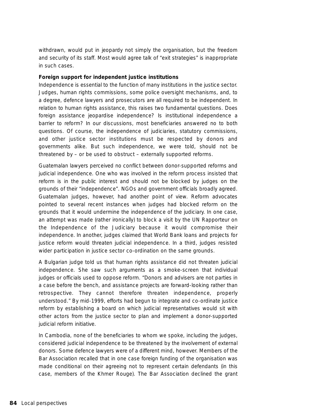withdrawn, would put in jeopardy not simply the organisation, but the freedom and security of its staff. Most would agree talk of "exit strategies" is inappropriate in such cases.

## **Foreign support for independent justice institutions**

Independence is essential to the function of many institutions in the justice sector. Judges, human rights commissions, some police oversight mechanisms, and, to a degree, defence lawyers and prosecutors are all required to be independent. In relation to human rights assistance, this raises two fundamental questions. Does foreign assistance jeopardise independence? Is institutional independence a barrier to reform? In our discussions, most beneficiaries answered no to both questions. Of course, the independence of judiciaries, statutory commissions, and other justice sector institutions must be respected by donors and governments alike. But such independence, we were told, should not be threatened by – or be used to obstruct – externally supported reforms.

Guatemalan lawyers perceived no conflict between donor-supported reforms and judicial independence. One who was involved in the reform process insisted that reform is in the public interest and should not be blocked by judges on the grounds of their "independence". NGOs and government officials broadly agreed. Guatemalan judges, however, had another point of view. Reform advocates pointed to several recent instances when judges had blocked reform on the grounds that it would undermine the independence of the judiciary. In one case, an attempt was made (rather ironically) to block a visit by the UN Rapporteur on the Independence of the Judiciary because it would compromise their independence. In another, judges claimed that World Bank loans and projects for justice reform would threaten judicial independence. In a third, judges resisted wider participation in justice sector co-ordination on the same grounds.

A Bulgarian judge told us that human rights assistance did not threaten judicial independence. She saw such arguments as a smoke-screen that individual judges or officials used to oppose reform. "Donors and advisers are not parties in a case before the bench, and assistance projects are forward-looking rather than retrospective. They cannot therefore threaten independence, properly understood." By mid-1999, efforts had begun to integrate and co-ordinate justice reform by establishing a board on which judicial representatives would sit with other actors from the justice sector to plan and implement a donor-supported judicial reform initiative.

In Cambodia, none of the beneficiaries to whom we spoke, including the judges, considered judicial independence to be threatened by the involvement of external donors. Some defence lawyers were of a different mind, however. Members of the Bar Association recalled that in one case foreign funding of the organisation was made conditional on their agreeing not to represent certain defendants (in this case, members of the Khmer Rouge). The Bar Association declined the grant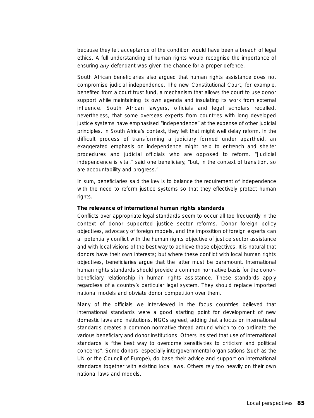because they felt acceptance of the condition would have been a breach of legal ethics. A full understanding of human rights would recognise the importance of ensuring *any* defendant was given the chance for a proper defence.

South African beneficiaries also argued that human rights assistance does not compromise judicial independence. The new Constitutional Court, for example, benefited from a court trust fund, a mechanism that allows the court to use donor support while maintaining its own agenda and insulating its work from external influence. South African lawyers, officials and legal scholars recalled, nevertheless, that some overseas experts from countries with long developed justice systems have emphasised "independence" at the expense of other judicial principles. In South Africa's context, they felt that might well delay reform. In the difficult process of transforming a judiciary formed under apartheid, an exaggerated emphasis on independence might help to entrench and shelter procedures and judicial officials who are opposed to reform. "Judicial independence is vital," said one beneficiary, "but, in the context of transition, so are accountability and progress."

In sum, beneficiaries said the key is to balance the requirement of independence with the need to reform justice systems so that they effectively protect human rights.

### **The relevance of international human rights standards**

Conflicts over appropriate legal standards seem to occur all too frequently in the context of donor supported justice sector reforms. Donor foreign policy objectives, advocacy of foreign models, and the imposition of foreign experts can all potentially conflict with the human rights objective of justice sector assistance and with local visions of the best way to achieve those objectives. It is natural that donors have their own interests; but where these conflict with local human rights objectives, beneficiaries argue that the latter must be paramount. International human rights standards should provide a common normative basis for the donorbeneficiary relationship in human rights assistance. These standards apply regardless of a country's particular legal system. They should replace imported national models and obviate donor competition over them.

Many of the officials we interviewed in the focus countries believed that international standards were a good starting point for development of new domestic laws and institutions. NGOs agreed, adding that a focus on international standards creates a common normative thread around which to co-ordinate the various beneficiary and donor institutions. Others insisted that use of international standards is "the best way to overcome sensitivities to criticism and political concerns". Some donors, especially intergovernmental organisations (such as the UN or the Council of Europe), do base their advice and support on international standards together with existing local laws. Others rely too heavily on their own national laws and models.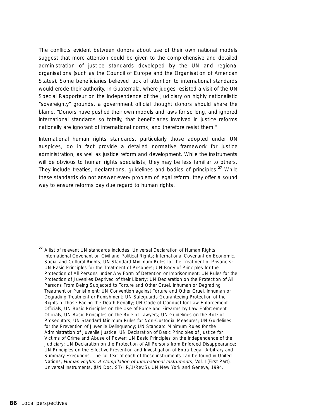The conflicts evident between donors about use of their own national models suggest that more attention could be given to the comprehensive and detailed administration of justice standards developed by the UN and regional organisations (such as the Council of Europe and the Organisation of American States). Some beneficiaries believed lack of attention to international standards would erode their authority. In Guatemala, where judges resisted a visit of the UN Special Rapporteur on the Independence of the Judiciary on highly nationalistic "sovereignty" grounds, a government official thought donors should share the blame. "Donors have pushed their own models and laws for so long, and ignored international standards so totally, that beneficiaries involved in justice reforms nationally are ignorant of international norms, and therefore resist them."

International human rights standards, particularly those adopted under UN auspices, do in fact provide a detailed normative framework for justice administration, as well as justice reform and development. While the instruments will be obvious to human rights specialists, they may be less familiar to others. They include treaties, declarations, guidelines and bodies of principles.**<sup>27</sup>** While these standards do not answer every problem of legal reform, they offer a sound way to ensure reforms pay due regard to human rights.

**<sup>27</sup>** A list of relevant UN standards includes: Universal Declaration of Human Rights; International Covenant on Civil and Political Rights; International Covenant on Economic, Social and Cultural Rights; UN Standard Minimum Rules for the Treatment of Prisoners; UN Basic Principles for the Treatment of Prisoners; UN Body of Principles for the Protection of All Persons under Any Form of Detention or Imprisonment; UN Rules for the Protection of Juveniles Deprived of their Liberty; UN Declaration on the Protection of All Persons From Being Subjected to Torture and Other Cruel, Inhuman or Degrading Treatment or Punishment; UN Convention against Torture and Other Cruel, Inhuman or Degrading Treatment or Punishment; UN Safeguards Guaranteeing Protection of the Rights of those Facing the Death Penalty; UN Code of Conduct for Law Enforcement Officials; UN Basic Principles on the Use of Force and Firearms by Law Enforcement Officials; UN Basic Principles on the Role of Lawyers; UN Guidelines on the Role of Prosecutors; UN Standard Minimum Rules for Non-Custodial Measures; UN Guidelines for the Prevention of Juvenile Delinquency; UN Standard Minimum Rules for the Administration of Juvenile Justice; UN Declaration of Basic Principles of Justice for Victims of Crime and Abuse of Power; UN Basic Principles on the Independence of the Judiciary; UN Declaration on the Protection of All Persons from Enforced Disappearance; UN Principles on the Effective Prevention and Investigation of Extra-Legal, Arbitrary and Summary Executions. The full text of each of these instruments can be found in United Nations, *Human Rights: A Compilation of International Instruments*, Vol. I (First Part), Universal Instruments, (UN Doc. ST/HR/1/Rev.5), UN New York and Geneva, 1994.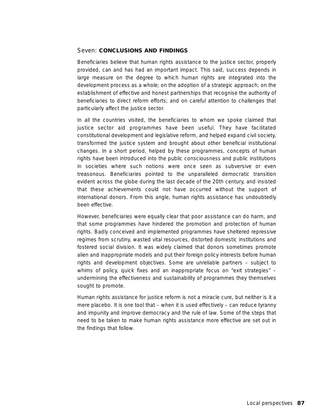## Seven: **CONCLUSIONS AND FINDINGS**

Beneficiaries believe that human rights assistance to the justice sector, properly provided, can and has had an important impact. This said, success depends in large measure on the degree to which human rights are integrated into the development process as a whole; on the adoption of a strategic approach; on the establishment of effective and honest partnerships that recognise the authority of beneficiaries to direct reform efforts; and on careful attention to challenges that particularly affect the justice sector.

In all the countries visited, the beneficiaries to whom we spoke claimed that justice sector aid programmes have been useful. They have facilitated constitutional development and legislative reform, and helped expand civil society, transformed the justice system and brought about other beneficial institutional changes. In a short period, helped by these programmes, concepts of human rights have been introduced into the public consciousness and public institutions in societies where such notions were once seen as subversive or even treasonous. Beneficiaries pointed to the unparalleled democratic transition evident across the globe during the last decade of the 20th century, and insisted that these achievements could not have occurred without the support of international donors. From this angle, human rights assistance has undoubtedly been effective.

However, beneficiaries were equally clear that poor assistance can do harm, and that some programmes have hindered the promotion and protection of human rights. Badly conceived and implemented programmes have sheltered repressive regimes from scrutiny, wasted vital resources, distorted domestic institutions and fostered social division. It was widely claimed that donors sometimes promote alien and inappropriate models and put their foreign policy interests before human rights and development objectives. Some are unreliable partners – subject to whims of policy, quick fixes and an inappropriate focus on "exit strategies" – undermining the effectiveness and sustainability of programmes they themselves sought to promote.

Human rights assistance for justice reform is not a miracle cure, but neither is it a mere placebo. It is one tool that – when it is used effectively – can reduce tyranny and impunity and improve democracy and the rule of law. Some of the steps that need to be taken to make human rights assistance more effective are set out in the findings that follow.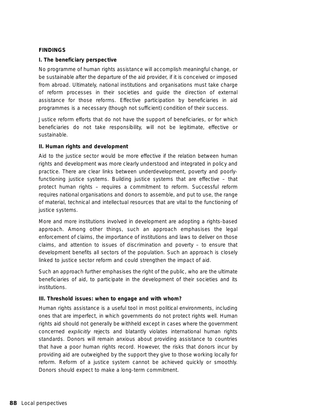# **FINDINGS**

# **I. The beneficiary perspective**

No programme of human rights assistance will accomplish meaningful change, or be sustainable after the departure of the aid provider, if it is conceived or imposed from abroad. Ultimately, national institutions and organisations must take charge of reform processes in their societies and guide the direction of external assistance for those reforms. Effective participation by beneficiaries in aid programmes is a necessary (though not sufficient) condition of their success.

Justice reform efforts that do not have the support of beneficiaries, or for which beneficiaries do not take responsibility, will not be legitimate, effective or sustainable.

# **II. Human rights and development**

Aid to the justice sector would be more effective if the relation between human rights and development was more clearly understood and integrated in policy and practice. There are clear links between underdevelopment, poverty and poorlyfunctioning justice systems. Building justice systems that are effective – that protect human rights – requires a commitment to reform. Successful reform requires national organisations and donors to assemble, and put to use, the range of material, technical and intellectual resources that are vital to the functioning of justice systems.

More and more institutions involved in development are adopting a rights-based approach. Among other things, such an approach emphasises the legal enforcement of claims, the importance of institutions and laws to deliver on those claims, and attention to issues of discrimination and poverty – to ensure that development benefits all sectors of the population. Such an approach is closely linked to justice sector reform and could strengthen the impact of aid.

Such an approach further emphasises the right of the public, who are the ultimate beneficiaries of aid, to participate in the development of their societies and its institutions.

## **III. Threshold issues: when to engage and with whom?**

Human rights assistance is a useful tool in most political environments, including ones that are imperfect, in which governments do not protect rights well. Human rights aid should not generally be withheld except in cases where the government concerned *explicitly* rejects and blatantly violates international human rights standards. Donors will remain anxious about providing assistance to countries that have a poor human rights record. However, the risks that donors incur by providing aid are outweighed by the support they give to those working locally for reform. Reform of a justice system cannot be achieved quickly or smoothly. Donors should expect to make a long-term commitment.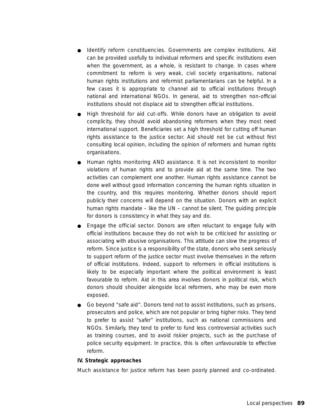- *Identify reform constituencies*. Governments are complex institutions. Aid can be provided usefully to individual reformers and specific institutions even when the government, as a whole, is resistant to change. In cases where commitment to reform is very weak, civil society organisations, national human rights institutions and reformist parliamentarians can be helpful. In a few cases it is appropriate to channel aid to official institutions through national and international NGOs. In general, aid to strengthen non-official institutions should not displace aid to strengthen official institutions.
- *High threshold for aid cut-offs*. While donors have an obligation to avoid complicity, they should avoid abandoning reformers when they most need international support. Beneficiaries set a high threshold for cutting off human rights assistance to the justice sector. Aid should not be cut without first consulting local opinion, including the opinion of reformers and human rights organisations.
- *Human rights monitoring AND assistance*. It is not inconsistent to monitor violations of human rights and to provide aid at the same time. The two activities can complement one another. Human rights assistance cannot be done well without good information concerning the human rights situation in the country, and this requires monitoring. Whether donors should report publicly their concerns will depend on the situation. Donors with an explicit human rights mandate – like the UN – cannot be silent. The guiding principle for donors is consistency in what they say and do.
- *Engage the official sector.* Donors are often reluctant to engage fully with official institutions because they do not wish to be criticised for assisting or associating with abusive organisations. This attitude can slow the progress of reform. Since justice is a responsibility of the state, donors who seek seriously to support reform of the justice sector must involve themselves in the reform of official institutions. Indeed, support to reformers in official institutions is likely to be especially important where the political environment is least favourable to reform. Aid in this area involves donors in political risk, which donors should shoulder alongside local reformers, who may be even more exposed.
- *Go beyond "safe aid"*. Donors tend not to assist institutions, such as prisons, prosecutors and police, which are not popular or bring higher risks. They tend to prefer to assist "safer" institutions, such as national commissions and NGOs. Similarly, they tend to prefer to fund less controversial activities such as training courses, and to avoid riskier projects, such as the purchase of police security equipment. In practice, this is often unfavourable to effective reform.

### **IV. Strategic approaches**

Much assistance for justice reform has been poorly planned and co-ordinated.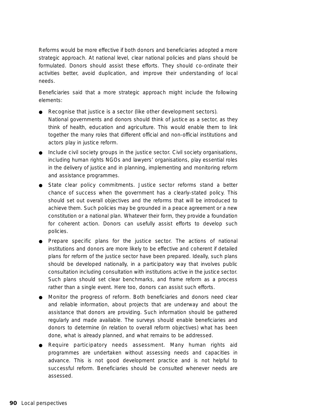Reforms would be more effective if both donors and beneficiaries adopted a more strategic approach. At national level, clear national policies and plans should be formulated. Donors should assist these efforts. They should co-ordinate their activities better, avoid duplication, and improve their understanding of local needs.

Beneficiaries said that a more strategic approach might include the following elements:

- *Recognise that justice is a sector (like other development sectors).*  National governments and donors should think of justice as a sector, as they think of health, education and agriculture. This would enable them to link together the many roles that different official and non-official institutions and actors play in justice reform.
- *Include civil society groups in the justice sector.* Civil society organisations, including human rights NGOs and lawyers' organisations, play essential roles in the delivery of justice and in planning, implementing and monitoring reform and assistance programmes.
- *State clear policy commitments.* Justice sector reforms stand a better chance of success when the government has a clearly-stated policy. This should set out overall objectives and the reforms that will be introduced to achieve them. Such policies may be grounded in a peace agreement or a new constitution or a national plan. Whatever their form, they provide a foundation for coherent action. Donors can usefully assist efforts to develop such policies.
- *Prepare specific plans for the justice sector.* The actions of national institutions and donors are more likely to be effective and coherent if detailed plans for reform of the justice sector have been prepared. Ideally, such plans should be developed nationally, in a participatory way that involves public consultation including consultation with institutions active in the justice sector. Such plans should set clear benchmarks, and frame reform as a process rather than a single event. Here too, donors can assist such efforts.
- *Monitor the progress of reform.* Both beneficiaries and donors need clear and reliable information, about projects that are underway and about the assistance that donors are providing. Such information should be gathered regularly and made available. The surveys should enable beneficiaries and donors to determine (in relation to overall reform objectives) what has been done, what is already planned, and what remains to be addressed.
- *Require participatory needs assessment.* Many human rights aid programmes are undertaken without assessing needs and capacities in advance. This is not good development practice and is not helpful to successful reform. Beneficiaries should be consulted whenever needs are assessed.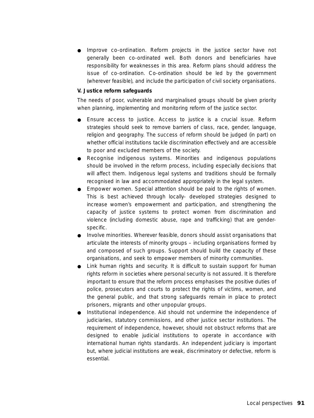● *Improve co-ordination.* Reform projects in the justice sector have not generally been co-ordinated well. Both donors and beneficiaries have responsibility for weaknesses in this area. Reform plans should address the issue of co-ordination. Co-ordination should be led by the government (wherever feasible), and include the participation of civil society organisations.

# **V. Justice reform safeguards**

The needs of poor, vulnerable and marginalised groups should be given priority when planning, implementing and monitoring reform of the justice sector.

- *Ensure access to justice*. Access to justice is a crucial issue. Reform strategies should seek to remove barriers of class, race, gender, language, religion and geography. The success of reform should be judged (in part) on whether official institutions tackle discrimination effectively and are accessible to poor and excluded members of the society.
- *Recognise indigenous systems.* Minorities and indigenous populations should be involved in the reform process, including especially decisions that will affect them. Indigenous legal systems and traditions should be formally recognised in law and accommodated appropriately in the legal system.
- *Empower women.* Special attention should be paid to the rights of women. This is best achieved through locally- developed strategies designed to increase women's empowerment and participation, and strengthening the capacity of justice systems to protect women from discrimination and violence (including domestic abuse, rape and trafficking) that are genderspecific.
- *Involve minorities.* Wherever feasible, donors should assist organisations that articulate the interests of minority groups – including organisations formed by and composed of such groups. Support should build the capacity of these organisations, and seek to empower members of minority communities.
- *Link human rights and security.* It is difficult to sustain support for human rights reform in societies where personal security is not assured. It is therefore important to ensure that the reform process emphasises the positive duties of police, prosecutors and courts to protect the rights of victims, women, and the general public, and that strong safeguards remain in place to protect prisoners, migrants and other unpopular groups.
- *Institutional independence.* Aid should not undermine the independence of judiciaries, statutory commissions, and other justice sector institutions. The requirement of independence, however, should not obstruct reforms that are designed to enable judicial institutions to operate in accordance with international human rights standards. An independent judiciary is important but, where judicial institutions are weak, discriminatory or defective, reform is essential.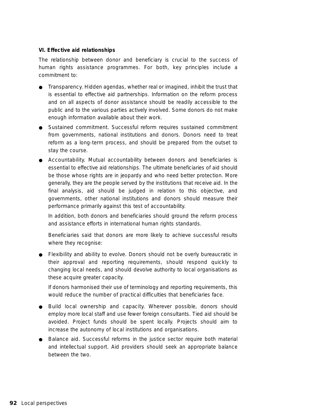# **VI. Effective aid relationships**

The relationship between donor and beneficiary is crucial to the success of human rights assistance programmes. For both, key principles include a commitment to:

- *Transparency.* Hidden agendas, whether real or imagined, inhibit the trust that is essential to effective aid partnerships. Information on the reform process and on all aspects of donor assistance should be readily accessible to the public and to the various parties actively involved. Some donors do not make enough information available about their work.
- *Sustained commitment.* Successful reform requires sustained commitment from governments, national institutions and donors. Donors need to treat reform as a long-term process, and should be prepared from the outset to stay the course.
- *Accountability.* Mutual accountability between donors and beneficiaries is essential to effective aid relationships. The ultimate beneficiaries of aid should be those whose rights are in jeopardy and who need better protection. More generally, they are the people served by the institutions that receive aid. In the final analysis, aid should be judged in relation to this objective, and governments, other national institutions and donors should measure their performance primarily against this test of accountability.

In addition, both donors and beneficiaries should ground the reform process and assistance efforts in international human rights standards.

Beneficiaries said that donors are more likely to achieve successful results where they recognise:

● *Flexibility and ability to evolve.* Donors should not be overly bureaucratic in their approval and reporting requirements, should respond quickly to changing local needs, and should devolve authority to local organisations as these acquire greater capacity.

If donors harmonised their use of terminology and reporting requirements, this would reduce the number of practical difficulties that beneficiaries face.

- *Build local ownership and capacity.* Wherever possible, donors should employ more local staff and use fewer foreign consultants. Tied aid should be avoided. Project funds should be spent locally. Projects should aim to increase the autonomy of local institutions and organisations.
- *Balance aid.* Successful reforms in the justice sector require both material and intellectual support. Aid providers should seek an appropriate balance between the two.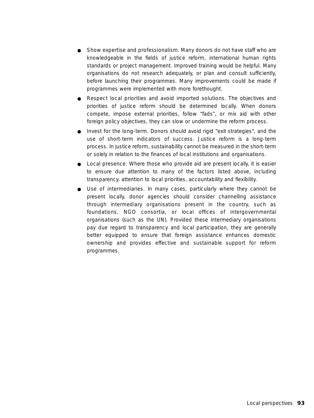- **Show expertise and professionalism**. Many donors do not have staff who are knowledgeable in the fields of justice reform, international human rights standards or project management. Improved training would be helpful. Many organisations do not research adequately, or plan and consult sufficiently, before launching their programmes. Many improvements could be made if programmes were implemented with more forethought.
- *Respect local priorities and avoid imported solutions.* The objectives and priorities of justice reform should be determined locally. When donors compete, impose external priorities, follow "fads", or mix aid with other foreign policy objectives, they can slow or undermine the reform process.
- *Invest for the long-term.* Donors should avoid rigid "exit strategies", and the use of short-term indicators of success. Justice reform is a long-term process. In justice reform, sustainability cannot be measured in the short-term or solely in relation to the finances of local institutions and organisations.
- *Local presence*. Where those who provide aid are present locally, it is easier to ensure due attention to many of the factors listed above, including transparency, attention to local priorities, accountability and flexibility.
- *Use of intermediaries.* In many cases, particularly where they cannot be present locally, donor agencies should consider channelling assistance through intermediary organisations present in the country, such as foundations, NGO consortia, or local offices of intergovernmental organisations (such as the UN). Provided these intermediary organisations pay due regard to transparency and local participation, they are generally better equipped to ensure that foreign assistance enhances domestic ownership and provides effective and sustainable support for reform programmes.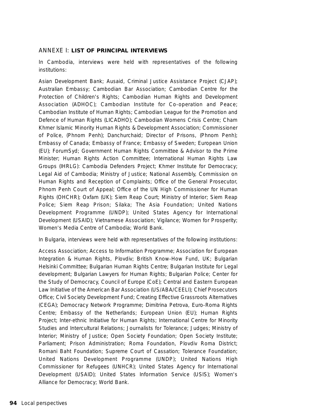# ANNEXE I: **LIST OF PRINCIPAL INTERVIEWS**

In Cambodia, interviews were held with representatives of the following institutions:

Asian Development Bank; Ausaid, Criminal Justice Assistance Project (CJAP); Australian Embassy; Cambodian Bar Association; Cambodian Centre for the Protection of Children's Rights; Cambodian Human Rights and Development Association (ADHOC); Cambodian Institute for Co-operation and Peace; Cambodian Institute of Human Rights; Cambodian League for the Promotion and Defence of Human Rights (LICADHO); Cambodian Womens Crisis Centre; Cham Khmer Islamic Minority Human Rights & Development Association; Commissioner of Police, (Phnom Penh); Danchurchaid; Director of Prisons, (Phnom Penh); Embassy of Canada; Embassy of France; Embassy of Sweden; European Union (EU); ForumSyd; Government Human Rights Committee & Advisor to the Prime Minister; Human Rights Action Committee; International Human Rights Law Groups (IHRLG): Cambodia Defenders Project; Khmer Institute for Democracy; Legal Aid of Cambodia; Ministry of Justice; National Assembly, Commission on Human Rights and Reception of Complaints; Office of the General Prosecutor, Phnom Penh Court of Appeal; Office of the UN High Commissioner for Human Rights (OHCHR); Oxfam (UK); Siem Reap Court; Ministry of Interior; Siem Reap Police; Siem Reap Prison; Silaka; The Asia Foundation; United Nations Development Programme (UNDP); United States Agency for International Development (USAID); Vietnamese Association; Vigilance; Women for Prosperity; Women's Media Centre of Cambodia; World Bank.

In Bulgaria, interviews were held with representatives of the following institutions:

Access Association; Access to Information Programme; Association for European Integration & Human Rights, Plovdiv; British Know-How Fund, UK; Bulgarian Helsinki Committee; Bulgarian Human Rights Centre; Bulgarian Institute for Legal development; Bulgarian Lawyers for Human Rights; Bulgarian Police; Center for the Study of Democracy, Council of Europe (CoE); Central and Eastern European Law Initiative of the American Bar Association (US/ABA/CEELI); Chief Prosecutors Office; Civil Society Development Fund; Creating Effective Grassroots Alternatives (CEGA); Democracy Network Programme; Dimitrina Petrova, Euro-Roma Rights Centre; Embassy of the Netherlands; European Union (EU); Human Rights Project; Inter-ethnic Initiative for Human Rights; International Centre for Minority Studies and Intercultural Relations; Journalists for Tolerance; Judges; Ministry of Interior; Ministry of Justice; Open Society Foundation; Open Society Institute; Parliament; Prison Administration; Roma Foundation, Plovdiv Roma District; Romani Baht Foundation; Supreme Court of Cassation; Tolerance Foundation; United Nations Development Programme (UNDP); United Nations High Commissioner for Refugees (UNHCR); United States Agency for International Development (USAID); United States Information Service (USIS); Women's Alliance for Democracy; World Bank.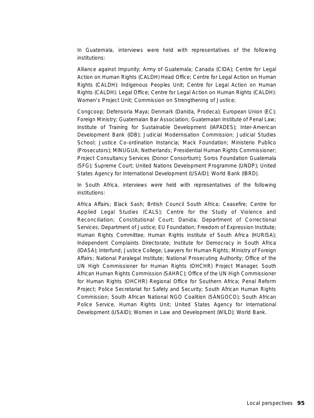In Guatemala, interviews were held with representatives of the following institutions:

Alliance against Impunity; Army of Guatemala; Canada (CIDA); Centre for Legal Action on Human Rights (CALDH) Head Office; Centre for Legal Action on Human Rights (CALDH): Indigenous Peoples Unit; Centre for Legal Action on Human Rights (CALDH): Legal Office; Centre for Legal Action on Human Rights (CALDH): Women's Project Unit; Commission on Strengthening of Justice;

Congcoop; Defensoria Maya; Denmark (Danida, Prodeca); European Union (EC); Foreign Ministry; Guatemalan Bar Association; Guatemalan Institute of Penal Law; Institute of Training for Sustainable Development (IAPADES); Inter-American Development Bank (IDB); Judicial Modernisation Commission; Judicial Studies School; Justice Co-ordination Instancia; Mack Foundation; Ministerio Publico (Prosecutors); MINUGUA; Netherlands; Presidential Human Rights Commissioner; Project Consultancy Services (Donor Consortium); Soros Foundation Guatemala (SFG); Supreme Court; United Nations Development Programme (UNDP); United States Agency for International Development (USAID); World Bank (IBRD).

In South Africa, interviews were held with representatives of the following institutions:

Africa Affairs; Black Sash; British Council South Africa; Ceasefire; Centre for Applied Legal Studies (CALS); Centre for the Study of Violence and Reconciliation; Constitutional Court; Danida; Department of Correctional Services; Department of Justice; EU Foundation; Freedom of Expression Institute; Human Rights Committee; Human Rights Institute of South Africa (HURISA); Independent Complaints Directorate; Institute for Democracy in South Africa (IDASA); Interfund; Justice College; Lawyers for Human Rights; Ministry of Foreign Affairs; National Paralegal Institute; National Prosecuting Authority; Office of the UN High Commissioner for Human Rights (OHCHR) Project Manager, South African Human Rights Commission (SAHRC); Office of the UN High Commissioner for Human Rights (OHCHR) Regional Office for Southern Africa; Penal Reform Project; Police Secretariat for Safety and Security; South African Human Rights Commission; South African National NGO Coalition (SANGOCO); South African Police Service, Human Rights Unit; United States Agency for International Development (USAID); Women in Law and Development (WILD); World Bank.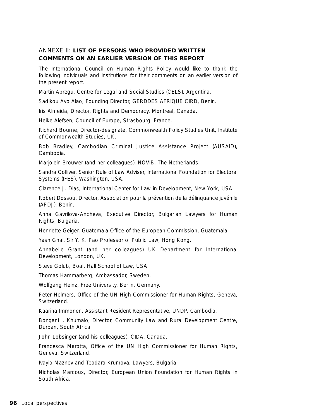# ANNEXE II: **LIST OF PERSONS WHO PROVIDED WRITTEN COMMENTS ON AN EARLIER VERSION OF THIS REPORT**

The International Council on Human Rights Policy would like to thank the following individuals and institutions for their comments on an earlier version of the present report.

Martin Abregu, Centre for Legal and Social Studies (CELS), Argentina.

Sadikou Ayo Alao, Founding Director, GERDDES AFRIQUE CIRD, Benin.

Iris Almeida, Director, Rights and Democracy, Montreal, Canada.

Heike Alefsen, Council of Europe, Strasbourg, France.

Richard Bourne, Director-designate, Commonwealth Policy Studies Unit, Institute of Commonwealth Studies, UK.

Bob Bradley, Cambodian Criminal Justice Assistance Project (AUSAID), Cambodia.

Marjolein Brouwer (and her colleagues), NOVIB, The Netherlands.

Sandra Colliver, Senior Rule of Law Adviser, International Foundation for Electoral Systems (IFES), Washington, USA.

Clarence J. Dias, International Center for Law in Development, New York, USA.

Robert Dossou, Director, Association pour la prévention de la délinquance juvénile (APDJ), Benin.

Anna Gavrilova-Ancheva, Executive Director, Bulgarian Lawyers for Human Rights, Bulgaria.

Henriette Geiger, Guatemala Office of the European Commission, Guatemala.

Yash Ghai, Sir Y. K. Pao Professor of Public Law, Hong Kong.

Annabelle Grant (and her colleagues) UK Department for International Development, London, UK.

Steve Golub, Boalt Hall School of Law, USA.

Thomas Hammarberg, Ambassador, Sweden.

Wolfgang Heinz, Free University, Berlin, Germany.

Peter Helmers, Office of the UN High Commissioner for Human Rights, Geneva, **Switzerland** 

Kaarina Immonen, Assistant Resident Representative, UNDP, Cambodia.

Bongani I. Khumalo, Director, Community Law and Rural Development Centre, Durban, South Africa.

John Lobsinger (and his colleagues), CIDA, Canada.

Francesca Marotta, Office of the UN High Commissioner for Human Rights, Geneva, Switzerland.

Ivaylo Maznev and Teodara Krumova, Lawyers, Bulgaria.

Nicholas Marcoux, Director, European Union Foundation for Human Rights in South Africa.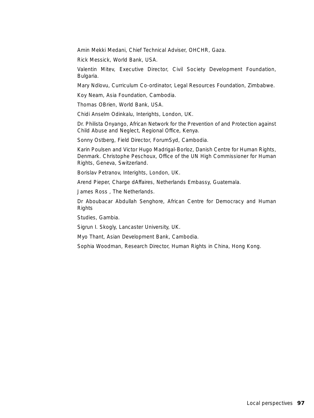Amin Mekki Medani, Chief Technical Adviser, OHCHR, Gaza.

Rick Messick, World Bank, USA.

Valentin Mitev, Executive Director, Civil Society Development Foundation, Bulgaria.

Mary Ndlovu, Curriculum Co-ordinator, Legal Resources Foundation, Zimbabwe.

Koy Neam, Asia Foundation, Cambodia.

Thomas OBrien, World Bank, USA.

Chidi Anselm Odinkalu, Interights, London, UK.

Dr. Philista Onyango, African Network for the Prevention of and Protection against Child Abuse and Neglect, Regional Office, Kenya.

Sonny Ostberg, Field Director, ForumSyd, Cambodia.

Karin Poulsen and Victor Hugo Madrigal-Borloz, Danish Centre for Human Rights, Denmark. Christophe Peschoux, Office of the UN High Commissioner for Human Rights, Geneva, Switzerland.

Borislav Petranov, Interights, London, UK.

Arend Pieper, Charge dAffaires, Netherlands Embassy, Guatemala.

James Ross , The Netherlands.

Dr Aboubacar Abdullah Senghore, African Centre for Democracy and Human Rights

Studies, Gambia.

Sigrun I. Skogly, Lancaster University, UK.

Myo Thant, Asian Development Bank, Cambodia.

Sophia Woodman, Research Director, Human Rights in China, Hong Kong.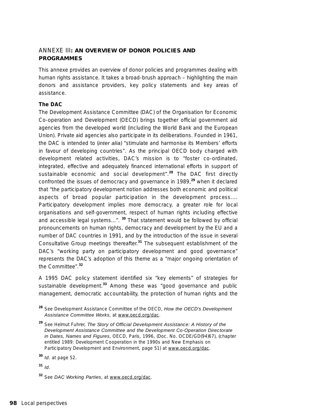# ANNEXE III**: AN OVERVIEW OF DONOR POLICIES AND PROGRAMMES**

This annexe provides an overview of donor policies and programmes dealing with human rights assistance. It takes a broad-brush approach – highlighting the main donors and assistance providers, key policy statements and key areas of assistance.

# **The DAC**

The Development Assistance Committee (DAC) of the Organisation for Economic Co-operation and Development (OECD) brings together official government aid agencies from the developed world (including the World Bank and the European Union). Private aid agencies also participate in its deliberations. Founded in 1961, the DAC is intended to (*inter alia*) "stimulate and harmonise its Members' efforts in favour of developing countries". As the principal OECD body charged with development related activities, DAC's mission is to "foster co-ordinated, integrated, effective and adequately financed international efforts in support of sustainable economic and social development".**<sup>28</sup>** The DAC first directly confronted the issues of democracy and governance in 1989,**<sup>29</sup>** when it declared that "the participatory development notion addresses both economic and political aspects of broad popular participation in the development process.... Participatory development implies more democracy, a greater role for local organisations and self-government, respect of human rights including effective and accessible legal systems...". **<sup>30</sup>** That statement would be followed by official pronouncements on human rights, democracy and development by the EU and a number of DAC countries in 1991, and by the introduction of the issue in several Consultative Group meetings thereafter.**<sup>31</sup>** The subsequent establishment of the DAC's "working party on participatory development and good governance" represents the DAC's adoption of this theme as a "major ongoing orientation of the Committee".**<sup>32</sup>**

A 1995 DAC policy statement identified six "key elements" of strategies for sustainable development.**<sup>33</sup>** Among these was "good governance and public management, democratic accountability, the protection of human rights and the

**<sup>30</sup>** *Id.* at page 52.

**<sup>31</sup>** *Id.*

**<sup>28</sup>** See Development Assistance Committee of the OECD, *How the OECD's Development Assistance Committee Works*, at www.oecd.org/dac.

**<sup>29</sup>** See Helmut Fuhrer, *The Story of Official Development Assistance: A History of the Development Assistance Committee and the Development Co-Operation Directorate in Dates, Names and Figures*, OECD, Paris, 1996, (Doc. No. OCDE/GD(94)67), (chapter entitled 1989: Development Cooperation in the 1990s and New Emphasis on Participatory Development and Environment, page 51) at www.oecd.org/dac.

**<sup>32</sup>** See *DAC Working Parties*, at www.oecd.org/dac.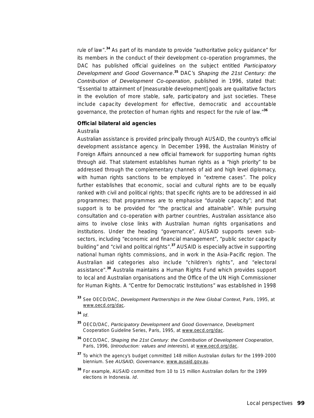rule of law".**<sup>34</sup>** As part of its mandate to provide "authoritative policy guidance" for its members in the conduct of their development co-operation programmes, the DAC has published official guidelines on the subject entitled *Participatory Development and Good Governance*. **<sup>35</sup>** DAC's *Shaping the 21st Century: the Contribution of Development Co-operation*, published in 1996, stated that: "Essential to attainment of [measurable development] goals are qualitative factors in the evolution of more stable, safe, participatory and just societies. These include capacity development for effective, democratic and accountable governance, the protection of human rights and respect for the rule of law."**<sup>36</sup>**

## **Official bilateral aid agencies**

### *Australia*

Australian assistance is provided principally through AUSAID, the country's official development assistance agency. In December 1998, the Australian Ministry of Foreign Affairs announced a new official framework for supporting human rights through aid. That statement establishes human rights as a "high priority" to be addressed through the complementary channels of aid and high level diplomacy, with human rights sanctions to be employed in "extreme cases". The policy further establishes that economic, social and cultural rights are to be equally ranked with civil and political rights; that specific rights are to be addressed in aid programmes; that programmes are to emphasise "durable capacity"; and that support is to be provided for "the practical and attainable". While pursuing consultation and co-operation with partner countries, Australian assistance also aims to involve close links with Australian human rights organisations and institutions. Under the heading "governance", AUSAID supports seven subsectors, including "economic and financial management", "public sector capacity building" and "civil and political rights".**<sup>37</sup>** AUSAID is especially active in supporting national human rights commissions, and in work in the Asia-Pacific region. The Australian aid categories also include "children's rights", and "electoral assistance".**<sup>38</sup>** Australia maintains a Human Rights Fund which provides support to local and Australian organisations and the Office of the UN High Commissioner for Human Rights. A "Centre for Democratic Institutions" was established in 1998

- **<sup>37</sup>** To which the agency's budget committed 148 million Australian dollars for the 1999-2000 biennium. See *AUSAID, Governance*, www.ausaid.gov.au.
- **<sup>38</sup>** For example, AUSAID committed from 10 to 15 million Australian dollars for the 1999 elections in Indonesia. *Id*.

**<sup>33</sup>** See OECD/DAC, *Development Partnerships in the New Global Context*, Paris, 1995, at www.oecd.org/dac.

**<sup>34</sup>** *Id.*

**<sup>35</sup>** OECD/DAC, *Participatory Development and Good Governance*, Development Cooperation Guideline Series, Paris, 1995, at www.oecd.org/dac.

**<sup>36</sup>** OECD/DAC, *Shaping the 21st Century: the Contribution of Development Cooperation*, Paris, 1996, (*Introduction: values and interests*), at www.oecd.org/dac.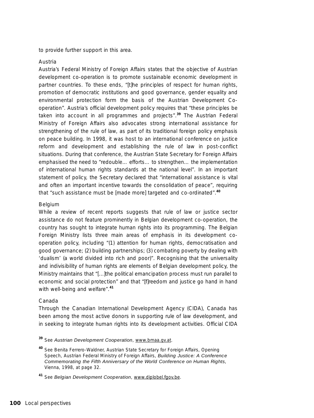to provide further support in this area.

## *Austria*

Austria's Federal Ministry of Foreign Affairs states that the objective of Austrian development co-operation is to promote sustainable economic development in partner countries. To these ends, "[t]he principles of respect for human rights, promotion of democratic institutions and good governance, gender equality and environmental protection form the basis of the Austrian Development Cooperation". Austria's official development policy requires that "these principles be taken into account in all programmes and projects".**<sup>39</sup>** The Austrian Federal Ministry of Foreign Affairs also advocates strong international assistance for strengthening of the rule of law, as part of its traditional foreign policy emphasis on peace building. In 1998, it was host to an international conference on justice reform and development and establishing the rule of law in post-conflict situations. During that conference, the Austrian State Secretary for Foreign Affairs emphasised the need to "redouble… efforts… to strengthen… the implementation of international human rights standards at the national level". In an important statement of policy, the Secretary declared that "international assistance is vital and often an important incentive towards the consolidation of peace", requiring that "such assistance must be [made more] targeted and co-ordinated".**<sup>40</sup>**

## *Belgium*

While a review of recent reports suggests that rule of law or justice sector assistance do not feature prominently in Belgian development co-operation, the country has sought to integrate human rights into its programming. The Belgian Foreign Ministry lists three main areas of emphasis in its development cooperation policy, including "(1) attention for human rights, democratisation and good governance; (2) building partnerships; (3) combating poverty by dealing with 'dualism' (a world divided into rich and poor)". Recognising that the universality and indivisibility of human rights are elements of Belgian development policy, the Ministry maintains that "[...]the political emancipation process must run parallel to economic and social protection" and that "[f]reedom and justice go hand in hand with well-being and welfare".**<sup>41</sup>**

### *Canada*

Through the Canadian International Development Agency (CIDA), Canada has been among the most active donors in supporting rule of law development, and in seeking to integrate human rights into its development activities. Official CIDA

**<sup>39</sup>** See *Austrian Development Cooperation*, www.bmaa.gv.at.

**<sup>40</sup>** See Benita Ferrero-Waldner, Austrian State Secretary for Foreign Affairs, Opening Speech, Austrian Federal Ministry of Foreign Affairs, *Building Justice: A Conference Commemorating the Fifth Anniversary of the World Conference on Human Rights*, Vienna, 1998, at page 32.

**<sup>41</sup>** See *Belgian Development Cooperation*, www.diplobel.fgov.be.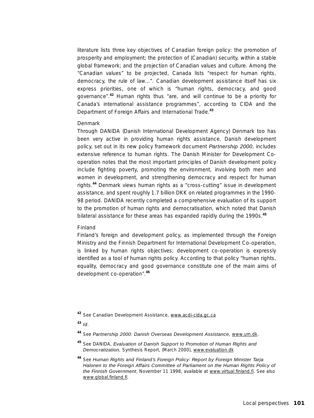literature lists three key objectives of Canadian foreign policy: the promotion of prosperity and employment; the protection of (Canadian) security, within a stable global framework; and the projection of Canadian values and culture. Among the "Canadian values" to be projected, Canada lists "respect for human rights, democracy, the rule of law...". Canadian development assistance itself has six express priorities, one of which is "human rights, democracy, and good governance".**<sup>42</sup>** Human rights thus "are, and will continue to be a priority for Canada's international assistance programmes", according to CIDA and the Department of Foreign Affairs and International Trade.**<sup>43</sup>**

### *Denmark*

Through DANIDA (Danish International Development Agency) Denmark too has been very active in providing human rights assistance. Danish development policy, set out in its new policy framework document *Partnership 2000*, includes extensive reference to human rights. The Danish Minister for Development Cooperation notes that the most important principles of Danish development policy include fighting poverty, promoting the environment, involving both men and women in development, and strengthening democracy and respect for human rights.**<sup>44</sup>** Denmark views human rights as a "cross-cutting" issue in development assistance, and spent roughly 1.7 billion DKK on related programmes in the 1990- 98 period. DANIDA recently completed a comprehensive evaluation of its support to the promotion of human rights and democratisation, which noted that Danish bilateral assistance for these areas has expanded rapidly during the 1990s.**<sup>45</sup>**

### *Finland*

Finland's foreign and development policy, as implemented through the Foreign Ministry and the Finnish Department for International Development Co-operation, is linked by human rights objectives; development co-operation is expressly identified as a tool of human rights policy. According to that policy "human rights, equality, democracy and good governance constitute one of the main aims of development co-operation".**<sup>46</sup>**

- **<sup>42</sup>** See Canadian Development Assistance, www.acdi-cida.gc.ca
- **<sup>43</sup>** *Id.*
- **<sup>44</sup>** See *Partnership 2000: Danish Overseas Development Assistance*, www.um.dk.
- **<sup>45</sup>** See DANIDA, *Evaluation of Danish Support to Promotion of Human Rights and Democratization,* Synthesis Report, (March 2000), www.evaluation.dk
- **<sup>46</sup>** See *Human Rights and Finland's Foreign Policy: Report by Foreign Minister Tarja Halonen to the Foreign Affairs Committee of Parliament on the Human Rights Policy of the Finnish Government*, November 11 1998, available at www.virtual.finland.fi. See also www.global.finland.fi.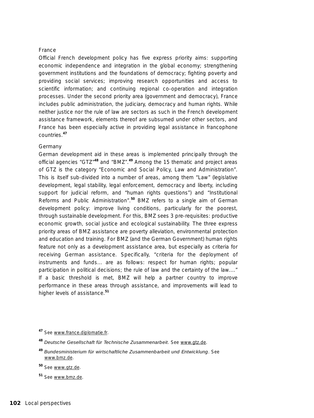## *France*

Official French development policy has five express priority aims: supporting economic independence and integration in the global economy; strengthening government institutions and the foundations of democracy; fighting poverty and providing social services; improving research opportunities and access to scientific information; and continuing regional co-operation and integration processes. Under the second priority area (government and democracy), France includes public administration, the judiciary, democracy and human rights. While neither justice nor the rule of law are sectors as such in the French development assistance framework, elements thereof are subsumed under other sectors, and France has been especially active in providing legal assistance in francophone countries.**<sup>47</sup>**

## *Germany*

German development aid in these areas is implemented principally through the official agencies "GTZ"**<sup>48</sup>** and "BMZ".**<sup>49</sup>** Among the 15 thematic and project areas of GTZ is the category "Economic and Social Policy, Law and Administration". This is itself sub-divided into a number of areas, among them "Law" (legislative development, legal stability, legal enforcement, democracy and liberty, including support for judicial reform, and "human rights questions") and "Institutional Reforms and Public Administration".**<sup>50</sup>** BMZ refers to a single aim of German development policy: improve living conditions, particularly for the poorest, through sustainable development. For this, BMZ sees 3 pre-requisites: productive economic growth, social justice and ecological sustainability. The three express priority areas of BMZ assistance are poverty alleviation, environmental protection and education and training. For BMZ (and the German Government) human rights feature not only as a development assistance area, but especially as criteria for receiving German assistance. Specifically, "criteria for the deployment of instruments and funds... are as follows: respect for human rights; popular participation in political decisions; the rule of law and the certainty of the law...." If a basic threshold is met, BMZ will help a partner country to improve performance in these areas through assistance, and improvements will lead to higher levels of assistance.**<sup>51</sup>**

**<sup>47</sup>** See www.france.diplomatie.fr.

**<sup>48</sup>** *Deutsche Gesellschaft für Technische Zusammenarbeit*. See www.gtz.de.

**<sup>49</sup>** *Bundesministerium für wirtschaftliche Zusammenbarbeit und Entwicklung*. See www.bmz.de.

**<sup>50</sup>** See www.gtz.de.

**<sup>51</sup>** See www.bmz.de.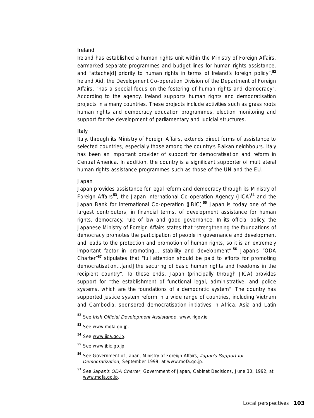## *Ireland*

Ireland has established a human rights unit within the Ministry of Foreign Affairs, earmarked separate programmes and budget lines for human rights assistance, and "attache[d] priority to human rights in terms of Ireland's foreign policy".**<sup>52</sup>** Ireland Aid, the Development Co-operation Division of the Department of Foreign Affairs, "has a special focus on the fostering of human rights and democracy". According to the agency, Ireland supports human rights and democratisation projects in a many countries. These projects include activities such as grass roots human rights and democracy education programmes, election monitoring and support for the development of parliamentary and judicial structures.

### *Italy*

Italy, through its Ministry of Foreign Affairs, extends direct forms of assistance to selected countries, especially those among the country's Balkan neighbours. Italy has been an important provider of support for democratisation and reform in Central America. In addition, the country is a significant supporter of multilateral human rights assistance programmes such as those of the UN and the EU.

## *Japan*

Japan provides assistance for legal reform and democracy through its Ministry of Foreign Affairs**<sup>53</sup>**, the Japan International Co-operation Agency (JICA)**<sup>54</sup>** and the Japan Bank for International Co-operation (JBIC).**<sup>55</sup>** Japan is today one of the largest contributors, in financial terms, of development assistance for human rights, democracy, rule of law and good governance. In its official policy, the Japanese Ministry of Foreign Affairs states that "strengthening the foundations of democracy promotes the participation of people in governance and development and leads to the protection and promotion of human rights, so it is an extremely important factor in promoting... stability and development".**<sup>56</sup>** Japan's "ODA Charter"**<sup>57</sup>** stipulates that "full attention should be paid to efforts for promoting democratisation...[and] the securing of basic human rights and freedoms in the recipient country". To these ends, Japan (principally through JICA) provides support for "the establishment of functional legal, administrative, and police systems, which are the foundations of a democratic system". The country has supported justice system reform in a wide range of countries, including Vietnam and Cambodia, sponsored democratisation initiatives in Africa, Asia and Latin

**<sup>52</sup>** See *Irish Official Development Assistance*, www.irlgov.ie

- **<sup>53</sup>** See www.mofa.go.jp.
- **<sup>54</sup>** See www.jica.go.jp.

**<sup>55</sup>** See www.jbic.go.jp.

**<sup>56</sup>** See Government of Japan, Ministry of Foreign Affairs, *Japan's Support for Democratization*, September 1999, at www.mofa.go.jp.

**<sup>57</sup>** See *Japan's ODA Charter*, Government of Japan, Cabinet Decisions, June 30, 1992, at www.mofa.go.jp.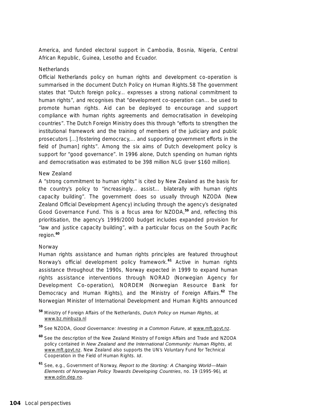America, and funded electoral support in Cambodia, Bosnia, Nigeria, Central African Republic, Guinea, Lesotho and Ecuador.

## *Netherlands*

Official Netherlands policy on human rights and development co-operation is summarised in the document Dutch Policy on Human Rights.58 The government states that "Dutch foreign policy... expresses a strong national commitment to human rights", and recognises that "development co-operation can... be used to promote human rights. Aid can be deployed to encourage and support compliance with human rights agreements and democratisation in developing countries". The Dutch Foreign Ministry does this through "efforts to strengthen the institutional framework and the training of members of the judiciary and public prosecutors [...] fostering democracy,... and supporting government efforts in the field of [human] rights". Among the six aims of Dutch development policy is support for "good governance". In 1996 alone, Dutch spending on human rights and democratisation was estimated to be 398 million NLG (over \$160 million).

## *New Zealand*

A "strong commitment to human rights" is cited by New Zealand as the basis for the country's policy to "increasingly... assist… bilaterally with human rights capacity building". The government does so usually through NZODA (New Zealand Official Development Agency) including through the agency's designated Good Governance Fund. This is a focus area for NZODA,**<sup>59</sup>** and, reflecting this prioritisation, the agency's 1999/2000 budget includes expanded provision for "law and justice capacity building", with a particular focus on the South Pacific region.**<sup>60</sup>**

## *Norway*

Human rights assistance and human rights principles are featured throughout Norway's official development policy framework.**<sup>61</sup>** Active in human rights assistance throughout the 1990s, Norway expected in 1999 to expand human rights assistance interventions through NORAD (Norwegian Agency for Development Co-operation), NORDEM (Norwegian Resource Bank for Democracy and Human Rights), and the Ministry of Foreign Affairs.**<sup>62</sup>** The Norwegian Minister of International Development and Human Rights announced

**<sup>58</sup>** Ministry of Foreign Affairs of the Netherlands, *Dutch Policy on Human Rights*, at www.bz.minbuza.nl

**<sup>59</sup>** See NZODA, *Good Governance: Investing in a Common Future*, at www.mft.govt.nz.

**<sup>60</sup>** See the description of the New Zealand Ministry of Foreign Affairs and Trade and NZODA policy contained in *New Zealand and the International Community: Human Rights*, at www.mft.govt.nz. New Zealand also supports the UN's Voluntary Fund for Technical Cooperation in the Field of Human Rights. *Id*.

**<sup>61</sup>** See, e.g., Government of Norway, *Report to the Storting: A Changing World—Main Elements of Norwegian Policy Towards Developing Countries*, no. 19 (1995-96), at www.odin.dep.no.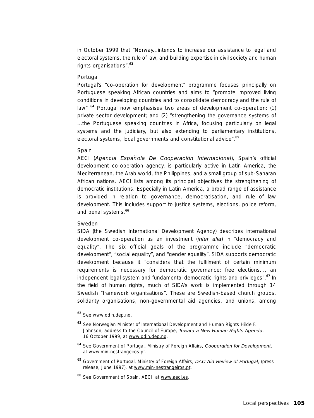in October 1999 that "Norway...intends to increase our assistance to legal and electoral systems, the rule of law, and building expertise in civil society and human rights organisations".**<sup>63</sup>**

### *Portugal*

Portugal's "co-operation for development" programme focuses principally on Portuguese speaking African countries and aims to "promote improved living conditions in developing countries and to consolidate democracy and the rule of law" **<sup>64</sup>** Portugal now emphasises two areas of development co-operation: (1) private sector development; and (2) "strengthening the governance systems of ...the Portuguese speaking countries in Africa, focusing particularly on legal systems and the judiciary, but also extending to parliamentary institutions, electoral systems, local governments and constitutional advice".**<sup>65</sup>**

### *Spain*

AECI (*Agencia Espan~ola De Cooperación Internacional*), Spain's official development co-operation agency, is particularly active in Latin America, the Mediterranean, the Arab world, the Philippines, and a small group of sub-Saharan African nations. AECI lists among its principal objectives the strengthening of democratic institutions. Especially in Latin America, a broad range of assistance is provided in relation to governance, democratisation, and rule of law development. This includes support to justice systems, elections, police reform, and penal systems.**<sup>66</sup>**

### *Sweden*

SIDA (the Swedish International Development Agency) describes international development co-operation as an investment (*inter alia*) in "democracy and equality". The six official goals of the programme include "democratic development", "social equality", and "gender equality". SIDA supports democratic development because it "considers that the fulfilment of certain minimum requirements is necessary for democratic governance: free elections..., an independent legal system and fundamental democratic rights and privileges".**<sup>67</sup>** In the field of human rights, much of SIDA's work is implemented through 14 Swedish "framework organisations". These are Swedish-based church groups, solidarity organisations, non-governmental aid agencies, and unions, among

### **<sup>62</sup>** See www.odin.dep.no.

- **<sup>63</sup>** See Norwegian Minister of International Development and Human Rights Hilde F. Johnson, address to the Council of Europe, *Toward a New Human Rights Agenda*, 16 October 1999, at www.odin.dep.no.
- **<sup>64</sup>** See Government of Portugal, Ministry of Foreign Affairs, *Cooperation for Development*, at www.min-nestrangeiros.pt.
- **<sup>65</sup>** Government of Portugal, Ministry of Foreign Affairs, *DAC Aid Review of Portugal*, (press release, June 1997), at www.min-nestrangeiros.pt.
- **<sup>66</sup>** See Government of Spain, AECI, at www.aeci.es.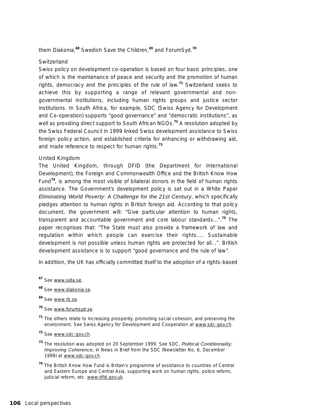them Diakonia,**<sup>68</sup>** Swedish Save the Children,**<sup>69</sup>** and ForumSyd.**<sup>70</sup>**

### *Switzerland*

Swiss policy on development co-operation is based on four basic principles, one of which is the maintenance of peace and security and the promotion of human rights, democracy and the principles of the rule of law.**<sup>71</sup>** Switzerland seeks to achieve this by supporting a range of relevant governmental and nongovernmental institutions, including human rights groups and justice sector institutions. In South Africa, for example, SDC (Swiss Agency for Development and Co-operation) supports "good governance" and "democratic institutions", as well as providing direct support to South African NGOs.**<sup>72</sup>** A resolution adopted by the Swiss Federal Council in 1999 linked Swiss development assistance to Swiss foreign policy action, and established criteria for enhancing or withdrawing aid, and made reference to respect for human rights.**<sup>73</sup>**

### *United Kingdom*

The United Kingdom, through DFID (the Department for International Development), the Foreign and Commonwealth Office and the British Know How Fund**<sup>74</sup>**, is among the most visible of bilateral donors in the field of human rights assistance. The Government's development policy is set out in a White Paper *Eliminating World Poverty: A Challenge for the 21st Century*, which specifically pledges attention to human rights in British foreign aid. According to that policy document, the government will: "Give particular attention to human rights, transparent and accountable government and core labour standards...".**<sup>75</sup>** The paper recognises that: "The State must also provide a framework of law and regulation within which people can exercise their rights.... Sustainable development is not possible unless human rights are protected for all...". British development assistance is to support "good governance and the rule of law".

In addition, the UK has officially committed itself to the adoption of a rights-based

- **<sup>67</sup>** See www.sida.se.
- **<sup>68</sup>** See www.diakonia.se.
- **<sup>69</sup>** See www.rb.se.
- **<sup>70</sup>** See www.forumsyd.se.
- **<sup>71</sup>** The others relate to increasing prosperity, promoting social cohesion, and preserving the environment. See Swiss Agency for Development and Cooperation at www.sdc-gov.ch.
- **<sup>72</sup>** See www.sdc-gov.ch.

**<sup>73</sup>** The resolution was adopted on 20 September 1999. See SDC, *Political Conditionality: Improving Coherence*, in News in Brief from the SDC (Newsletter No. 6, December 1999) at www.sdc-gov.ch.

**<sup>74</sup>** The British Know How Fund is Britain's programme of assistance to countries of Central and Eastern Europe and Central Asia, supporting work on human rights, police reform, judicial reform, etc. www.dfid.gov.uk.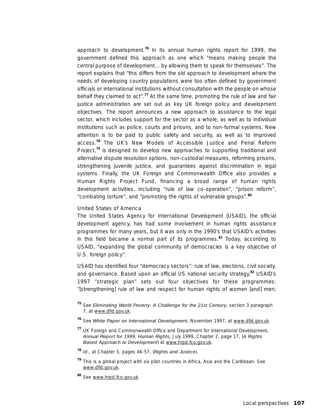approach to development.**<sup>76</sup>** In its annual human rights report for 1999, the government defined this approach as one which "means making people the central purpose of development... by allowing them to speak for themselves". The report explains that "this differs from the old approach to development where the needs of developing country populations were too often defined by government officials or international institutions without consultation with the people on whose behalf they claimed to act".**<sup>77</sup>** At the same time, promoting the rule of law and fair justice administration are set out as key UK foreign policy and development objectives. The report announces a new approach to assistance to the legal sector, which includes support for the sector as a whole, as well as to individual institutions such as police, courts and prisons, and to non-formal systems. New attention is to be paid to public safety and security, as well as to improved access.**<sup>78</sup>** The UK's New Models of Accessible Justice and Penal Reform Project,<sup>79</sup> is designed to develop new approaches to supporting traditional and alternative dispute resolution options, non-custodial measures, reforming prisons, strengthening juvenile justice, and guarantees against discrimination in legal systems. Finally, the UK Foreign and Commonwealth Office also provides a Human Rights Project Fund, financing a broad range of human rights development activities, including "rule of law co-operation", "prison reform", "combating torture", and "promoting the rights of vulnerable groups".**<sup>80</sup>**

### *United States of America*

The United States Agency for International Development (USAID), the official development agency, has had some involvement in human rights assistance programmes for many years, but it was only in the 1990's that USAID's activities in this field became a normal part of its programmes.**<sup>81</sup>** Today, according to USAID, "expanding the global community of democracies is a key objective of U.S. foreign policy".

USAID has identified four "democracy sectors": rule of law, elections, civil society, and governance. Based upon an official US national security strategy,**<sup>82</sup>** USAID's 1997 "strategic plan" sets out four objectives for these programmes: "[strengthening] rule of law and respect for human rights of women [and] men;

- **<sup>75</sup>** See *Eliminating World Poverty: A Challenge for the 21st Century*, section 3 paragraph 7, at www.dfid.gov.uk.
- **<sup>76</sup>** See *White Paper on International Development*, November 1997, at www.dfid.gov.uk.
- **<sup>77</sup>** UK Foreign and Commonwealth Office and Department for International Development, *Annual Report for 1999, Human Rights*, July 1999, Chapter 2, page 17, (*A Rights Based Approach to Development*) at www.hrpd.fco.gov.uk.
- **<sup>78</sup>** *Id*., at Chapter 5, pages 46-57, (*Rights and Justice*).
- **<sup>79</sup>** This is a global project with six pilot countries in Africa, Asia and the Caribbean. See www.dfid.gov.uk.
- **<sup>80</sup>** See www.hrpd.fco.gov.uk.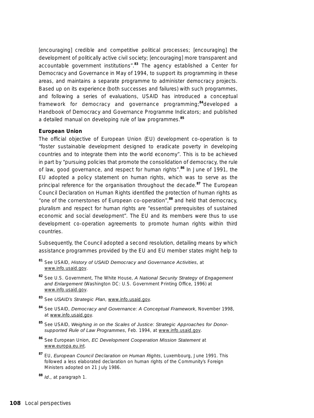[encouraging] credible and competitive political processes; [encouraging] the development of politically active civil society; [encouraging] more transparent and accountable government institutions".**<sup>83</sup>** The agency established a Center for Democracy and Governance in May of 1994, to support its programming in these areas, and maintains a separate programme to administer democracy projects. Based up on its experience (both successes and failures) with such programmes, and following a series of evaluations, USAID has introduced a conceptual framework for democracy and governance programming;**<sup>84</sup>**developed a Handbook of Democracy and Governance Programme Indicators; and published a detailed manual on developing rule of law programmes.**<sup>85</sup>**

### **European Union**

The official objective of European Union (EU) development co-operation is to "foster sustainable development designed to eradicate poverty in developing countries and to integrate them into the world economy". This is to be achieved in part by "pursuing policies that promote the consolidation of democracy, the rule of law, good governance, and respect for human rights".**<sup>86</sup>** In June of 1991, the EU adopted a policy statement on human rights, which was to serve as the principal reference for the organisation throughout the decade.**<sup>87</sup>** The European Council Declaration on Human Rights identified the protection of human rights as "one of the cornerstones of European co-operation",**<sup>88</sup>** and held that democracy, pluralism and respect for human rights are "essential prerequisites of sustained economic and social development". The EU and its members were thus to use development co-operation agreements to promote human rights within third countries.

Subsequently, the Council adopted a second resolution, detailing means by which assistance programmes provided by the EU and EU member states might help to

- **<sup>81</sup>** See USAID, *History of USAID Democracy and Governance Activities*, at www.info.usaid.gov.
- **<sup>82</sup>** See U.S. Government, The White House, *A National Security Strategy of Engagement and Enlargement* (Washington DC: U.S. Government Printing Office, 1996) at www.info.usaid.gov.
- **<sup>83</sup>** See *USAID's Strategic Plan*, www.info.usaid.gov.
- **<sup>84</sup>** See USAID, *Democracy and Governance: A Conceptual Framework*, November 1998, at www.info.usaid.gov.
- **<sup>85</sup>** See USAID, *Weighing in on the Scales of Justice: Strategic Approaches for Donorsupported Rule of Law Programmes*, Feb. 1994, at www.info.usaid.gov.
- **<sup>86</sup>** See European Union, *EC Development Cooperation Mission Statement* at www.europa.eu.int.
- **<sup>87</sup>** EU, *European Council Declaration on Human Rights*, Luxembourg, June 1991. This followed a less elaborated declaration on human rights of the Community's Foreign Ministers adopted on 21 July 1986.

**<sup>88</sup>** *Id*., at paragraph 1.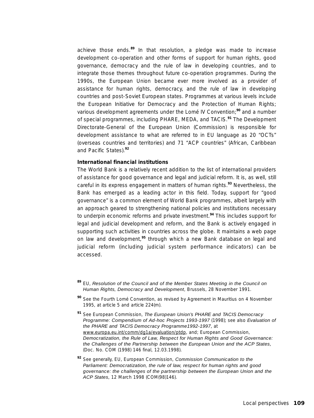achieve those ends.**<sup>89</sup>** In that resolution, a pledge was made to increase development co-operation and other forms of support for human rights, good governance, democracy and the rule of law in developing countries, and to integrate those themes throughout future co-operation programmes. During the 1990s, the European Union became ever more involved as a provider of assistance for human rights, democracy, and the rule of law in developing countries and post-Soviet European states. Programmes at various levels include the European Initiative for Democracy and the Protection of Human Rights; various development agreements under the Lomé IV Convention;**<sup>90</sup>** and a number of special programmes, including PHARE, MEDA, and TACIS.**<sup>91</sup>** The Development Directorate-General of the European Union (Commission) is responsible for development assistance to what are referred to in EU language as 20 "OCTs" (overseas countries and territories) and 71 "ACP countries" (African, Caribbean and Pacific States).**<sup>92</sup>**

### **International financial institutions**

The World Bank is a relatively recent addition to the list of international providers of assistance for good governance and legal and judicial reform. It is, as well, still careful in its express engagement in matters of human rights.**<sup>93</sup>** Nevertheless, the Bank has emerged as a leading actor in this field. Today, support for "good governance" is a common element of World Bank programmes, albeit largely with an approach geared to strengthening national policies and institutions necessary to underpin economic reforms and private investment.**<sup>94</sup>** This includes support for legal and judicial development and reform, and the Bank is actively engaged in supporting such activities in countries across the globe. It maintains a web page on law and development,**<sup>95</sup>** through which a new Bank database on legal and judicial reform (including judicial system performance indicators) can be accessed.

- **<sup>90</sup>** See the Fourth Lomé Convention, as revised by Agreement in Mauritius on 4 November 1995, at article 5 and article 224(m).
- **<sup>91</sup>** See European Commission, *The European Union's PHARE and TACIS Democracy Programme: Compendium of Ad-hoc Projects 1993-1997* (1998); see also *Evaluation of the PHARE and TACIS Democracy Programme1992-1997*, at www.europa.eu.int/comm/dg1a/evaluation/ptdp, and; European Commission, *Democratization, the Rule of Law, Respect for Human Rights and Good Governance: the Challenges of the Partnership between the European Union and the ACP States*, (Doc. No. COM (1998) 146 final, 12.03.1998).

**<sup>92</sup>** See generally, EU, European Commission, *Commission Communication to the Parliament: Democratization, the rule of law, respect for human rights and good governance: the challenges of the partnership between the European Union and the ACP States*, 12 March 1998 (COM(98)146).

**<sup>89</sup>** EU, *Resolution of the Council and of the Member States Meeting in the Council on Human Rights, Democracy and Development*, Brussels, 28 November 1991.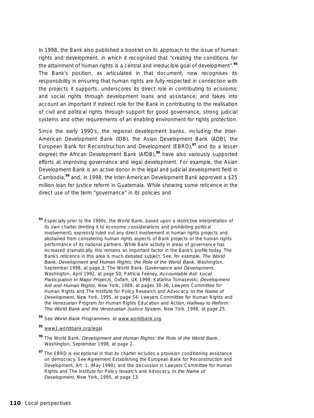In 1998, the Bank also published a booklet on its approach to the issue of human rights and development, in which it recognised that "creating the conditions for the attainment of human rights is a central and irreducible goal of development".**<sup>96</sup>** The Bank's position, as articulated in that document, now recognises its responsibility in ensuring that human rights are fully respected in connection with the projects it supports; underscores its direct role in contributing to economic and social rights through development loans and assistance; and takes into account an important if indirect role for the Bank in contributing to the realisation of civil and political rights through support for good governance, strong judicial systems and other requirements of an enabling environment for rights protection.

Since the early 1990's, the regional development banks, including the Inter-American Development Bank (IDB), the Asian Development Bank (ADB), the European Bank for Reconstruction and Development (EBRD),**<sup>97</sup>** and (to a lesser degree) the African Development Bank (AfDB),**<sup>98</sup>** have also variously supported efforts at improving governance and legal development. For example, the Asian Development Bank is an active donor in the legal and judicial development field in Cambodia,**<sup>99</sup>** and, in 1998, the Inter-American Development Bank approved a \$25 million loan for justice reform in Guatemala. While showing some reticence in the direct use of the term "governance" in its policies and

**<sup>93</sup>** Especially prior to the 1990s, the World Bank, based upon a restrictive interpretation of its own charter (limiting it to economic considerations and prohibiting political involvement), expressly ruled out any direct involvement in human rights projects and abstained from considering human rights aspects of Bank projects or the human rights performance of its national partners. While Bank activity in areas of governance has increased dramatically, this remains an important factor in the Bank's profile today. The Bank's reticence in this area is much debated subject. See, for example, *The World Bank, Development and Human Rights: the Role of the World Bank*, Washington, September 1998, at page 3; The World Bank, *Governance and Development*, Washington, April 1992, at page 50; Patricia Feeney, *Accountable Aid: Local Participation in Major Projects*, Oxfam, UK 1998; Katarina Tomasevski, *Development Aid and Human Rights*, New York, 1989, at pages 30-36; Lawyers Committee for Human Rights and The Institute for Policy Research and Advocacy, *In the Name of Development*, New York, 1995, at page 54; Lawyers Committee for Human Rights and the Venezuelan Program for Human Rights Education and Action, *Halfway to Reform: The World Bank and the Venezuelan Justice System*, New York, 1996, at page 25.

- **<sup>94</sup>** See *World Bank Programmes*, at www.worldbank.org.
- **<sup>95</sup>** www1.worldbank.org/legal.
- **<sup>96</sup>** The World Bank, *Development and Human Rights: the Role of the World Bank*, Washington, September 1998, at page 2.
- **<sup>97</sup>** The EBRD is exceptional in that its charter includes a provision conditioning assistance on democracy. See Agreement Establishing the European Bank for Reconstruction and Development, Art. 1, (May 1990), and the discussion in Lawyers Committee for Human Rights and The Institute for Policy research and Advocacy, *In the Name of Development*, New York, 1995, at page 13.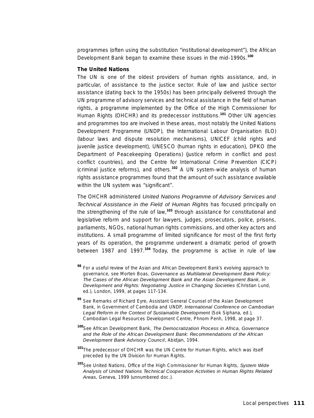programmes (often using the substitution "institutional development"), the African Development Bank began to examine these issues in the mid-1990s.**<sup>100</sup>**

### **The United Nations**

The UN is one of the oldest providers of human rights assistance, and, in particular, of assistance to the justice sector. Rule of law and justice sector assistance (dating back to the 1950s) has been principally delivered through the UN programme of advisory services and technical assistance in the field of human rights, a programme implemented by the Office of the High Commissioner for Human Rights (OHCHR) and its predecessor institutions.**<sup>101</sup>** Other UN agencies and programmes too are involved in these areas, most notably the United Nations Development Programme (UNDP), the International Labour Organisation (ILO) (labour laws and dispute resolution mechanisms), UNICEF (child rights and juvenile justice development), UNESCO (human rights in education), DPKO (the Department of Peacekeeping Operations) (justice reform in conflict and post conflict countries), and the Centre for International Crime Prevention (CICP) (criminal justice reforms), and others.**<sup>102</sup>** A UN system-wide analysis of human rights assistance programmes found that the amount of such assistance available within the UN system was "significant".

The OHCHR administered *United Nations Programme of Advisory Services and Technical Assistance in the Field of Human Rights* has focused principally on the strengthening of the rule of law,**<sup>103</sup>** through assistance for constitutional and legislative reform and support for lawyers, judges, prosecutors, police, prisons, parliaments, NGOs, national human rights commissions, and other key actors and institutions. A small programme of limited significance for most of the first forty years of its operation, the programme underwent a dramatic period of growth between 1987 and 1997.**<sup>104</sup>**Today, the programme is active in rule of law

- **<sup>98</sup>** For a useful review of the Asian and African Development Bank's evolving approach to governance, see Morten Boas, *Governance as Multilateral Development Bank Policy: The Cases of the African Development Bank and the Asian Development Bank, in Development and Rights: Negotiating Justice in Changing Societies* (Christian Lund, ed.), London, 1999, at pages 117-134.
- **<sup>99</sup>** See Remarks of Richard Eyre, Assistant General Counsel of the Asian Development Bank, in Government of Cambodia and UNDP, *International Conference on Cambodian Legal Reform in the Context of Sustainable Development* (Sok Siphana, ed.), Cambodian Legal Resources Development Centre, Phnom Penh, 1998, at page 37.
- **<sup>100</sup>**See African Development Bank, *The Democratization Process in Africa, Governance and the Role of the African Development Bank: Recommendations of the African Development Bank Advisory Council*, Abidjan, 1994.
- **<sup>101</sup>**The predecessor of OHCHR was the UN Centre for Human Rights, which was itself preceded by the UN Division for Human Rights.
- **<sup>102</sup>**See United Nations, Office of the High Commissioner for Human Rights, *System Wide Analysis of United Nations Technical Cooperation Activities in Human Rights Related Areas*, Geneva, 1999 (unnumbered doc.).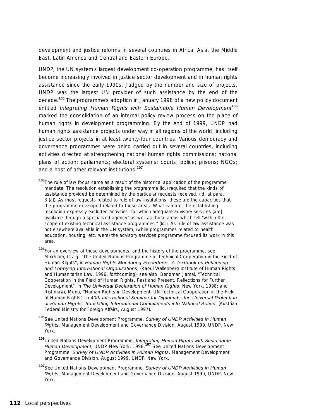development and justice reforms in several countries in Africa, Asia, the Middle East, Latin America and Central and Eastern Europe.

UNDP, the UN system's largest development co-operation programme, has itself become increasingly involved in justice sector development and in human rights assistance since the early 1990s. Judged by the number and size of projects, UNDP was the largest UN provider of such assistance by the end of the decade.**<sup>105</sup>** The programme's adoption in January 1998 of a new policy document entitled *Integrating Human Rights with Sustainable Human Development***<sup>106</sup>** marked the consolidation of an internal policy review process on the place of human rights in development programming. By the end of 1999, UNDP had human rights assistance projects under way in all regions of the world, including justice sector projects in at least twenty-four countries. Various democracy and governance programmes were being carried out in several countries, including activities directed at strengthening national human rights commissions; national plans of action; parliaments; electoral systems; courts; police; prisons; NGOs; and a host of other relevant institutions.**<sup>107</sup>**

**<sup>103</sup>**The rule of law focus came as a result of the historical application of the programme mandate. The resolution establishing the programme (Id.) required that the kinds of assistance provided be determined by the particular requests received. (Id. at para. 3 (a)). As most requests related to rule of law institutions, these are the capacities that the programme developed related to those areas. What is more, the establishing resolution expressly excluded activities "for which adequate advisory services [are] available through a specialized agency" as well as those areas which fell "within the scope of existing technical assistance programmes." (Id.). As rule of law assistance was not elsewhere available in the UN system, (while programmes related to health, education, housing, etc. were) the advisory services programme focused its work in this area.

**<sup>104</sup>**For an overview of these developments, and the history of the programme, see Mokhiber, Craig, "The United Nations Programme of Technical Cooperation in the Field of Human Rights", in *Human Rights Monitoring Procedures: A Textbook on Petitioning and Lobbying International Organizations*, (Raoul Wallenberg Institute of Human Rights and Humanitarian Law, 1996, forthcoming); see also, Benomar, Jamal, "Technical Cooperation in the Field of Human Rights, Past and Present, Reflections for Further Development", in *The Universal Declaration of Human Rights*, New York, 1998; and Rishmawi, Mona, "Human Rights in Development: UN Technical Cooperation in the Field of Human Rights", in *40th International Seminar for Diplomats: the Universal Protection of Human Rights: Translating International Commitments into National Action*, (Austrian Federal Ministry for Foreign Affairs, August 1997).

- **<sup>105</sup>**See United Nations Development Programme, *Survey of UNDP Activities in Human Rights*, Management Development and Governance Division, August 1999, UNDP, New York.
- **<sup>106</sup>**United Nations Development Programme, *Integrating Human Rights with Sustainable Human Development*, UNDP New York, 1998.**<sup>107</sup>** See United Nations Development Programme, *Survey of UNDP Activities in Human Rights*, Management Development and Governance Division, August 1999, UNDP, New York.
- **<sup>107</sup>**See United Nations Development Programme, *Survey of UNDP Activities in Human Rights*, Management Development and Governance Division, August 1999, UNDP, New York.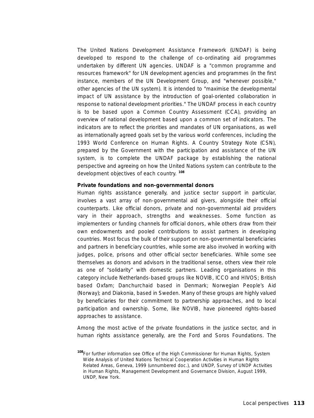The United Nations Development Assistance Framework (UNDAF) is being developed to respond to the challenge of co-ordinating aid programmes undertaken by different UN agencies. UNDAF is a "common programme and resources framework" for UN development agencies and programmes (in the first instance, members of the UN Development Group, and "whenever possible," other agencies of the UN system). It is intended to "maximise the developmental impact of UN assistance by the introduction of goal-oriented collaboration in response to national development priorities." The UNDAF process in each country is to be based upon a Common Country Assessment (CCA), providing an overview of national development based upon a common set of indicators. The indicators are to reflect the priorities and mandates of UN organisations, as well as internationally agreed goals set by the various world conferences, including the 1993 World Conference on Human Rights. A Country Strategy Note (CSN), prepared by the Government with the participation and assistance of the UN system, is to complete the UNDAF package by establishing the national perspective and agreeing on how the United Nations system can contribute to the development objectives of each country. **<sup>108</sup>**

### **Private foundations and non-governmental donors**

Human rights assistance generally, and justice sector support in particular, involves a vast array of non-governmental aid givers, alongside their official counterparts. Like official donors, private and non-governmental aid providers vary in their approach, strengths and weaknesses. Some function as implementers or funding channels for official donors, while others draw from their own endowments and pooled contributions to assist partners in developing countries. Most focus the bulk of their support on non-governmental beneficiaries and partners in beneficiary countries, while some are also involved in working with judges, police, prisons and other official sector beneficiaries. While some see themselves as donors and advisors in the traditional sense, others view their role as one of "solidarity" with domestic partners. Leading organisations in this category include Netherlands-based groups like NOVIB, ICCO and HIVOS; British based Oxfam; Danchurchaid based in Denmark; Norwegian People's Aid (Norway); and Diakonia, based in Sweden. Many of these groups are highly valued by beneficiaries for their commitment to partnership approaches, and to local participation and ownership. Some, like NOVIB, have pioneered rights-based approaches to assistance.

Among the most active of the private foundations in the justice sector, and in human rights assistance generally, are the Ford and Soros Foundations. The

**<sup>108</sup>**For further information see Office of the High Commissioner for Human Rights, System Wide Analysis of United Nations Technical Cooperation Activities in Human Rights Related Areas, Geneva, 1999 (unnumbered doc.), and UNDP, Survey of UNDP Activities in Human Rights, Management Development and Governance Division, August 1999, UNDP, New York.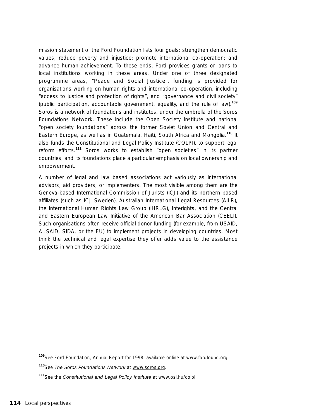mission statement of the Ford Foundation lists four goals: strengthen democratic values; reduce poverty and injustice; promote international co-operation; and advance human achievement. To these ends, Ford provides grants or loans to local institutions working in these areas. Under one of three designated programme areas, "Peace and Social Justice", funding is provided for organisations working on human rights and international co-operation, including "access to justice and protection of rights", and "governance and civil society" (public participation, accountable government, equality, and the rule of law).**<sup>109</sup>** Soros is a network of foundations and institutes, under the umbrella of the Soros Foundations Network. These include the Open Society Institute and national "open society foundations" across the former Soviet Union and Central and Eastern Europe, as well as in Guatemala, Haiti, South Africa and Mongolia.**<sup>110</sup>** It also funds the Constitutional and Legal Policy Institute (COLPI), to support legal reform efforts.**<sup>111</sup>** Soros works to establish "open societies" in its partner countries, and its foundations place a particular emphasis on local ownership and empowerment.

A number of legal and law based associations act variously as international advisors, aid providers, or implementers. The most visible among them are the Geneva-based International Commission of Jurists (ICJ) and its northern based affiliates (such as ICJ Sweden), Australian International Legal Resources (AILR), the International Human Rights Law Group (IHRLG), Interights, and the Central and Eastern European Law Initiative of the American Bar Association (CEELI). Such organisations often receive official donor funding (for example, from USAID, AUSAID, SIDA, or the EU) to implement projects in developing countries. Most think the technical and legal expertise they offer adds value to the assistance projects in which they participate.

**<sup>109</sup>**See Ford Foundation, Annual Report for 1998, available online at www.fordfound.org.

**<sup>110</sup>**See *The Soros Foundations Network* at www.soros.org.

**<sup>111</sup>**See the *Constitutional and Legal Policy Institute* at www.osi.hu/colpi.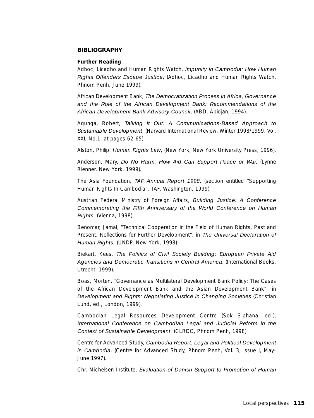### **BIBLIOGRAPHY**

### **Further Reading**

Adhoc, Licadho and Human Rights Watch, *Impunity in Cambodia: How Human Rights Offenders Escape Justice*, (Adhoc, Licadho and Human Rights Watch, Phnom Penh, June 1999).

African Development Bank, *The Democratization Process in Africa, Governance and the Role of the African Development Bank: Recommendations of the African Development Bank Advisory Council*, (ABD, Abidjan, 1994).

Agunga, Robert, *Talking it Out: A Communications-Based Approach to Sustainable Development*, (Harvard International Review, Winter 1998/1999, Vol. XXI, No.1, at pages 62-65).

Alston, Philip, *Human Rights Law*, (New York, New York University Press, 1996).

Anderson, Mary, *Do No Harm: How Aid Can Support Peace or War,* (Lynne Rienner, New York, 1999).

The Asia Foundation, *TAF Annual Report 1998*, (section entitled "Supporting Human Rights In Cambodia", TAF, Washington, 1999).

Austrian Federal Ministry of Foreign Affairs, *Building Justice: A Conference Commemorating the Fifth Anniversary of the World Conference on Human Rights,* (Vienna, 1998).

Benomar, Jamal, "Technical Cooperation in the Field of Human Rights, Past and Present, Reflections for Further Development", in *The Universal Declaration of Human Rights*, (UNDP, New York, 1998).

Biekart, Kees, *The Politics of Civil Society Building: European Private Aid Agencies and Democratic Transitions in Central America*, (International Books, Utrecht, 1999).

Boas, Morten, "Governance as Multilateral Development Bank Policy: The Cases of the African Development Bank and the Asian Development Bank", in *Development and Rights: Negotiating Justice in Changing Societies* (Christian Lund, ed., London, 1999).

Cambodian Legal Resources Development Centre (Sok Siphana, ed.), *International Conference on Cambodian Legal and Judicial Reform in the Context of Sustainable Development*, (CLRDC, Phnom Penh, 1998).

Centre for Advanced Study, *Cambodia Report: Legal and Political Development in Cambodia*, (Centre for Advanced Study, Phnom Penh, Vol. 3, Issue I, May-June 1997).

Chr. Michelsen Institute, *Evaluation of Danish Support to Promotion of Human*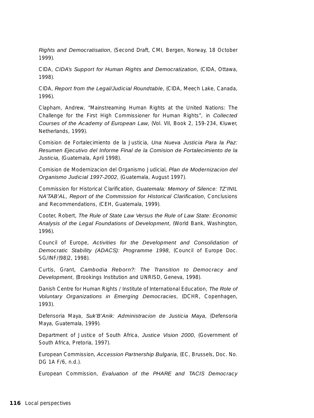*Rights and Democratisation*, (Second Draft, CMI, Bergen, Norway, 18 October 1999).

CIDA, *CIDA's Support for Human Rights and Democratization*, (CIDA, Ottawa, 1998).

CIDA, *Report from the Legal/Judicial Roundtable*, (CIDA, Meech Lake, Canada, 1996).

Clapham, Andrew, "Mainstreaming Human Rights at the United Nations: The Challenge for the First High Commissioner for Human Rights", in *Collected Courses of the Academy of European Law*, (Vol. VII, Book 2, 159-234, Kluwer, Netherlands, 1999).

Comision de Fortalecimiento de la Justicia, *Una Nueva Justicia Para la Paz: Resumen Ejecutivo del Informe Final de la Comision de Fortalecimiento de la Justicia*, (Guatemala, April 1998).

Comision de Modernizacion del Organismo Judicial, *Plan de Modernizacion del Organismo Judicial 1997-2002*, (Guatemala, August 1997).

Commission for Historical Clarification, *Guatemala: Memory of Silence: TZ'INIL NA'TAB'AL, Report of the Commission for Historical Clarification*, Conclusions and Recommendations, (CEH, Guatemala, 1999).

Cooter, Robert, *The Rule of State Law Versus the Rule of Law State: Economic Analysis of the Legal Foundations of Development*, (World Bank, Washington, 1996).

Council of Europe, *Activities for the Development and Consolidation of Democratic Stability (ADACS): Programme 1998*, (Council of Europe Doc. SG/INF/(98)2, 1998).

Curtis, Grant, *Cambodia Reborn?: The Transition to Democracy and Development*, (Brookings Institution and UNRISD, Geneva, 1998).

Danish Centre for Human Rights / Institute of International Education, *The Role of Voluntary Organizations in Emerging Democracies*, (DCHR, Copenhagen, 1993).

Defensoria Maya, *Suk'B'Anik: Administracion de Justicia Maya*, (Defensoria Maya, Guatemala, 1999).

Department of Justice of South Africa, *Justice Vision 2000*, (Government of South Africa, Pretoria, 1997).

European Commission, *Accession Partnership Bulgaria*, (EC, Brussels, Doc. No. DG 1A F/6, n.d.).

European Commission, *Evaluation of the PHARE and TACIS Democracy*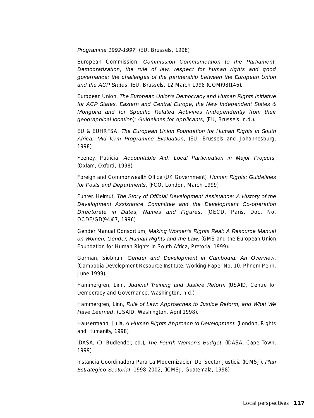*Programme 1992-1997,* (EU, Brussels, 1998).

European Commission, *Commission Communication to the Parliament: Democratization, the rule of law, respect for human rights and good governance: the challenges of the partnership between the European Union and the ACP States*, (EU, Brussels, 12 March 1998 (COM(98)146).

European Union, *The European Union's Democracy and Human Rights Initiative for ACP States, Eastern and Central Europe, the New Independent States & Mongolia and for Specific Related Activities (independently from their geographical location): Guidelines for Applicants*, (EU, Brussels, n.d.).

EU & EUHRFSA, *The European Union Foundation for Human Rights in South Africa: Mid-Term Programme Evaluation*, (EU, Brussels and Johannesburg, 1998).

Feeney, Patricia, *Accountable Aid: Local Participation in Major Projects,* (Oxfam, Oxford, 1998).

Foreign and Commonwealth Office (UK Government), *Human Rights: Guidelines for Posts and Departments*, (FCO, London, March 1999).

Fuhrer, Helmut, *The Story of Official Development Assistance: A History of the Development Assistance Committee and the Development Co-operation Directorate in Dates, Names and Figures*, (OECD, Paris, Doc. No. OCDE/GD(94)67, 1996).

Gender Manual Consortium, *Making Women's Rights Real: A Resource Manual on Women, Gender, Human Rights and the Law*, (GMS and the European Union Foundation for Human Rights in South Africa, Pretoria, 1999).

Gorman, Siobhan, *Gender and Development in Cambodia: An Overview*, (Cambodia Development Resource Institute, Working Paper No. 10, Phnom Penh, June 1999).

Hammergren, Linn, *Judicial Training and Justice Reform* (USAID, Centre for Democracy and Governance, Washington, n.d.).

Hammergren, Linn, *Rule of Law: Approaches to Justice Reform, and What We Have Learned*, (USAID, Washington, April 1998).

Hausermann, Julia, *A Human Rights Approach to Development*, (London, Rights and Humanity, 1998).

IDASA, (D. Budlender, ed.), *The Fourth Women's Budget*, (IDASA, Cape Town, 1999).

Instancia Coordinadora Para La Modernizacion Del Sector Justicia (ICMSJ), *Plan Estrategico Sectorial*, 1998-2002, (ICMSJ, Guatemala, 1998).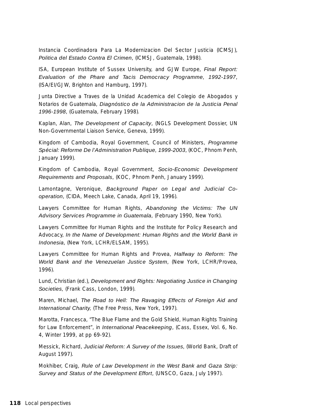Instancia Coordinadora Para La Modernizacion Del Sector Justicia (ICMSJ), *Politica del Estado Contra El Crimen*, (ICMSJ, Guatemala, 1998).

ISA, European Institute of Sussex University, and GJW Europe, *Final Report: Evaluation of the Phare and Tacis Democracy Programme, 1992-1997*, (ISA/EI/GJW, Brighton and Hamburg, 1997).

Junta Directive a Traves de la Unidad Academica del Colegio de Abogados y Notarios de Guatemala, *Diagnóstico de la Administracion de la Justicia Penal 1996-1998*, (Guatemala, February 1998).

Kaplan, Alan, *The Development of Capacity*, (NGLS Development Dossier, UN Non-Governmental Liaison Service, Geneva, 1999).

Kingdom of Cambodia, Royal Government, Council of Ministers, *Programme Spécial: Reforme De l'Administration Publique, 1999-2003*, (KOC, Phnom Penh, January 1999).

Kingdom of Cambodia, Royal Government, *Socio-Economic Development Requirements and Proposals*, (KOC, Phnom Penh, January 1999).

Lamontagne, Veronique, *Background Paper on Legal and Judicial Cooperation*, (CIDA, Meech Lake, Canada, April 19, 1996).

Lawyers Committee for Human Rights, *Abandoning the Victims: The UN Advisory Services Programme in Guatemala*, (February 1990, New York).

Lawyers Committee for Human Rights and the Institute for Policy Research and Advocacy, *In the Name of Development: Human Rights and the World Bank in Indonesia*, (New York, LCHR/ELSAM, 1995).

Lawyers Committee for Human Rights and Provea, *Halfway to Reform: The World Bank and the Venezuelan Justice System*, (New York, LCHR/Provea, 1996).

Lund, Christian (ed.), *Development and Rights: Negotiating Justice in Changing Societies,* (Frank Cass, London, 1999).

Maren, Michael, *The Road to Hell: The Ravaging Effects of Foreign Aid and International Charity,* (The Free Press, New York, 1997).

Marotta, Francesca, "The Blue Flame and the Gold Shield, Human Rights Training for Law Enforcement", in *International Peacekeeping*, (Cass, Essex, Vol. 6, No. 4, Winter 1999, at pp 69-92).

Messick, Richard, *Judicial Reform: A Survey of the Issues,* (World Bank, Draft of August 1997).

Mokhiber, Craig, *Rule of Law Development in the West Bank and Gaza Strip: Survey and Status of the Development Effort*, (UNSCO, Gaza, July 1997).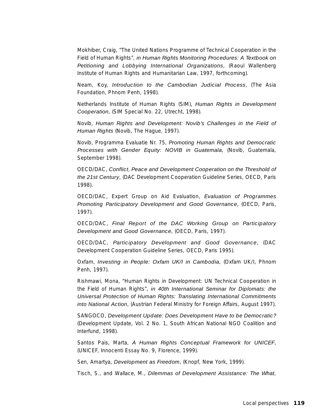Mokhiber, Craig, "The United Nations Programme of Technical Cooperation in the Field of Human Rights"*, in Human Rights Monitoring Procedures: A Textbook on Petitioning and Lobbying International Organizations*, (Raoul Wallenberg Institute of Human Rights and Humanitarian Law, 1997, forthcoming).

Neam, Koy, *Introduction to the Cambodian Judicial Process*, (The Asia Foundation, Phnom Penh, 1998).

Netherlands Institute of Human Rights (SIM), *Human Rights in Development Cooperation*, (SIM Special No. 22, Utrecht, 1998).

Novib, *Human Rights and Development: Novib's Challenges in the Field of Human Rights* (Novib, The Hague, 1997).

Novib, Programma Evaluatie Nr. 75, *Promoting Human Rights and Democratic Processes with Gender Equity: NOVIB in Guatemala*, (Novib, Guatemala, September 1998).

OECD/DAC, *Conflict, Peace and Development Cooperation on the Threshold of the 21st Century*, (DAC Development Cooperation Guideline Series, OECD, Paris 1998).

OECD/DAC, Expert Group on Aid Evaluation, *Evaluation of Programmes Promoting Participatory Development and Good Governance*, (OECD, Paris, 1997).

OECD/DAC, *Final Report of the DAC Working Group on Participatory Development and Good Governance*, (OECD, Paris, 1997).

OECD/DAC, *Participatory Development and Good Governance*, (DAC Development Cooperation Guideline Series, OECD, Paris 1995).

Oxfam, *Investing in People: Oxfam UK/I in Cambodia*, (Oxfam UK/I, Phnom Penh, 1997).

Rishmawi, Mona, "Human Rights in Development: UN Technical Cooperation in the Field of Human Rights", *in 40th International Seminar for Diplomats: the Universal Protection of Human Rights: Translating International Commitments into National Action*, (Austrian Federal Ministry for Foreign Affairs, August 1997).

SANGOCO, *Development Update: Does Development Have to be Democratic?* (Development Update, Vol. 2 No. 1, South African National NGO Coalition and Interfund, 1998).

Santos Pais, Marta, *A Human Rights Conceptual Framework for UNICEF*, (UNICEF, Innocenti Essay No. 9, Florence, 1999).

Sen, Amartya, *Development as Freedom*, (Knopf, New York, 1999).

Tisch, S., and Wallace, M., *Dilemmas of Development Assistance: The What,*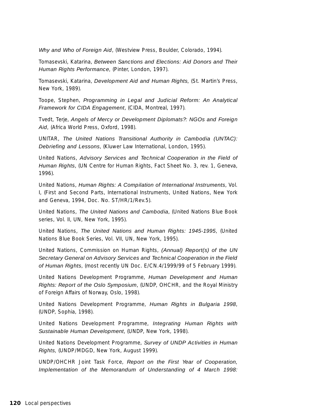*Why and Who of Foreign Aid*, (Westview Press, Boulder, Colorado, 1994).

Tomasevski, Katarina, *Between Sanctions and Elections: Aid Donors and Their Human Rights Performance,* (Pinter, London, 1997).

Tomasevski, Katarina, *Development Aid and Human Rights,* (St. Martin's Press, New York, 1989).

Toope, Stephen, *Programming in Legal and Judicial Reform: An Analytical Framework for CIDA Engagement*, (CIDA, Montreal, 1997).

Tvedt, Terje, *Angels of Mercy or Development Diplomats?: NGOs and Foreign Aid,* (Africa World Press, Oxford, 1998).

UNITAR, *The United Nations Transitional Authority in Cambodia (UNTAC): Debriefing and Lessons*, (Kluwer Law International, London, 1995).

United Nations, *Advisory Services and Technical Cooperation in the Field of Human Rights*, (UN Centre for Human Rights, Fact Sheet No. 3, rev. 1, Geneva, 1996).

United Nations, *Human Rights: A Compilation of International Instruments*, Vol. I, (First and Second Parts, International Instruments, United Nations, New York and Geneva, 1994, Doc. No. ST/HR/1/Rev.5).

United Nations, *The United Nations and Cambodia*, (United Nations Blue Book series, Vol. II, UN, New York, 1995).

United Nations, *The United Nations and Human Rights: 1945-1995*, (United Nations Blue Book Series, Vol. VII, UN, New York, 1995).

United Nations, Commission on Human Rights, *(Annual) Report(s) of the UN Secretary General on Advisory Services and Technical Cooperation in the Field of Human Rights*, (most recently UN Doc. E/CN.4/1999/99 of 5 February 1999).

United Nations Development Programme, *Human Development and Human Rights: Report of the Oslo Symposium*, (UNDP, OHCHR, and the Royal Ministry of Foreign Affairs of Norway, Oslo, 1998).

United Nations Development Programme, *Human Rights in Bulgaria 1998*, (UNDP, Sophia, 1998).

United Nations Development Programme, *Integrating Human Rights with Sustainable Human Development*, (UNDP, New York, 1998).

United Nations Development Programme, *Survey of UNDP Activities in Human Rights,* (UNDP/MDGD, New York, August 1999).

UNDP/OHCHR Joint Task Force, *Report on the First Year of Cooperation, Implementation of the Memorandum of Understanding of 4 March 1998:*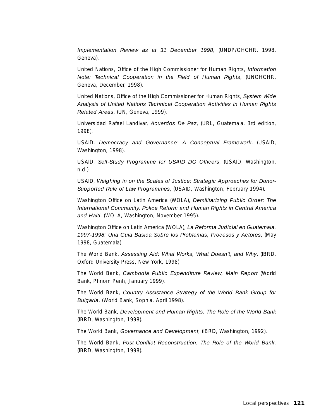*Implementation Review as at 31 December 1998*, (UNDP/OHCHR, 1998, Geneva).

United Nations, Office of the High Commissioner for Human Rights, *Information Note: Technical Cooperation in the Field of Human Rights*, (UNOHCHR, Geneva, December, 1998).

United Nations, Office of the High Commissioner for Human Rights, *System Wide Analysis of United Nations Technical Cooperation Activities in Human Rights Related Areas*, (UN, Geneva, 1999).

Universidad Rafael Landivar, *Acuerdos De Paz*, (URL, Guatemala, 3rd edition, 1998).

USAID, *Democracy and Governance: A Conceptual Framework*, (USAID, Washington, 1998).

USAID, *Self-Study Programme for USAID DG Officers*, (USAID, Washington, n.d.).

USAID, *Weighing in on the Scales of Justice: Strategic Approaches for Donor-Supported Rule of Law Programmes*, (USAID, Washington, February 1994).

Washington Office on Latin America (WOLA), *Demilitarizing Public Order: The International Community, Police Reform and Human Rights in Central America and Haiti*, (WOLA, Washington, November 1995).

Washington Office on Latin America (WOLA), *La Reforma Judicial en Guatemala, 1997-1998: Una Guia Basica Sobre los Problemas, Procesos y Actores*, (May 1998, Guatemala).

The World Bank, *Assessing Aid: What Works, What Doesn't, and Why*, (IBRD, Oxford University Press, New York, 1998).

The World Bank, *Cambodia Public Expenditure Review, Main Report* (World Bank, Phnom Penh, January 1999).

The World Bank, *Country Assistance Strategy of the World Bank Group for Bulgaria*, (World Bank, Sophia, April 1998).

The World Bank, *Development and Human Rights: The Role of the World Bank* (IBRD, Washington, 1998).

The World Bank, *Governance and Development,* (IBRD, Washington, 1992).

The World Bank, *Post-Conflict Reconstruction: The Role of the World Bank,* (IBRD, Washington, 1998).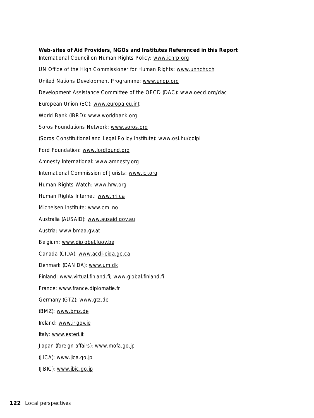# International Council on Human Rights Policy: www.ichrp.org UN Office of the High Commissioner for Human Rights: www.unhchr.ch United Nations Development Programme: www.undp.org Development Assistance Committee of the OECD (DAC): www.oecd.org/dac European Union (EC): www.europa.eu.int World Bank (IBRD): www.worldbank.org Soros Foundations Network: www.soros.org (Soros Constitutional and Legal Policy Institute): www.osi.hu/colpi Ford Foundation: www.fordfound.org Amnesty International: www.amnesty.org International Commission of Jurists: www.icj.org Human Rights Watch: www.hrw.org Human Rights Internet: www.hri.ca Michelsen Institute: www.cmi.no Australia (AUSAID): www.ausaid.gov.au Austria: www.bmaa.gv.at Belgium: www.diplobel.fgov.be Canada (CIDA): www.acdi-cida.gc.ca Denmark (DANIDA): www.um.dk Finland: www.virtual.finland.fi; www.global.finland.fi

**Web-sites of Aid Providers, NGOs and Institutes Referenced in this Report** 

- France: www.france.diplomatie.fr
- Germany (GTZ): www.gtz.de
- (BMZ): www.bmz.de
- Ireland: www.irlgov.ie
- Italy: www.esteri.it
- Japan (foreign affairs): www.mofa.go.jp
- (JICA): www.jica.go.jp
- (JBIC): www.jbic.go.jp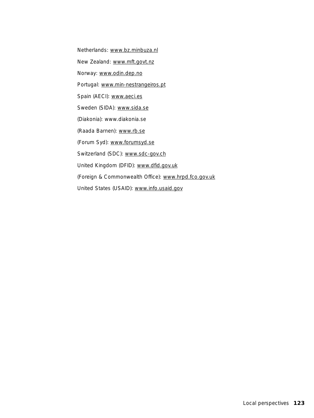Netherlands: www.bz.minbuza.nl New Zealand: www.mft.govt.nz Norway: www.odin.dep.no Portugal: www.min-nestrangeiros.pt Spain (AECI): www.aeci.es Sweden (SIDA): www.sida.se (Diakonia): www.diakonia.se (Raada Barnen): www.rb.se (Forum Syd): www.forumsyd.se Switzerland (SDC): www.sdc-gov.ch United Kingdom (DFID): www.dfid.gov.uk (Foreign & Commonwealth Office): www.hrpd.fco.gov.uk

United States (USAID): www.info.usaid.gov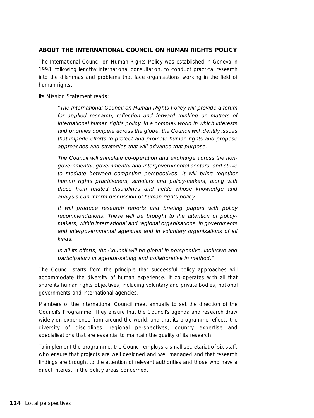## **ABOUT THE INTERNATIONAL COUNCIL ON HUMAN RIGHTS POLICY**

The International Council on Human Rights Policy was established in Geneva in 1998, following lengthy international consultation, to conduct practical research into the dilemmas and problems that face organisations working in the field of human rights.

Its Mission Statement reads:

*"The International Council on Human Rights Policy will provide a forum for applied research, reflection and forward thinking on matters of international human rights policy. In a complex world in which interests and priorities compete across the globe, the Council will identify issues that impede efforts to protect and promote human rights and propose approaches and strategies that will advance that purpose.*

*The Council will stimulate co-operation and exchange across the nongovernmental, governmental and intergovernmental sectors, and strive to mediate between competing perspectives. It will bring together human rights practitioners, scholars and policy-makers, along with those from related disciplines and fields whose knowledge and analysis can inform discussion of human rights policy.*

*It will produce research reports and briefing papers with policy recommendations. These will be brought to the attention of policymakers, within international and regional organisations, in governments and intergovernmental agencies and in voluntary organisations of all kinds.*

*In all its efforts, the Council will be global in perspective, inclusive and participatory in agenda-setting and collaborative in method."*

The Council starts from the principle that successful policy approaches will accommodate the diversity of human experience. It co-operates with all that share its human rights objectives, including voluntary and private bodies, national governments and international agencies.

Members of the International Council meet annually to set the direction of the Council's Programme. They ensure that the Council's agenda and research draw widely on experience from around the world, and that its programme reflects the diversity of disciplines, regional perspectives, country expertise and specialisations that are essential to maintain the quality of its research.

To implement the programme, the Council employs a small secretariat of six staff, who ensure that projects are well designed and well managed and that research findings are brought to the attention of relevant authorities and those who have a direct interest in the policy areas concerned.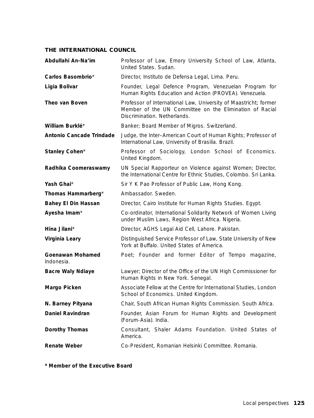# **THE INTERNATIONAL COUNCIL**

| Abdullahi An-Na'im             | Professor of Law, Emory University School of Law, Atlanta,<br>United States, Sudan.                                                                         |  |  |
|--------------------------------|-------------------------------------------------------------------------------------------------------------------------------------------------------------|--|--|
| Carlos Basombrio*              | Director, Instituto de Defensa Legal, Lima. Peru.                                                                                                           |  |  |
| Ligia Bolivar                  | Founder, Legal Defence Program, Venezuelan Program for<br>Human Rights Education and Action (PROVEA). Venezuela.                                            |  |  |
| Theo van Boven                 | Professor of International Law, University of Maastricht; former<br>Member of the UN Committee on the Elimination of Racial<br>Discrimination, Netherlands. |  |  |
| William Burklé*                | Banker; Board Member of Migros. Switzerland.                                                                                                                |  |  |
| Antonio Cancade Trindade       | Judge, the Inter-American Court of Human Rights; Professor of<br>International Law, University of Brasilia. Brazil.                                         |  |  |
| Stanley Cohen*                 | Professor of Sociology, London School of Economics.<br>United Kingdom.                                                                                      |  |  |
| Radhika Coomeraswamy           | UN Special Rapporteur on Violence against Women; Director,<br>the International Centre for Ethnic Studies, Colombo. Sri Lanka.                              |  |  |
| Yash Ghai*                     | Sir Y K Pao Professor of Public Law, Hong Kong.                                                                                                             |  |  |
| Thomas Hammarberg*             | Ambassador. Sweden.                                                                                                                                         |  |  |
| Bahey El Din Hassan            | Director, Cairo Institute for Human Rights Studies. Egypt.                                                                                                  |  |  |
| Ayesha Imam*                   | Co-ordinator, International Solidarity Network of Women Living<br>under Muslim Laws, Region West Africa. Nigeria.                                           |  |  |
| Hina Jilani*                   | Director, AGHS Legal Aid Cell, Lahore. Pakistan.                                                                                                            |  |  |
| Virginia Leary                 | Distinguished Service Professor of Law, State University of New<br>York at Buffalo. United States of America.                                               |  |  |
| Goenawan Mohamed<br>Indonesia. | Poet; Founder and former Editor of Tempo magazine,                                                                                                          |  |  |
| <b>Bacre Waly Ndiaye</b>       | Lawyer; Director of the Office of the UN High Commissioner for<br>Human Rights in New York. Senegal.                                                        |  |  |
| Margo Picken                   | Associate Fellow at the Centre for International Studies, London<br>School of Economics. United Kingdom.                                                    |  |  |
| N. Barney Pityana              | Chair, South African Human Rights Commission. South Africa.                                                                                                 |  |  |
| Daniel Ravindran               | Founder, Asian Forum for Human Rights and Development<br>(Forum-Asia). India.                                                                               |  |  |
| Dorothy Thomas                 | Consultant, Shaler Adams Foundation, United States of<br>America.                                                                                           |  |  |
| Renate Weber                   | Co-President, Romanian Helsinki Committee. Romania.                                                                                                         |  |  |

**\* Member of the Executive Board**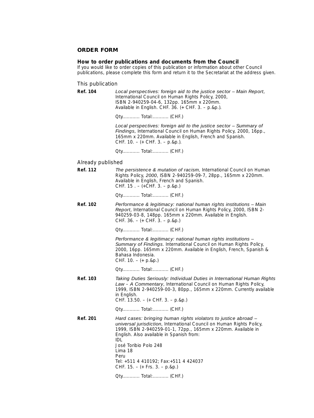### **ORDER FORM**

### **How to order publications and documents from the Council**

If you would like to order copies of this publication or information about other Council publications, please complete this form and return it to the Secretariat at the address given.

### *This publication*

**Ref. 104** *Local perspectives: foreign aid to the justice sector – Main Report*, International Council on Human Rights Policy, 2000, ISBN 2-940259-04-6, 132pp. 165mm x 220mm. Available in English. CHF. 36. (+ CHF. 3. – p.&p.).

Qty............ Total:........... (CHF.)

*Local perspectives: foreign aid to the justice sector – Summary of Findings*, International Council on Human Rights Policy, 2000, 16pp., 165mm x 220mm. Available in English, French and Spanish. CHF. 10. – (+ CHF. 3. – p.&p.).

Qty............ Total:........... (CHF.)

#### *Already published*

**Ref. 112** *The persistence & mutation of racism,* International Council on Human Rights Policy, *2000*, ISBN 2-940259-09-7, 28pp., 165mm x 220mm. Available in English, French and Spanish.  $CHF. 15 = (+CHF. 3. - p.8p.)$ Qty............ Total:........... (CHF.) **Ref. 102** *Performance & legitimacy: national human rights institutions – Main Report*, International Council on Human Rights Policy, 2000, ISBN 2- 940259-03-8, 148pp. 165mm x 220mm. Available in English. CHF. 36. – (+ CHF. 3. – p.&p.) Qty............ Total:........... (CHF.) *Performance & legitimacy: national human rights institutions – Summary of Findings*. International Council on Human Rights Policy, 2000, 16pp. 165mm x 220mm. Available in English, French, Spanish & Bahasa Indonesia. CHF. 10. – (+ p.&p.) Qty............ Total:........... (CHF.) **Ref. 103** *Taking Duties Seriously: Individual Duties in International Human Rights Law* – *A Commentary*, International Council on Human Rights Policy, 1999, ISBN 2-940259-00-3, 80pp., 165mm x 220mm. Currently available in English. CHF. 13.50. – (+ CHF. 3. – p.&p.) Qty............ Total:........... (CHF.) **Ref. 201** *Hard cases: bringing human rights violators to justice abroad – universal jurisdiction*, International Council on Human Rights Policy, 1999, ISBN 2-940259-01-1, 72pp., 165mm x 220mm. Available in English. Also available in Spanish from:

> IDL José Toribio Polo 248 Lima 18 Peru Tel: +511 4 410192; Fax:+511 4 424037 CHF. 15. – (+ Frs. 3. – p.&p.)

Qty............ Total:........... (CHF.)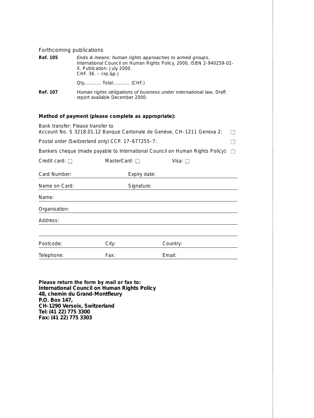### *Forthcoming publications*

| Ref. 105                                                                                                         | Ends & means: human rights approaches to armed groups,<br>International Council on Human Rights Policy, 2000, ISBN 2-940259-02-<br>X. Publication: July 2000.<br>CHF. $36. - (+p.8p.)$ |                 |  |
|------------------------------------------------------------------------------------------------------------------|----------------------------------------------------------------------------------------------------------------------------------------------------------------------------------------|-----------------|--|
|                                                                                                                  | Qty Total: (CHF.)                                                                                                                                                                      |                 |  |
| Ref. 107                                                                                                         | Human rights obligations of business under international law, Draft<br>report available December 2000.                                                                                 |                 |  |
|                                                                                                                  | Method of payment (please complete as appropriate):                                                                                                                                    |                 |  |
| Bank transfer: Please transfer to<br>Account No. S 3218.01.12 Banque Cantonale de Genève, CH-1211 Geneva 2:<br>П |                                                                                                                                                                                        |                 |  |
| Postal order (Switzerland only) CCP. 17-677255-7:<br>$\Box$                                                      |                                                                                                                                                                                        |                 |  |
| Bankers cheque (made payable to International Council on Human Rights Policy): $\Box$                            |                                                                                                                                                                                        |                 |  |
| Credit card: $\square$                                                                                           | MasterCard: □                                                                                                                                                                          | Visa: $\square$ |  |
| Card Number:                                                                                                     | Expiry date:                                                                                                                                                                           |                 |  |
| Name on Card:                                                                                                    | Signature:                                                                                                                                                                             |                 |  |
| Name:                                                                                                            |                                                                                                                                                                                        |                 |  |
| Organisation:                                                                                                    |                                                                                                                                                                                        |                 |  |
| Address:                                                                                                         |                                                                                                                                                                                        |                 |  |
| Postcode:                                                                                                        | City:                                                                                                                                                                                  | Country:        |  |
| Telephone:                                                                                                       | Fax:                                                                                                                                                                                   | Fmail:          |  |

**Please return the form by mail or fax to: International Council on Human Rights Policy 48, chemin du Grand-Montfleury P.O. Box 147, CH-1290 Versoix, Switzerland Tel: (41 22) 775 3300 Fax: (41 22) 775 3303**